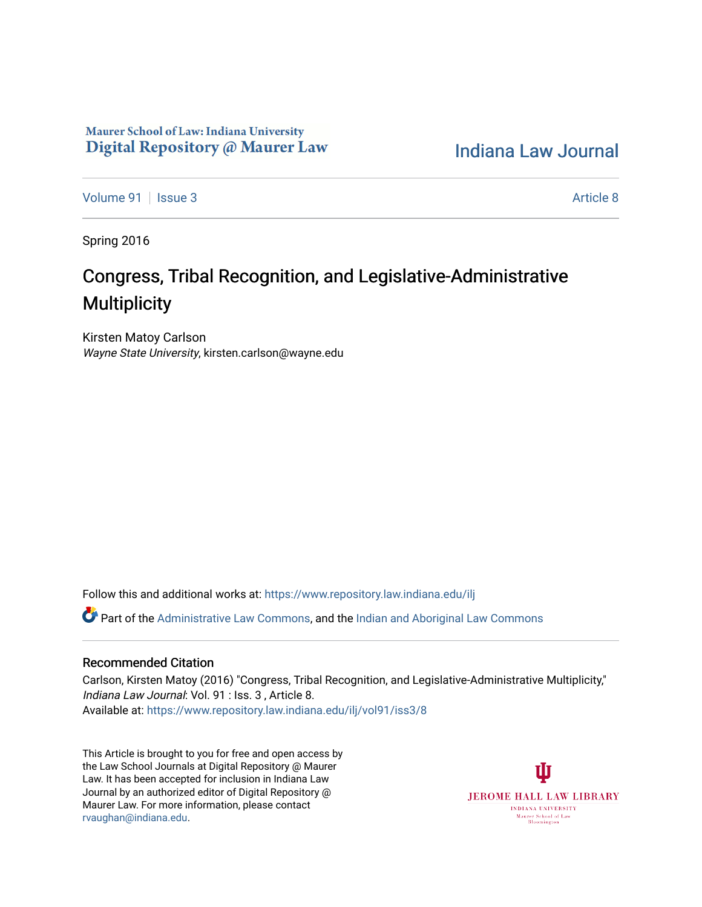## Maurer School of Law: Indiana University Digital Repository @ Maurer Law

[Indiana Law Journal](https://www.repository.law.indiana.edu/ilj) 

[Volume 91](https://www.repository.law.indiana.edu/ilj/vol91) | [Issue 3](https://www.repository.law.indiana.edu/ilj/vol91/iss3) Article 8

Spring 2016

# Congress, Tribal Recognition, and Legislative-Administrative **Multiplicity**

Kirsten Matoy Carlson Wayne State University, kirsten.carlson@wayne.edu

Follow this and additional works at: [https://www.repository.law.indiana.edu/ilj](https://www.repository.law.indiana.edu/ilj?utm_source=www.repository.law.indiana.edu%2Filj%2Fvol91%2Fiss3%2F8&utm_medium=PDF&utm_campaign=PDFCoverPages) 

Part of the [Administrative Law Commons,](http://network.bepress.com/hgg/discipline/579?utm_source=www.repository.law.indiana.edu%2Filj%2Fvol91%2Fiss3%2F8&utm_medium=PDF&utm_campaign=PDFCoverPages) and the [Indian and Aboriginal Law Commons](http://network.bepress.com/hgg/discipline/894?utm_source=www.repository.law.indiana.edu%2Filj%2Fvol91%2Fiss3%2F8&utm_medium=PDF&utm_campaign=PDFCoverPages)

### Recommended Citation

Carlson, Kirsten Matoy (2016) "Congress, Tribal Recognition, and Legislative-Administrative Multiplicity," Indiana Law Journal: Vol. 91 : Iss. 3 , Article 8. Available at: [https://www.repository.law.indiana.edu/ilj/vol91/iss3/8](https://www.repository.law.indiana.edu/ilj/vol91/iss3/8?utm_source=www.repository.law.indiana.edu%2Filj%2Fvol91%2Fiss3%2F8&utm_medium=PDF&utm_campaign=PDFCoverPages) 

This Article is brought to you for free and open access by the Law School Journals at Digital Repository @ Maurer Law. It has been accepted for inclusion in Indiana Law Journal by an authorized editor of Digital Repository @ Maurer Law. For more information, please contact [rvaughan@indiana.edu.](mailto:rvaughan@indiana.edu)

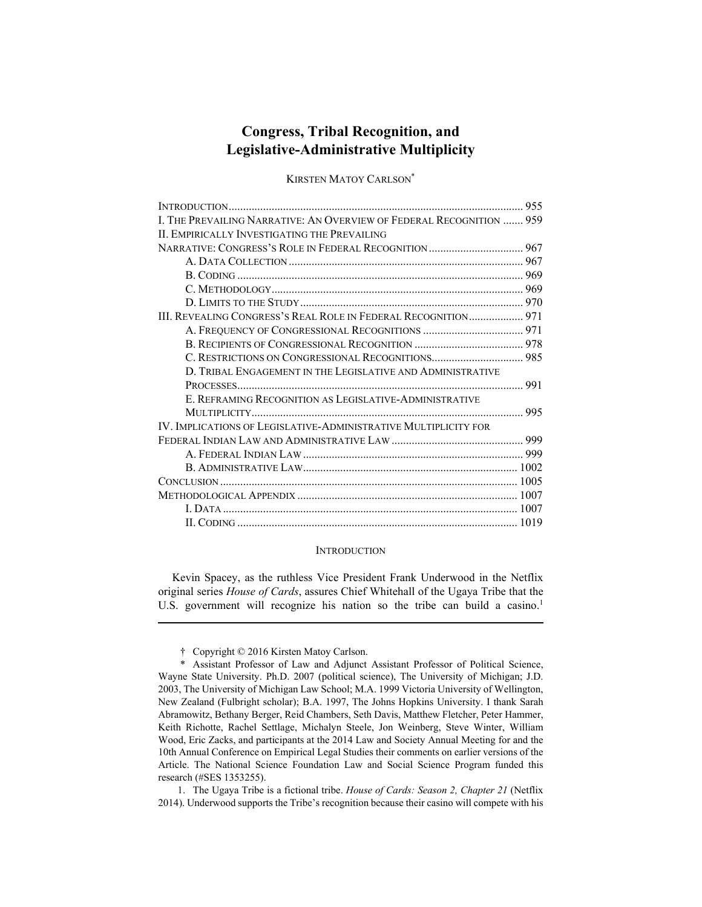## **Congress, Tribal Recognition, and Legislative-Administrative Multiplicity**

KIRSTEN MATOY CARLSON\*

| I. THE PREVAILING NARRATIVE: AN OVERVIEW OF FEDERAL RECOGNITION  959 |  |
|----------------------------------------------------------------------|--|
| II. EMPIRICALLY INVESTIGATING THE PREVAILING                         |  |
|                                                                      |  |
|                                                                      |  |
|                                                                      |  |
|                                                                      |  |
|                                                                      |  |
| III. REVEALING CONGRESS'S REAL ROLE IN FEDERAL RECOGNITION 971       |  |
|                                                                      |  |
|                                                                      |  |
|                                                                      |  |
| D. TRIBAL ENGAGEMENT IN THE LEGISLATIVE AND ADMINISTRATIVE           |  |
|                                                                      |  |
| E. REFRAMING RECOGNITION AS LEGISLATIVE-ADMINISTRATIVE               |  |
|                                                                      |  |
| IV. IMPLICATIONS OF LEGISLATIVE-ADMINISTRATIVE MULTIPLICITY FOR      |  |
|                                                                      |  |
|                                                                      |  |
|                                                                      |  |
|                                                                      |  |
|                                                                      |  |
|                                                                      |  |
|                                                                      |  |

#### **INTRODUCTION**

Kevin Spacey, as the ruthless Vice President Frank Underwood in the Netflix original series *House of Cards*, assures Chief Whitehall of the Ugaya Tribe that the U.S. government will recognize his nation so the tribe can build a casino.<sup>1</sup>

† Copyright © 2016 Kirsten Matoy Carlson.

Assistant Professor of Law and Adjunct Assistant Professor of Political Science, Wayne State University. Ph.D. 2007 (political science), The University of Michigan; J.D. 2003, The University of Michigan Law School; M.A. 1999 Victoria University of Wellington, New Zealand (Fulbright scholar); B.A. 1997, The Johns Hopkins University. I thank Sarah Abramowitz, Bethany Berger, Reid Chambers, Seth Davis, Matthew Fletcher, Peter Hammer, Keith Richotte, Rachel Settlage, Michalyn Steele, Jon Weinberg, Steve Winter, William Wood, Eric Zacks, and participants at the 2014 Law and Society Annual Meeting for and the 10th Annual Conference on Empirical Legal Studies their comments on earlier versions of the Article. The National Science Foundation Law and Social Science Program funded this research (#SES 1353255).

 <sup>1.</sup> The Ugaya Tribe is a fictional tribe. *House of Cards: Season 2, Chapter 21* (Netflix 2014). Underwood supports the Tribe's recognition because their casino will compete with his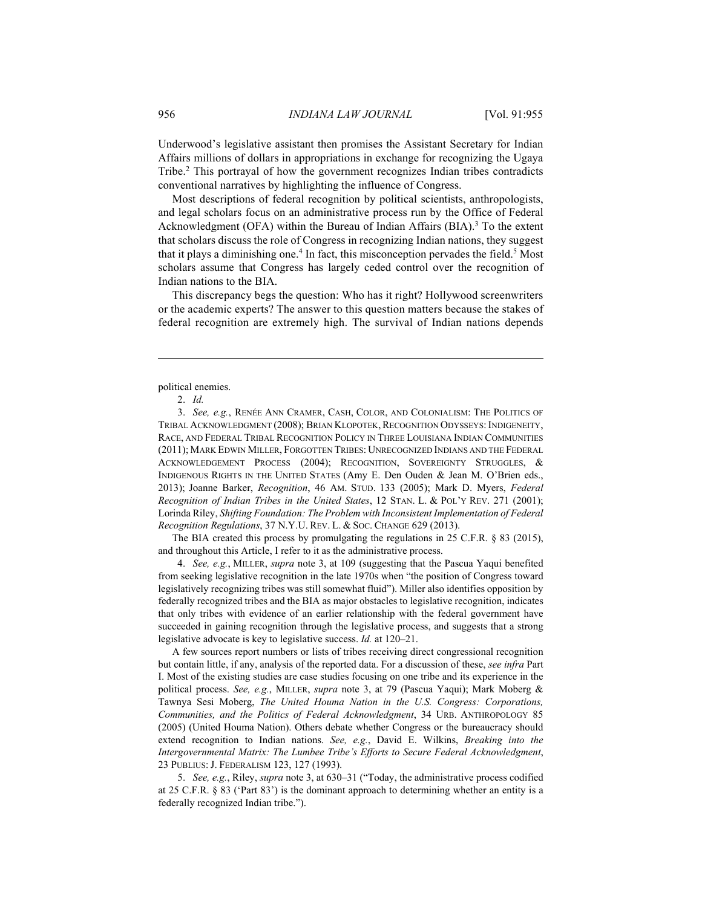Underwood's legislative assistant then promises the Assistant Secretary for Indian Affairs millions of dollars in appropriations in exchange for recognizing the Ugaya Tribe.2 This portrayal of how the government recognizes Indian tribes contradicts conventional narratives by highlighting the influence of Congress.

Most descriptions of federal recognition by political scientists, anthropologists, and legal scholars focus on an administrative process run by the Office of Federal Acknowledgment (OFA) within the Bureau of Indian Affairs (BIA).<sup>3</sup> To the extent that scholars discuss the role of Congress in recognizing Indian nations, they suggest that it plays a diminishing one.<sup>4</sup> In fact, this misconception pervades the field.<sup>5</sup> Most scholars assume that Congress has largely ceded control over the recognition of Indian nations to the BIA.

This discrepancy begs the question: Who has it right? Hollywood screenwriters or the academic experts? The answer to this question matters because the stakes of federal recognition are extremely high. The survival of Indian nations depends

political enemies.

2. *Id.*

1

 3. *See, e.g.*, RENÉE ANN CRAMER, CASH, COLOR, AND COLONIALISM: THE POLITICS OF TRIBAL ACKNOWLEDGMENT (2008); BRIAN KLOPOTEK, RECOGNITION ODYSSEYS: INDIGENEITY, RACE, AND FEDERAL TRIBAL RECOGNITION POLICY IN THREE LOUISIANA INDIAN COMMUNITIES (2011); MARK EDWIN MILLER, FORGOTTEN TRIBES: UNRECOGNIZED INDIANS AND THE FEDERAL ACKNOWLEDGEMENT PROCESS (2004); RECOGNITION, SOVEREIGNTY STRUGGLES, & INDIGENOUS RIGHTS IN THE UNITED STATES (Amy E. Den Ouden & Jean M. O'Brien eds., 2013); Joanne Barker, *Recognition*, 46 AM. STUD. 133 (2005); Mark D. Myers, *Federal Recognition of Indian Tribes in the United States*, 12 STAN. L. & POL'Y REV. 271 (2001); Lorinda Riley, *Shifting Foundation: The Problem with Inconsistent Implementation of Federal Recognition Regulations*, 37 N.Y.U. REV. L. & SOC. CHANGE 629 (2013).

The BIA created this process by promulgating the regulations in 25 C.F.R. § 83 (2015), and throughout this Article, I refer to it as the administrative process.

 4. *See, e.g.*, MILLER, *supra* note 3, at 109 (suggesting that the Pascua Yaqui benefited from seeking legislative recognition in the late 1970s when "the position of Congress toward legislatively recognizing tribes was still somewhat fluid"). Miller also identifies opposition by federally recognized tribes and the BIA as major obstacles to legislative recognition, indicates that only tribes with evidence of an earlier relationship with the federal government have succeeded in gaining recognition through the legislative process, and suggests that a strong legislative advocate is key to legislative success. *Id.* at 120–21.

A few sources report numbers or lists of tribes receiving direct congressional recognition but contain little, if any, analysis of the reported data. For a discussion of these, *see infra* Part I. Most of the existing studies are case studies focusing on one tribe and its experience in the political process. *See, e.g.*, MILLER, *supra* note 3, at 79 (Pascua Yaqui); Mark Moberg & Tawnya Sesi Moberg, *The United Houma Nation in the U.S. Congress: Corporations, Communities, and the Politics of Federal Acknowledgment*, 34 URB. ANTHROPOLOGY 85 (2005) (United Houma Nation). Others debate whether Congress or the bureaucracy should extend recognition to Indian nations. *See, e.g.*, David E. Wilkins, *Breaking into the Intergovernmental Matrix: The Lumbee Tribe's Efforts to Secure Federal Acknowledgment*, 23 PUBLIUS: J. FEDERALISM 123, 127 (1993).

 5. *See, e.g.*, Riley, *supra* note 3, at 630–31 ("Today, the administrative process codified at 25 C.F.R. § 83 ('Part 83') is the dominant approach to determining whether an entity is a federally recognized Indian tribe.").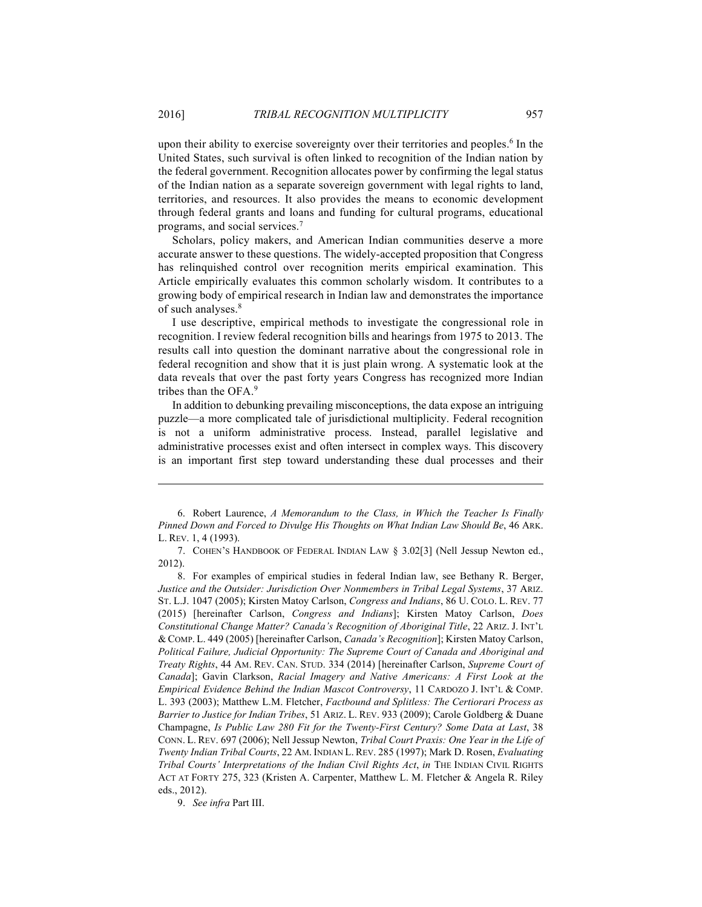upon their ability to exercise sovereignty over their territories and peoples.<sup>6</sup> In the United States, such survival is often linked to recognition of the Indian nation by the federal government. Recognition allocates power by confirming the legal status of the Indian nation as a separate sovereign government with legal rights to land, territories, and resources. It also provides the means to economic development through federal grants and loans and funding for cultural programs, educational programs, and social services.7

Scholars, policy makers, and American Indian communities deserve a more accurate answer to these questions. The widely-accepted proposition that Congress has relinquished control over recognition merits empirical examination. This Article empirically evaluates this common scholarly wisdom. It contributes to a growing body of empirical research in Indian law and demonstrates the importance of such analyses.<sup>8</sup>

I use descriptive, empirical methods to investigate the congressional role in recognition. I review federal recognition bills and hearings from 1975 to 2013. The results call into question the dominant narrative about the congressional role in federal recognition and show that it is just plain wrong. A systematic look at the data reveals that over the past forty years Congress has recognized more Indian tribes than the OFA.9

In addition to debunking prevailing misconceptions, the data expose an intriguing puzzle—a more complicated tale of jurisdictional multiplicity. Federal recognition is not a uniform administrative process. Instead, parallel legislative and administrative processes exist and often intersect in complex ways. This discovery is an important first step toward understanding these dual processes and their

 6. Robert Laurence, *A Memorandum to the Class, in Which the Teacher Is Finally Pinned Down and Forced to Divulge His Thoughts on What Indian Law Should Be*, 46 ARK. L. REV. 1, 4 (1993).

 7. COHEN'S HANDBOOK OF FEDERAL INDIAN LAW § 3.02[3] (Nell Jessup Newton ed., 2012).

 8. For examples of empirical studies in federal Indian law, see Bethany R. Berger, *Justice and the Outsider: Jurisdiction Over Nonmembers in Tribal Legal Systems*, 37 ARIZ. ST. L.J. 1047 (2005); Kirsten Matoy Carlson, *Congress and Indians*, 86 U. COLO. L. REV. 77 (2015) [hereinafter Carlson, *Congress and Indians*]; Kirsten Matoy Carlson, *Does Constitutional Change Matter? Canada's Recognition of Aboriginal Title*, 22 ARIZ. J. INT'L & COMP. L. 449 (2005) [hereinafter Carlson, *Canada's Recognition*]; Kirsten Matoy Carlson, *Political Failure, Judicial Opportunity: The Supreme Court of Canada and Aboriginal and Treaty Rights*, 44 AM. REV. CAN. STUD. 334 (2014) [hereinafter Carlson, *Supreme Court of Canada*]; Gavin Clarkson, *Racial Imagery and Native Americans: A First Look at the Empirical Evidence Behind the Indian Mascot Controversy*, 11 CARDOZO J. INT'L & COMP. L. 393 (2003); Matthew L.M. Fletcher, *Factbound and Splitless: The Certiorari Process as Barrier to Justice for Indian Tribes*, 51 ARIZ. L. REV. 933 (2009); Carole Goldberg & Duane Champagne, *Is Public Law 280 Fit for the Twenty-First Century? Some Data at Last*, 38 CONN. L. REV. 697 (2006); Nell Jessup Newton, *Tribal Court Praxis: One Year in the Life of Twenty Indian Tribal Courts*, 22 AM. INDIAN L. REV. 285 (1997); Mark D. Rosen, *Evaluating Tribal Courts' Interpretations of the Indian Civil Rights Act*, *in* THE INDIAN CIVIL RIGHTS ACT AT FORTY 275, 323 (Kristen A. Carpenter, Matthew L. M. Fletcher & Angela R. Riley eds., 2012).

9. *See infra* Part III.

<u>.</u>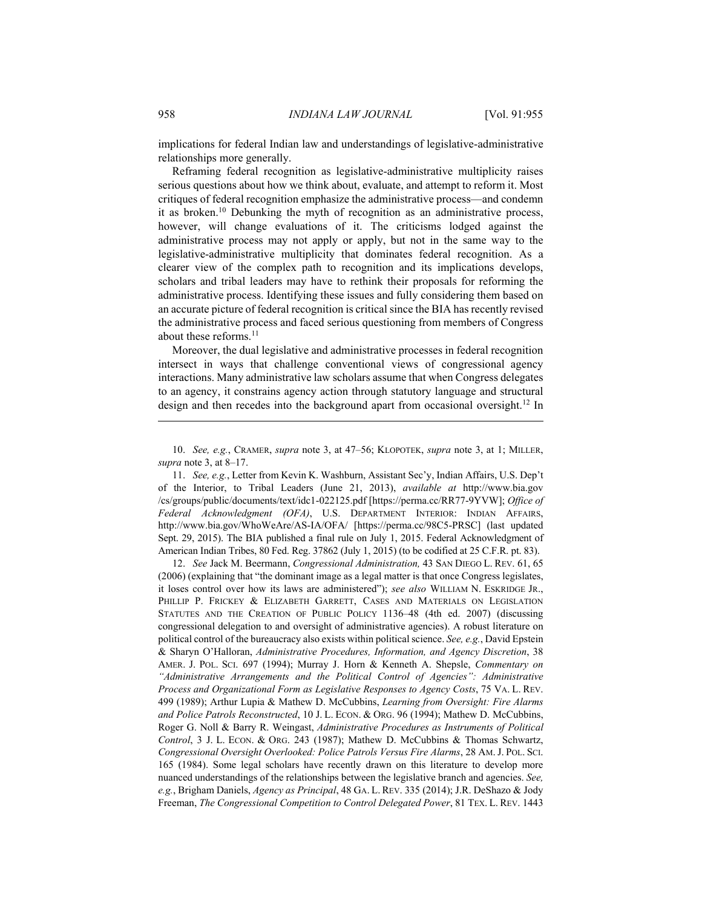implications for federal Indian law and understandings of legislative-administrative relationships more generally.

Reframing federal recognition as legislative-administrative multiplicity raises serious questions about how we think about, evaluate, and attempt to reform it. Most critiques of federal recognition emphasize the administrative process—and condemn it as broken.10 Debunking the myth of recognition as an administrative process, however, will change evaluations of it. The criticisms lodged against the administrative process may not apply or apply, but not in the same way to the legislative-administrative multiplicity that dominates federal recognition. As a clearer view of the complex path to recognition and its implications develops, scholars and tribal leaders may have to rethink their proposals for reforming the administrative process. Identifying these issues and fully considering them based on an accurate picture of federal recognition is critical since the BIA has recently revised the administrative process and faced serious questioning from members of Congress about these reforms.<sup>11</sup>

Moreover, the dual legislative and administrative processes in federal recognition intersect in ways that challenge conventional views of congressional agency interactions. Many administrative law scholars assume that when Congress delegates to an agency, it constrains agency action through statutory language and structural design and then recedes into the background apart from occasional oversight.<sup>12</sup> In

 11. *See, e.g.*, Letter from Kevin K. Washburn, Assistant Sec'y, Indian Affairs, U.S. Dep't of the Interior, to Tribal Leaders (June 21, 2013), *available at* http://www.bia.gov /cs/groups/public/documents/text/idc1-022125.pdf [https://perma.cc/RR77-9YVW]; *Office of Federal Acknowledgment (OFA)*, U.S. DEPARTMENT INTERIOR: INDIAN AFFAIRS, http://www.bia.gov/WhoWeAre/AS-IA/OFA/ [https://perma.cc/98C5-PRSC] (last updated Sept. 29, 2015). The BIA published a final rule on July 1, 2015. Federal Acknowledgment of American Indian Tribes, 80 Fed. Reg. 37862 (July 1, 2015) (to be codified at 25 C.F.R. pt. 83).

 12. *See* Jack M. Beermann, *Congressional Administration,* 43 SAN DIEGO L. REV. 61, 65 (2006) (explaining that "the dominant image as a legal matter is that once Congress legislates, it loses control over how its laws are administered"); *see also* WILLIAM N. ESKRIDGE JR., PHILLIP P. FRICKEY & ELIZABETH GARRETT, CASES AND MATERIALS ON LEGISLATION STATUTES AND THE CREATION OF PUBLIC POLICY 1136–48 (4th ed. 2007) (discussing congressional delegation to and oversight of administrative agencies). A robust literature on political control of the bureaucracy also exists within political science. *See, e.g.*, David Epstein & Sharyn O'Halloran, *Administrative Procedures, Information, and Agency Discretion*, 38 AMER. J. POL. SCI. 697 (1994); Murray J. Horn & Kenneth A. Shepsle, *Commentary on "Administrative Arrangements and the Political Control of Agencies": Administrative Process and Organizational Form as Legislative Responses to Agency Costs*, 75 VA. L. REV. 499 (1989); Arthur Lupia & Mathew D. McCubbins, *Learning from Oversight: Fire Alarms and Police Patrols Reconstructed*, 10 J. L. ECON. & ORG. 96 (1994); Mathew D. McCubbins, Roger G. Noll & Barry R. Weingast, *Administrative Procedures as Instruments of Political Control*, 3 J. L. ECON. & ORG. 243 (1987); Mathew D. McCubbins & Thomas Schwartz, *Congressional Oversight Overlooked: Police Patrols Versus Fire Alarms*, 28 AM.J. POL. SCI. 165 (1984). Some legal scholars have recently drawn on this literature to develop more nuanced understandings of the relationships between the legislative branch and agencies. *See, e.g.*, Brigham Daniels, *Agency as Principal*, 48 GA. L. REV. 335 (2014); J.R. DeShazo & Jody Freeman, *The Congressional Competition to Control Delegated Power*, 81 TEX. L. REV. 1443

 <sup>10.</sup> *See, e.g.*, CRAMER, *supra* note 3, at 47–56; KLOPOTEK, *supra* note 3, at 1; MILLER, *supra* note 3, at 8–17.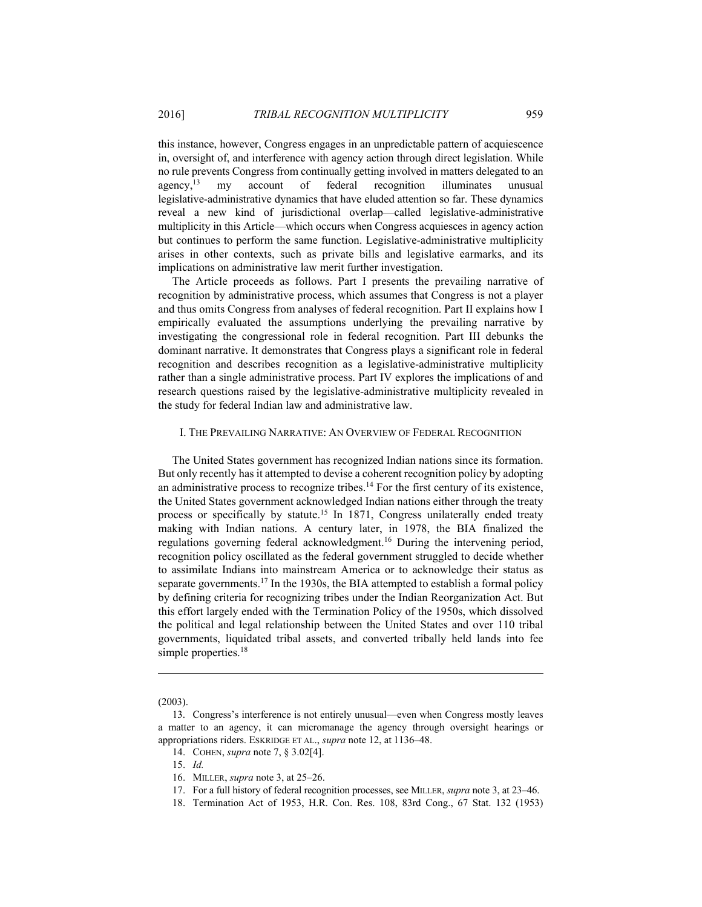this instance, however, Congress engages in an unpredictable pattern of acquiescence in, oversight of, and interference with agency action through direct legislation. While no rule prevents Congress from continually getting involved in matters delegated to an agency,<sup>13</sup> my account of federal recognition illuminates unusual legislative-administrative dynamics that have eluded attention so far. These dynamics reveal a new kind of jurisdictional overlap—called legislative-administrative multiplicity in this Article—which occurs when Congress acquiesces in agency action but continues to perform the same function. Legislative-administrative multiplicity arises in other contexts, such as private bills and legislative earmarks, and its implications on administrative law merit further investigation.

The Article proceeds as follows. Part I presents the prevailing narrative of recognition by administrative process, which assumes that Congress is not a player and thus omits Congress from analyses of federal recognition. Part II explains how I empirically evaluated the assumptions underlying the prevailing narrative by investigating the congressional role in federal recognition. Part III debunks the dominant narrative. It demonstrates that Congress plays a significant role in federal recognition and describes recognition as a legislative-administrative multiplicity rather than a single administrative process. Part IV explores the implications of and research questions raised by the legislative-administrative multiplicity revealed in the study for federal Indian law and administrative law.

#### I. THE PREVAILING NARRATIVE: AN OVERVIEW OF FEDERAL RECOGNITION

The United States government has recognized Indian nations since its formation. But only recently has it attempted to devise a coherent recognition policy by adopting an administrative process to recognize tribes.<sup>14</sup> For the first century of its existence, the United States government acknowledged Indian nations either through the treaty process or specifically by statute.<sup>15</sup> In 1871, Congress unilaterally ended treaty making with Indian nations. A century later, in 1978, the BIA finalized the regulations governing federal acknowledgment.16 During the intervening period, recognition policy oscillated as the federal government struggled to decide whether to assimilate Indians into mainstream America or to acknowledge their status as separate governments.17 In the 1930s, the BIA attempted to establish a formal policy by defining criteria for recognizing tribes under the Indian Reorganization Act. But this effort largely ended with the Termination Policy of the 1950s, which dissolved the political and legal relationship between the United States and over 110 tribal governments, liquidated tribal assets, and converted tribally held lands into fee simple properties.<sup>18</sup>

(2003).

<u>.</u>

 <sup>13.</sup> Congress's interference is not entirely unusual—even when Congress mostly leaves a matter to an agency, it can micromanage the agency through oversight hearings or appropriations riders. ESKRIDGE ET AL., *supra* note 12, at 1136–48.

 <sup>14.</sup> COHEN, *supra* note 7, § 3.02[4].

 <sup>15.</sup> *Id.*

 <sup>16.</sup> MILLER, *supra* note 3, at 25–26.

 <sup>17.</sup> For a full history of federal recognition processes, see MILLER, *supra* note 3, at 23–46.

 <sup>18.</sup> Termination Act of 1953, H.R. Con. Res. 108, 83rd Cong., 67 Stat. 132 (1953)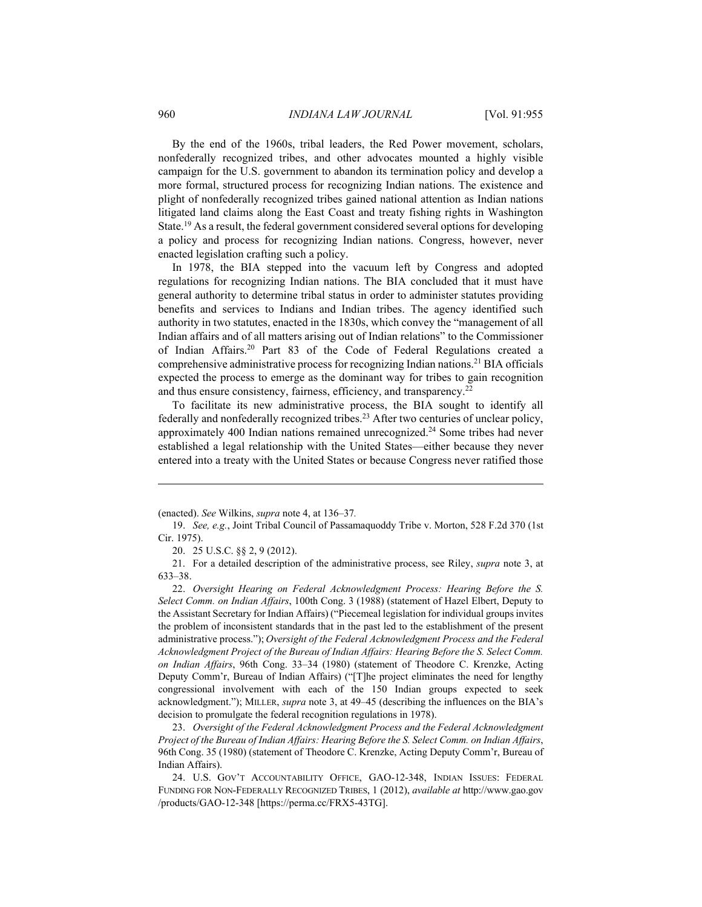By the end of the 1960s, tribal leaders, the Red Power movement, scholars, nonfederally recognized tribes, and other advocates mounted a highly visible campaign for the U.S. government to abandon its termination policy and develop a more formal, structured process for recognizing Indian nations. The existence and plight of nonfederally recognized tribes gained national attention as Indian nations litigated land claims along the East Coast and treaty fishing rights in Washington State.19 As a result, the federal government considered several options for developing a policy and process for recognizing Indian nations. Congress, however, never enacted legislation crafting such a policy.

In 1978, the BIA stepped into the vacuum left by Congress and adopted regulations for recognizing Indian nations. The BIA concluded that it must have general authority to determine tribal status in order to administer statutes providing benefits and services to Indians and Indian tribes. The agency identified such authority in two statutes, enacted in the 1830s, which convey the "management of all Indian affairs and of all matters arising out of Indian relations" to the Commissioner of Indian Affairs.20 Part 83 of the Code of Federal Regulations created a comprehensive administrative process for recognizing Indian nations.21 BIA officials expected the process to emerge as the dominant way for tribes to gain recognition and thus ensure consistency, fairness, efficiency, and transparency.22

To facilitate its new administrative process, the BIA sought to identify all federally and nonfederally recognized tribes.23 After two centuries of unclear policy, approximately 400 Indian nations remained unrecognized.24 Some tribes had never established a legal relationship with the United States—either because they never entered into a treaty with the United States or because Congress never ratified those

20. 25 U.S.C. §§ 2, 9 (2012).

 21. For a detailed description of the administrative process, see Riley, *supra* note 3, at 633–38.

 22. *Oversight Hearing on Federal Acknowledgment Process: Hearing Before the S. Select Comm. on Indian Affairs*, 100th Cong. 3 (1988) (statement of Hazel Elbert, Deputy to the Assistant Secretary for Indian Affairs) ("Piecemeal legislation for individual groups invites the problem of inconsistent standards that in the past led to the establishment of the present administrative process."); *Oversight of the Federal Acknowledgment Process and the Federal Acknowledgment Project of the Bureau of Indian Affairs: Hearing Before the S. Select Comm. on Indian Affairs*, 96th Cong. 33–34 (1980) (statement of Theodore C. Krenzke, Acting Deputy Comm'r, Bureau of Indian Affairs) ("[T]he project eliminates the need for lengthy congressional involvement with each of the 150 Indian groups expected to seek acknowledgment."); MILLER, *supra* note 3, at 49–45 (describing the influences on the BIA's decision to promulgate the federal recognition regulations in 1978).

 23. *Oversight of the Federal Acknowledgment Process and the Federal Acknowledgment Project of the Bureau of Indian Affairs: Hearing Before the S. Select Comm. on Indian Affairs*, 96th Cong. 35 (1980) (statement of Theodore C. Krenzke, Acting Deputy Comm'r, Bureau of Indian Affairs).

 24. U.S. GOV'T ACCOUNTABILITY OFFICE, GAO-12-348, INDIAN ISSUES: FEDERAL FUNDING FOR NON-FEDERALLY RECOGNIZED TRIBES, 1 (2012), *available at* http://www.gao.gov /products/GAO-12-348 [https://perma.cc/FRX5-43TG].

<u>.</u>

<sup>(</sup>enacted). *See* Wilkins, *supra* note 4, at 136–37*.*

 <sup>19.</sup> *See, e.g.*, Joint Tribal Council of Passamaquoddy Tribe v. Morton, 528 F.2d 370 (1st Cir. 1975).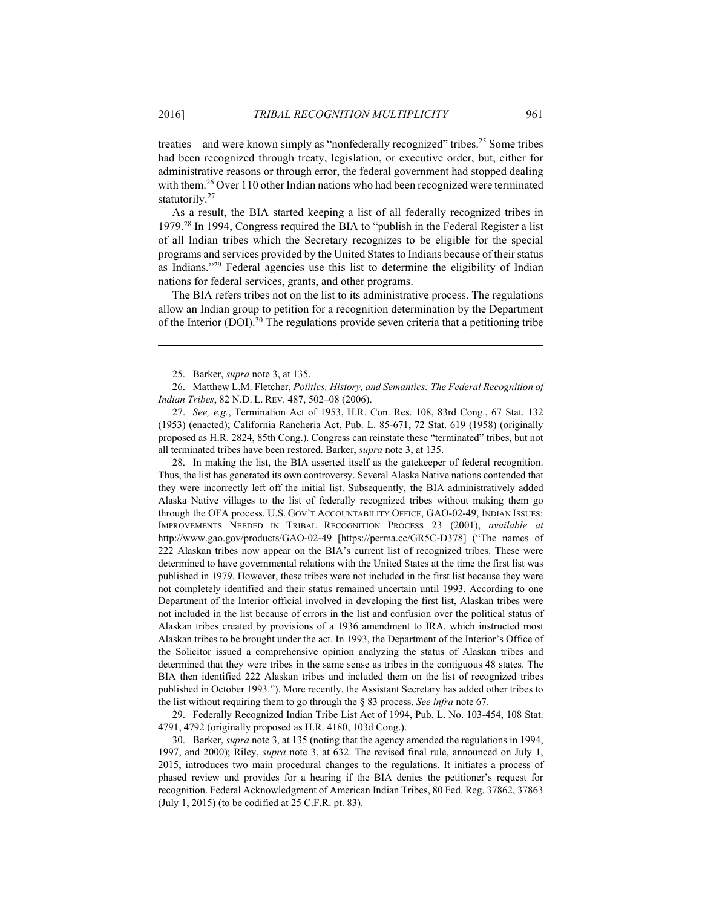1

treaties—and were known simply as "nonfederally recognized" tribes.<sup>25</sup> Some tribes had been recognized through treaty, legislation, or executive order, but, either for administrative reasons or through error, the federal government had stopped dealing with them.<sup>26</sup> Over 110 other Indian nations who had been recognized were terminated statutorily.<sup>27</sup>

As a result, the BIA started keeping a list of all federally recognized tribes in 1979.28 In 1994, Congress required the BIA to "publish in the Federal Register a list of all Indian tribes which the Secretary recognizes to be eligible for the special programs and services provided by the United States to Indians because of their status as Indians."29 Federal agencies use this list to determine the eligibility of Indian nations for federal services, grants, and other programs.

The BIA refers tribes not on the list to its administrative process. The regulations allow an Indian group to petition for a recognition determination by the Department of the Interior (DOI).<sup>30</sup> The regulations provide seven criteria that a petitioning tribe

25. Barker, *supra* note 3, at 135.

 27. *See, e.g.*, Termination Act of 1953, H.R. Con. Res. 108, 83rd Cong., 67 Stat. 132 (1953) (enacted); California Rancheria Act, Pub. L. 85-671, 72 Stat. 619 (1958) (originally proposed as H.R. 2824, 85th Cong.). Congress can reinstate these "terminated" tribes, but not all terminated tribes have been restored. Barker, *supra* note 3, at 135.

 28. In making the list, the BIA asserted itself as the gatekeeper of federal recognition. Thus, the list has generated its own controversy. Several Alaska Native nations contended that they were incorrectly left off the initial list. Subsequently, the BIA administratively added Alaska Native villages to the list of federally recognized tribes without making them go through the OFA process. U.S. GOV'T ACCOUNTABILITY OFFICE, GAO-02-49, INDIAN ISSUES: IMPROVEMENTS NEEDED IN TRIBAL RECOGNITION PROCESS 23 (2001), *available at*  http://www.gao.gov/products/GAO-02-49 [https://perma.cc/GR5C-D378] ("The names of 222 Alaskan tribes now appear on the BIA's current list of recognized tribes. These were determined to have governmental relations with the United States at the time the first list was published in 1979. However, these tribes were not included in the first list because they were not completely identified and their status remained uncertain until 1993. According to one Department of the Interior official involved in developing the first list, Alaskan tribes were not included in the list because of errors in the list and confusion over the political status of Alaskan tribes created by provisions of a 1936 amendment to IRA, which instructed most Alaskan tribes to be brought under the act. In 1993, the Department of the Interior's Office of the Solicitor issued a comprehensive opinion analyzing the status of Alaskan tribes and determined that they were tribes in the same sense as tribes in the contiguous 48 states. The BIA then identified 222 Alaskan tribes and included them on the list of recognized tribes published in October 1993."). More recently, the Assistant Secretary has added other tribes to the list without requiring them to go through the § 83 process. *See infra* note 67.

 29. Federally Recognized Indian Tribe List Act of 1994, Pub. L. No. 103-454, 108 Stat. 4791, 4792 (originally proposed as H.R. 4180, 103d Cong.).

 30. Barker, *supra* note 3, at 135 (noting that the agency amended the regulations in 1994, 1997, and 2000); Riley, *supra* note 3, at 632. The revised final rule, announced on July 1, 2015, introduces two main procedural changes to the regulations. It initiates a process of phased review and provides for a hearing if the BIA denies the petitioner's request for recognition. Federal Acknowledgment of American Indian Tribes, 80 Fed. Reg. 37862, 37863 (July 1, 2015) (to be codified at 25 C.F.R. pt. 83).

 <sup>26.</sup> Matthew L.M. Fletcher, *Politics, History, and Semantics: The Federal Recognition of Indian Tribes*, 82 N.D. L. REV. 487, 502–08 (2006).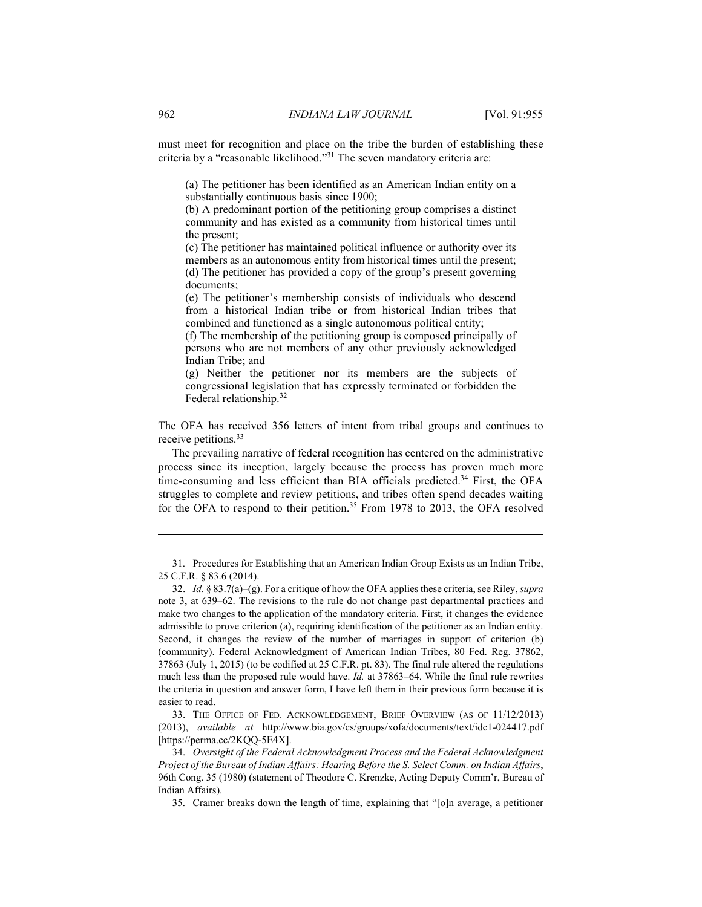must meet for recognition and place on the tribe the burden of establishing these criteria by a "reasonable likelihood."31 The seven mandatory criteria are:

(a) The petitioner has been identified as an American Indian entity on a substantially continuous basis since 1900;

(b) A predominant portion of the petitioning group comprises a distinct community and has existed as a community from historical times until the present;

(c) The petitioner has maintained political influence or authority over its members as an autonomous entity from historical times until the present; (d) The petitioner has provided a copy of the group's present governing documents;

(e) The petitioner's membership consists of individuals who descend from a historical Indian tribe or from historical Indian tribes that combined and functioned as a single autonomous political entity;

(f) The membership of the petitioning group is composed principally of persons who are not members of any other previously acknowledged Indian Tribe; and

(g) Neither the petitioner nor its members are the subjects of congressional legislation that has expressly terminated or forbidden the Federal relationship.<sup>32</sup>

The OFA has received 356 letters of intent from tribal groups and continues to receive petitions.<sup>33</sup>

The prevailing narrative of federal recognition has centered on the administrative process since its inception, largely because the process has proven much more time-consuming and less efficient than BIA officials predicted.<sup>34</sup> First, the OFA struggles to complete and review petitions, and tribes often spend decades waiting for the OFA to respond to their petition.<sup>35</sup> From 1978 to 2013, the OFA resolved

 31. Procedures for Establishing that an American Indian Group Exists as an Indian Tribe, 25 C.F.R. § 83.6 (2014).

 32. *Id.* § 83.7(a)–(g). For a critique of how the OFA applies these criteria, see Riley, *supra* note 3, at 639–62. The revisions to the rule do not change past departmental practices and make two changes to the application of the mandatory criteria. First, it changes the evidence admissible to prove criterion (a), requiring identification of the petitioner as an Indian entity. Second, it changes the review of the number of marriages in support of criterion (b) (community). Federal Acknowledgment of American Indian Tribes, 80 Fed. Reg. 37862, 37863 (July 1, 2015) (to be codified at 25 C.F.R. pt. 83). The final rule altered the regulations much less than the proposed rule would have. *Id.* at 37863–64. While the final rule rewrites the criteria in question and answer form, I have left them in their previous form because it is easier to read.

 33. THE OFFICE OF FED. ACKNOWLEDGEMENT, BRIEF OVERVIEW (AS OF 11/12/2013) (2013), *available at* http://www.bia.gov/cs/groups/xofa/documents/text/idc1-024417.pdf [https://perma.cc/2KQQ-5E4X].

 34. *Oversight of the Federal Acknowledgment Process and the Federal Acknowledgment Project of the Bureau of Indian Affairs: Hearing Before the S. Select Comm. on Indian Affairs*, 96th Cong. 35 (1980) (statement of Theodore C. Krenzke, Acting Deputy Comm'r, Bureau of Indian Affairs).

35. Cramer breaks down the length of time, explaining that "[o]n average, a petitioner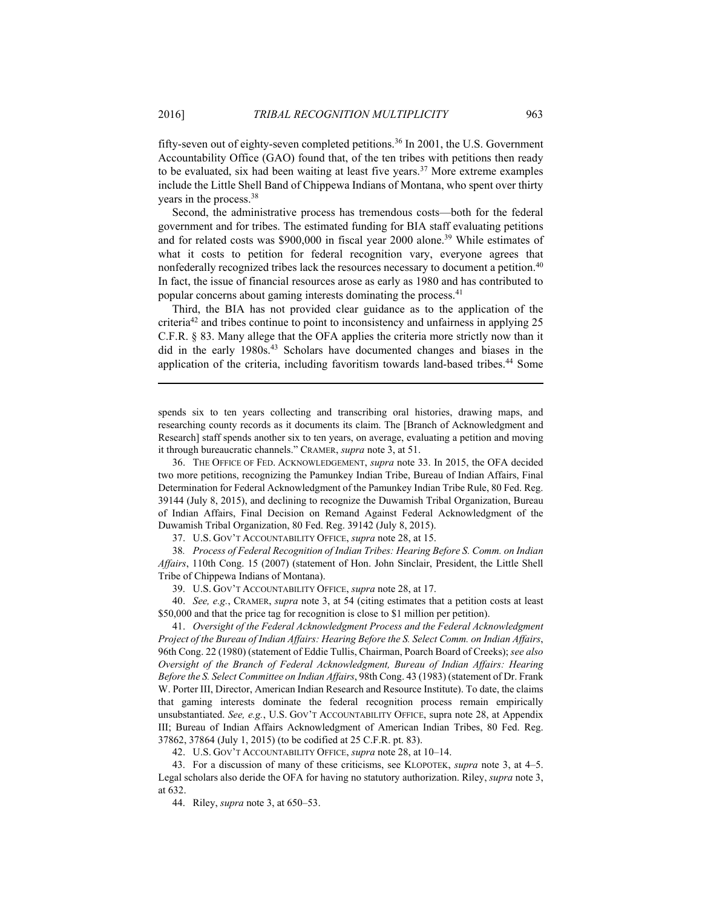fifty-seven out of eighty-seven completed petitions.36 In 2001, the U.S. Government Accountability Office (GAO) found that, of the ten tribes with petitions then ready to be evaluated, six had been waiting at least five years.<sup>37</sup> More extreme examples include the Little Shell Band of Chippewa Indians of Montana, who spent over thirty years in the process.<sup>38</sup>

Second, the administrative process has tremendous costs—both for the federal government and for tribes. The estimated funding for BIA staff evaluating petitions and for related costs was \$900,000 in fiscal year 2000 alone.39 While estimates of what it costs to petition for federal recognition vary, everyone agrees that nonfederally recognized tribes lack the resources necessary to document a petition.<sup>40</sup> In fact, the issue of financial resources arose as early as 1980 and has contributed to popular concerns about gaming interests dominating the process.41

Third, the BIA has not provided clear guidance as to the application of the criteria42 and tribes continue to point to inconsistency and unfairness in applying 25 C.F.R. § 83. Many allege that the OFA applies the criteria more strictly now than it did in the early 1980s.<sup>43</sup> Scholars have documented changes and biases in the application of the criteria, including favoritism towards land-based tribes.<sup>44</sup> Some

spends six to ten years collecting and transcribing oral histories, drawing maps, and researching county records as it documents its claim. The [Branch of Acknowledgment and Research] staff spends another six to ten years, on average, evaluating a petition and moving it through bureaucratic channels." CRAMER, *supra* note 3, at 51.

 36. THE OFFICE OF FED. ACKNOWLEDGEMENT, *supra* note 33. In 2015, the OFA decided two more petitions, recognizing the Pamunkey Indian Tribe, Bureau of Indian Affairs, Final Determination for Federal Acknowledgment of the Pamunkey Indian Tribe Rule, 80 Fed. Reg. 39144 (July 8, 2015), and declining to recognize the Duwamish Tribal Organization, Bureau of Indian Affairs, Final Decision on Remand Against Federal Acknowledgment of the Duwamish Tribal Organization, 80 Fed. Reg. 39142 (July 8, 2015).

37. U.S. GOV'T ACCOUNTABILITY OFFICE, *supra* note 28, at 15.

38*. Process of Federal Recognition of Indian Tribes: Hearing Before S. Comm. on Indian Affairs*, 110th Cong. 15 (2007) (statement of Hon. John Sinclair, President, the Little Shell Tribe of Chippewa Indians of Montana).

39. U.S. GOV'T ACCOUNTABILITY OFFICE, *supra* note 28, at 17.

 40. *See, e.g.*, CRAMER, *supra* note 3, at 54 (citing estimates that a petition costs at least \$50,000 and that the price tag for recognition is close to \$1 million per petition).

 41. *Oversight of the Federal Acknowledgment Process and the Federal Acknowledgment Project of the Bureau of Indian Affairs: Hearing Before the S. Select Comm. on Indian Affairs*, 96th Cong. 22 (1980) (statement of Eddie Tullis, Chairman, Poarch Board of Creeks); *see also Oversight of the Branch of Federal Acknowledgment, Bureau of Indian Affairs: Hearing Before the S. Select Committee on Indian Affairs*, 98th Cong. 43 (1983) (statement of Dr. Frank W. Porter III, Director, American Indian Research and Resource Institute). To date, the claims that gaming interests dominate the federal recognition process remain empirically unsubstantiated. *See, e.g.*, U.S. GOV'T ACCOUNTABILITY OFFICE, supra note 28, at Appendix III; Bureau of Indian Affairs Acknowledgment of American Indian Tribes, 80 Fed. Reg. 37862, 37864 (July 1, 2015) (to be codified at 25 C.F.R. pt. 83).

42. U.S. GOV'T ACCOUNTABILITY OFFICE, *supra* note 28, at 10–14.

 43. For a discussion of many of these criticisms, see KLOPOTEK, *supra* note 3, at 4–5. Legal scholars also deride the OFA for having no statutory authorization. Riley, *supra* note 3, at 632.

44. Riley, *supra* note 3, at 650–53.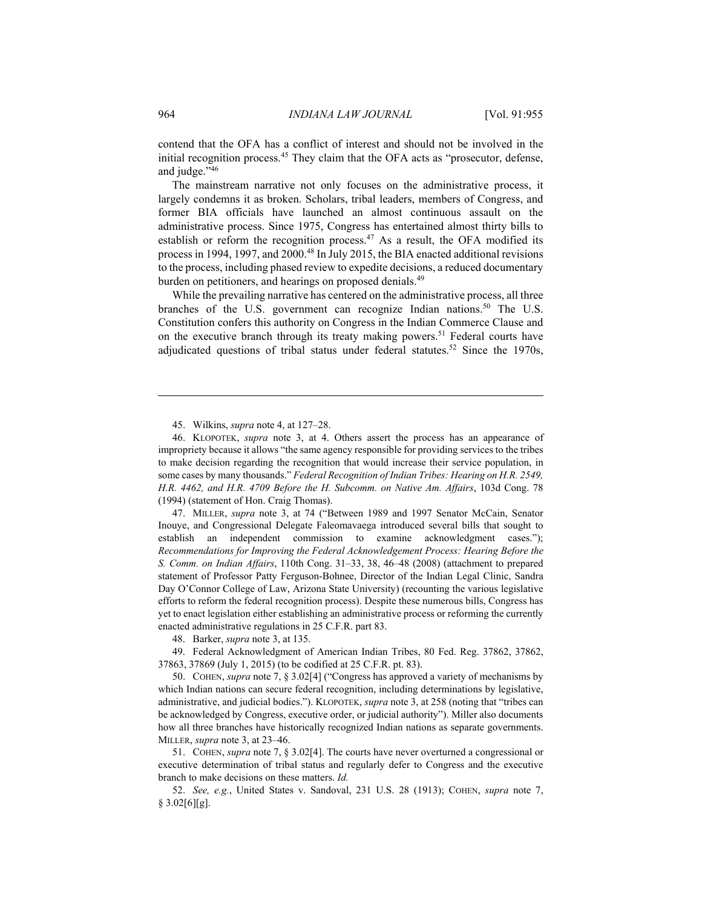contend that the OFA has a conflict of interest and should not be involved in the initial recognition process.<sup>45</sup> They claim that the OFA acts as "prosecutor, defense, and judge."46

The mainstream narrative not only focuses on the administrative process, it largely condemns it as broken. Scholars, tribal leaders, members of Congress, and former BIA officials have launched an almost continuous assault on the administrative process. Since 1975, Congress has entertained almost thirty bills to establish or reform the recognition process. $47$  As a result, the OFA modified its process in 1994, 1997, and 2000.<sup>48</sup> In July 2015, the BIA enacted additional revisions to the process, including phased review to expedite decisions, a reduced documentary burden on petitioners, and hearings on proposed denials.<sup>49</sup>

While the prevailing narrative has centered on the administrative process, all three branches of the U.S. government can recognize Indian nations.<sup>50</sup> The U.S. Constitution confers this authority on Congress in the Indian Commerce Clause and on the executive branch through its treaty making powers.<sup>51</sup> Federal courts have adjudicated questions of tribal status under federal statutes.<sup>52</sup> Since the 1970s,

 47. MILLER, *supra* note 3, at 74 ("Between 1989 and 1997 Senator McCain, Senator Inouye, and Congressional Delegate Faleomavaega introduced several bills that sought to establish an independent commission to examine acknowledgment cases."); *Recommendations for Improving the Federal Acknowledgement Process: Hearing Before the S. Comm. on Indian Affairs*, 110th Cong. 31–33, 38, 46–48 (2008) (attachment to prepared statement of Professor Patty Ferguson-Bohnee, Director of the Indian Legal Clinic, Sandra Day O'Connor College of Law, Arizona State University) (recounting the various legislative efforts to reform the federal recognition process). Despite these numerous bills, Congress has yet to enact legislation either establishing an administrative process or reforming the currently enacted administrative regulations in 25 C.F.R. part 83.

48. Barker, *supra* note 3, at 135.

 49. Federal Acknowledgment of American Indian Tribes, 80 Fed. Reg. 37862, 37862, 37863, 37869 (July 1, 2015) (to be codified at 25 C.F.R. pt. 83).

 50. COHEN, *supra* note 7, § 3.02[4] ("Congress has approved a variety of mechanisms by which Indian nations can secure federal recognition, including determinations by legislative, administrative, and judicial bodies."). KLOPOTEK, *supra* note 3, at 258 (noting that "tribes can be acknowledged by Congress, executive order, or judicial authority"). Miller also documents how all three branches have historically recognized Indian nations as separate governments. MILLER, *supra* note 3, at 23–46.

 51. COHEN, *supra* note 7, § 3.02[4]. The courts have never overturned a congressional or executive determination of tribal status and regularly defer to Congress and the executive branch to make decisions on these matters. *Id.*

 52. *See, e.g.*, United States v. Sandoval, 231 U.S. 28 (1913); COHEN, *supra* note 7,  $§$  3.02[6][g].

 <sup>45.</sup> Wilkins, *supra* note 4, at 127–28.

 <sup>46.</sup> KLOPOTEK, *supra* note 3, at 4. Others assert the process has an appearance of impropriety because it allows "the same agency responsible for providing services to the tribes to make decision regarding the recognition that would increase their service population, in some cases by many thousands." *Federal Recognition of Indian Tribes: Hearing on H.R. 2549, H.R. 4462, and H.R. 4709 Before the H. Subcomm. on Native Am. Affairs*, 103d Cong. 78 (1994) (statement of Hon. Craig Thomas).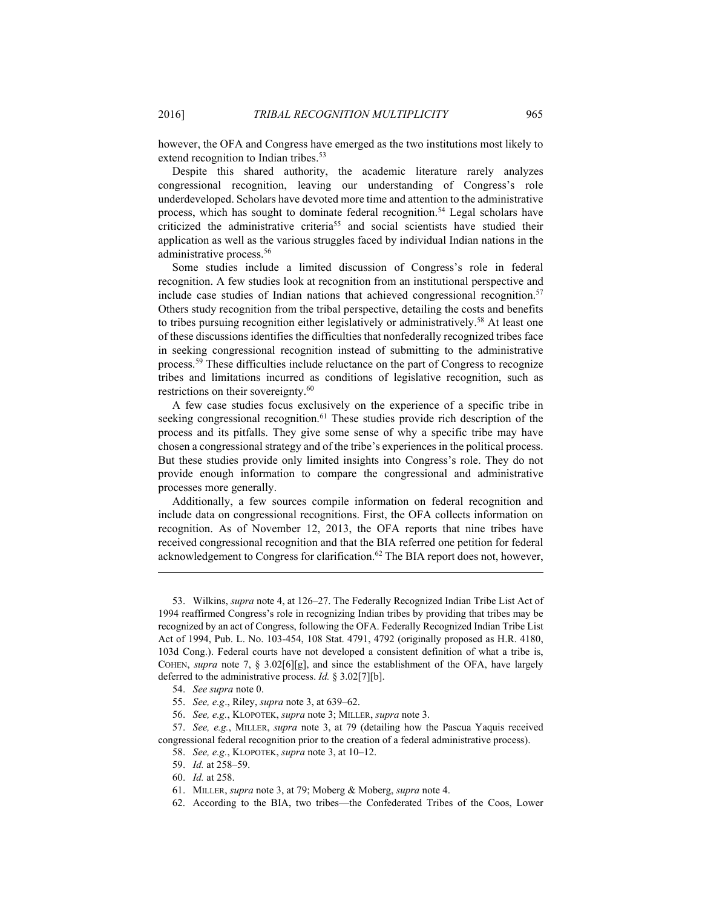however, the OFA and Congress have emerged as the two institutions most likely to extend recognition to Indian tribes.<sup>53</sup>

Despite this shared authority, the academic literature rarely analyzes congressional recognition, leaving our understanding of Congress's role underdeveloped. Scholars have devoted more time and attention to the administrative process, which has sought to dominate federal recognition.<sup>54</sup> Legal scholars have criticized the administrative criteria<sup>55</sup> and social scientists have studied their application as well as the various struggles faced by individual Indian nations in the administrative process.56

Some studies include a limited discussion of Congress's role in federal recognition. A few studies look at recognition from an institutional perspective and include case studies of Indian nations that achieved congressional recognition.<sup>57</sup> Others study recognition from the tribal perspective, detailing the costs and benefits to tribes pursuing recognition either legislatively or administratively.<sup>58</sup> At least one of these discussions identifies the difficulties that nonfederally recognized tribes face in seeking congressional recognition instead of submitting to the administrative process.59 These difficulties include reluctance on the part of Congress to recognize tribes and limitations incurred as conditions of legislative recognition, such as restrictions on their sovereignty.<sup>60</sup>

A few case studies focus exclusively on the experience of a specific tribe in seeking congressional recognition.<sup>61</sup> These studies provide rich description of the process and its pitfalls. They give some sense of why a specific tribe may have chosen a congressional strategy and of the tribe's experiences in the political process. But these studies provide only limited insights into Congress's role. They do not provide enough information to compare the congressional and administrative processes more generally.

Additionally, a few sources compile information on federal recognition and include data on congressional recognitions. First, the OFA collects information on recognition. As of November 12, 2013, the OFA reports that nine tribes have received congressional recognition and that the BIA referred one petition for federal acknowledgement to Congress for clarification.<sup>62</sup> The BIA report does not, however,

 <sup>53.</sup> Wilkins, *supra* note 4, at 126–27. The Federally Recognized Indian Tribe List Act of 1994 reaffirmed Congress's role in recognizing Indian tribes by providing that tribes may be recognized by an act of Congress, following the OFA. Federally Recognized Indian Tribe List Act of 1994, Pub. L. No. 103-454, 108 Stat. 4791, 4792 (originally proposed as H.R. 4180, 103d Cong.). Federal courts have not developed a consistent definition of what a tribe is, COHEN, *supra* note 7, § 3.02[6][g], and since the establishment of the OFA, have largely deferred to the administrative process. *Id.* § 3.02[7][b].

 <sup>54.</sup> *See supra* note 0.

 <sup>55.</sup> *See, e.g*., Riley, *supra* note 3, at 639–62.

 <sup>56.</sup> *See, e.g.*, KLOPOTEK, *supra* note 3; MILLER, *supra* note 3.

 <sup>57.</sup> *See, e.g.*, MILLER, *supra* note 3, at 79 (detailing how the Pascua Yaquis received congressional federal recognition prior to the creation of a federal administrative process).

 <sup>58.</sup> *See, e.g.*, KLOPOTEK, *supra* note 3, at 10–12.

 <sup>59.</sup> *Id.* at 258–59.

 <sup>60.</sup> *Id.* at 258.

 <sup>61.</sup> MILLER, *supra* note 3, at 79; Moberg & Moberg, *supra* note 4.

 <sup>62.</sup> According to the BIA, two tribes—the Confederated Tribes of the Coos, Lower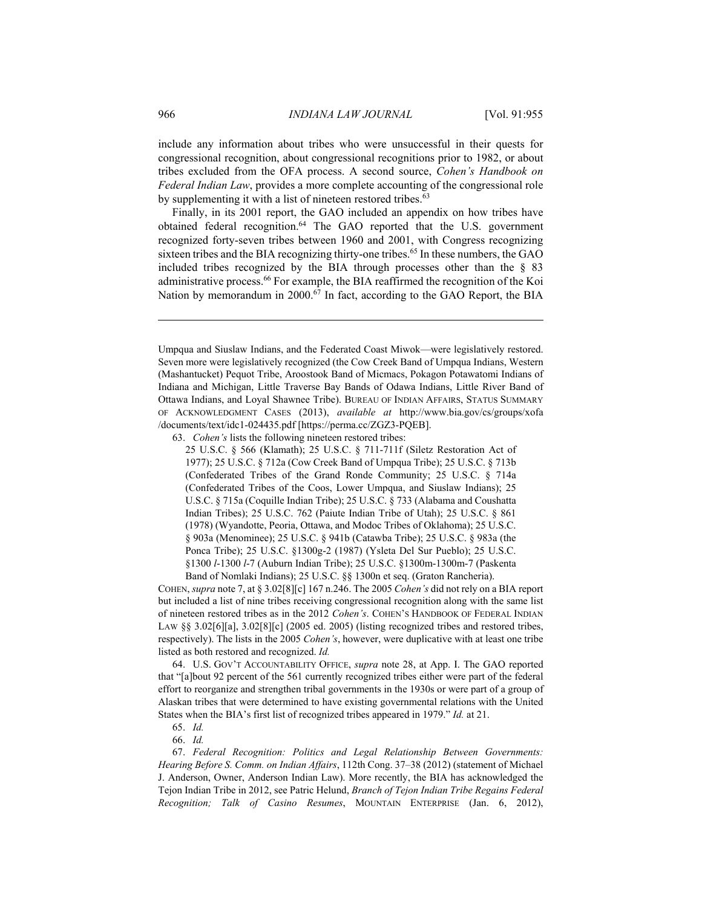include any information about tribes who were unsuccessful in their quests for congressional recognition, about congressional recognitions prior to 1982, or about tribes excluded from the OFA process. A second source, *Cohen's Handbook on Federal Indian Law*, provides a more complete accounting of the congressional role by supplementing it with a list of nineteen restored tribes.<sup>63</sup>

Finally, in its 2001 report, the GAO included an appendix on how tribes have obtained federal recognition.64 The GAO reported that the U.S. government recognized forty-seven tribes between 1960 and 2001, with Congress recognizing sixteen tribes and the BIA recognizing thirty-one tribes.<sup>65</sup> In these numbers, the GAO included tribes recognized by the BIA through processes other than the § 83 administrative process.66 For example, the BIA reaffirmed the recognition of the Koi Nation by memorandum in 2000.<sup>67</sup> In fact, according to the GAO Report, the BIA

63. *Cohen's* lists the following nineteen restored tribes:

25 U.S.C. § 566 (Klamath); 25 U.S.C. § 711-711f (Siletz Restoration Act of 1977); 25 U.S.C. § 712a (Cow Creek Band of Umpqua Tribe); 25 U.S.C. § 713b (Confederated Tribes of the Grand Ronde Community; 25 U.S.C. § 714a (Confederated Tribes of the Coos, Lower Umpqua, and Siuslaw Indians); 25 U.S.C. § 715a (Coquille Indian Tribe); 25 U.S.C. § 733 (Alabama and Coushatta Indian Tribes); 25 U.S.C. 762 (Paiute Indian Tribe of Utah); 25 U.S.C. § 861 (1978) (Wyandotte, Peoria, Ottawa, and Modoc Tribes of Oklahoma); 25 U.S.C. § 903a (Menominee); 25 U.S.C. § 941b (Catawba Tribe); 25 U.S.C. § 983a (the Ponca Tribe); 25 U.S.C. §1300g-2 (1987) (Ysleta Del Sur Pueblo); 25 U.S.C. §1300 *l*-1300 *l*-7 (Auburn Indian Tribe); 25 U.S.C. §1300m-1300m-7 (Paskenta Band of Nomlaki Indians); 25 U.S.C. §§ 1300n et seq. (Graton Rancheria).

COHEN, *supra* note 7, at § 3.02[8][c] 167 n.246. The 2005 *Cohen's* did not rely on a BIA report but included a list of nine tribes receiving congressional recognition along with the same list of nineteen restored tribes as in the 2012 *Cohen's*. COHEN'S HANDBOOK OF FEDERAL INDIAN LAW  $\S$ § 3.02[6][a], 3.02[8][c] (2005 ed. 2005) (listing recognized tribes and restored tribes, respectively). The lists in the 2005 *Cohen's*, however, were duplicative with at least one tribe listed as both restored and recognized. *Id.*

 64. U.S. GOV'T ACCOUNTABILITY OFFICE, *supra* note 28, at App. I. The GAO reported that "[a]bout 92 percent of the 561 currently recognized tribes either were part of the federal effort to reorganize and strengthen tribal governments in the 1930s or were part of a group of Alaskan tribes that were determined to have existing governmental relations with the United States when the BIA's first list of recognized tribes appeared in 1979." *Id.* at 21.

66. *Id.*

Umpqua and Siuslaw Indians, and the Federated Coast Miwok—were legislatively restored. Seven more were legislatively recognized (the Cow Creek Band of Umpqua Indians, Western (Mashantucket) Pequot Tribe, Aroostook Band of Micmacs, Pokagon Potawatomi Indians of Indiana and Michigan, Little Traverse Bay Bands of Odawa Indians, Little River Band of Ottawa Indians, and Loyal Shawnee Tribe). BUREAU OF INDIAN AFFAIRS, STATUS SUMMARY OF ACKNOWLEDGMENT CASES (2013), *available at* http://www.bia.gov/cs/groups/xofa /documents/text/idc1-024435.pdf [https://perma.cc/ZGZ3-PQEB].

 <sup>65.</sup> *Id.*

 <sup>67.</sup> *Federal Recognition: Politics and Legal Relationship Between Governments: Hearing Before S. Comm. on Indian Affairs*, 112th Cong. 37–38 (2012) (statement of Michael J. Anderson, Owner, Anderson Indian Law). More recently, the BIA has acknowledged the Tejon Indian Tribe in 2012, see Patric Helund, *Branch of Tejon Indian Tribe Regains Federal Recognition; Talk of Casino Resumes*, MOUNTAIN ENTERPRISE (Jan. 6, 2012),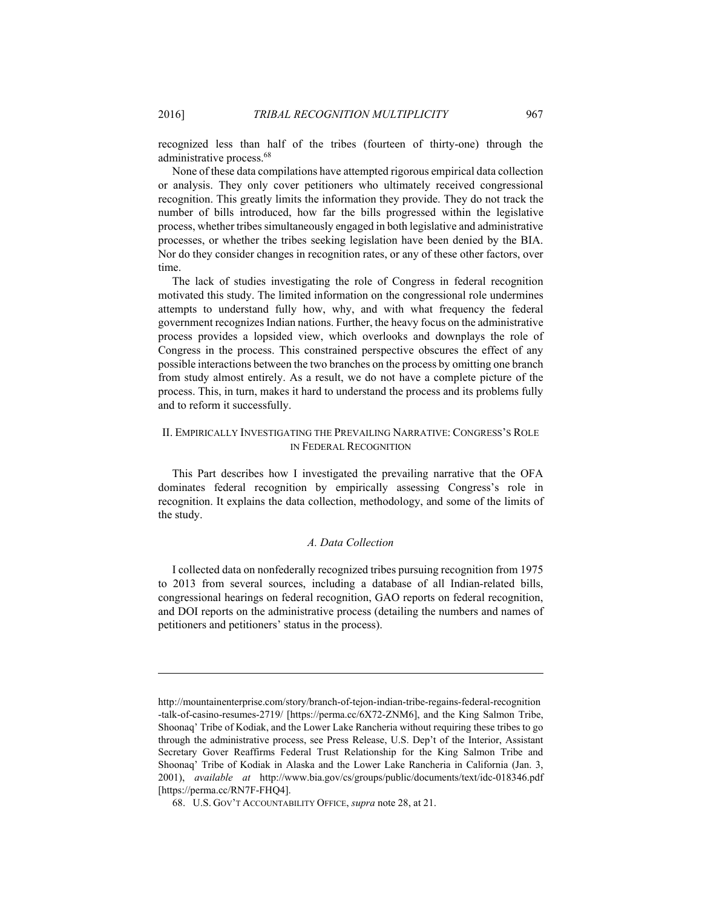<u>.</u>

recognized less than half of the tribes (fourteen of thirty-one) through the administrative process.68

None of these data compilations have attempted rigorous empirical data collection or analysis. They only cover petitioners who ultimately received congressional recognition. This greatly limits the information they provide. They do not track the number of bills introduced, how far the bills progressed within the legislative process, whether tribes simultaneously engaged in both legislative and administrative processes, or whether the tribes seeking legislation have been denied by the BIA. Nor do they consider changes in recognition rates, or any of these other factors, over time.

The lack of studies investigating the role of Congress in federal recognition motivated this study. The limited information on the congressional role undermines attempts to understand fully how, why, and with what frequency the federal government recognizes Indian nations. Further, the heavy focus on the administrative process provides a lopsided view, which overlooks and downplays the role of Congress in the process. This constrained perspective obscures the effect of any possible interactions between the two branches on the process by omitting one branch from study almost entirely. As a result, we do not have a complete picture of the process. This, in turn, makes it hard to understand the process and its problems fully and to reform it successfully.

#### II. EMPIRICALLY INVESTIGATING THE PREVAILING NARRATIVE: CONGRESS'S ROLE IN FEDERAL RECOGNITION

This Part describes how I investigated the prevailing narrative that the OFA dominates federal recognition by empirically assessing Congress's role in recognition. It explains the data collection, methodology, and some of the limits of the study.

#### *A. Data Collection*

I collected data on nonfederally recognized tribes pursuing recognition from 1975 to 2013 from several sources, including a database of all Indian-related bills, congressional hearings on federal recognition, GAO reports on federal recognition, and DOI reports on the administrative process (detailing the numbers and names of petitioners and petitioners' status in the process).

http://mountainenterprise.com/story/branch-of-tejon-indian-tribe-regains-federal-recognition -talk-of-casino-resumes-2719/ [https://perma.cc/6X72-ZNM6], and the King Salmon Tribe, Shoonaq' Tribe of Kodiak, and the Lower Lake Rancheria without requiring these tribes to go through the administrative process, see Press Release, U.S. Dep't of the Interior, Assistant Secretary Gover Reaffirms Federal Trust Relationship for the King Salmon Tribe and Shoonaq' Tribe of Kodiak in Alaska and the Lower Lake Rancheria in California (Jan. 3, 2001), *available at* http://www.bia.gov/cs/groups/public/documents/text/idc-018346.pdf [https://perma.cc/RN7F-FHQ4].

 <sup>68.</sup> U.S. GOV'T ACCOUNTABILITY OFFICE, *supra* note 28, at 21.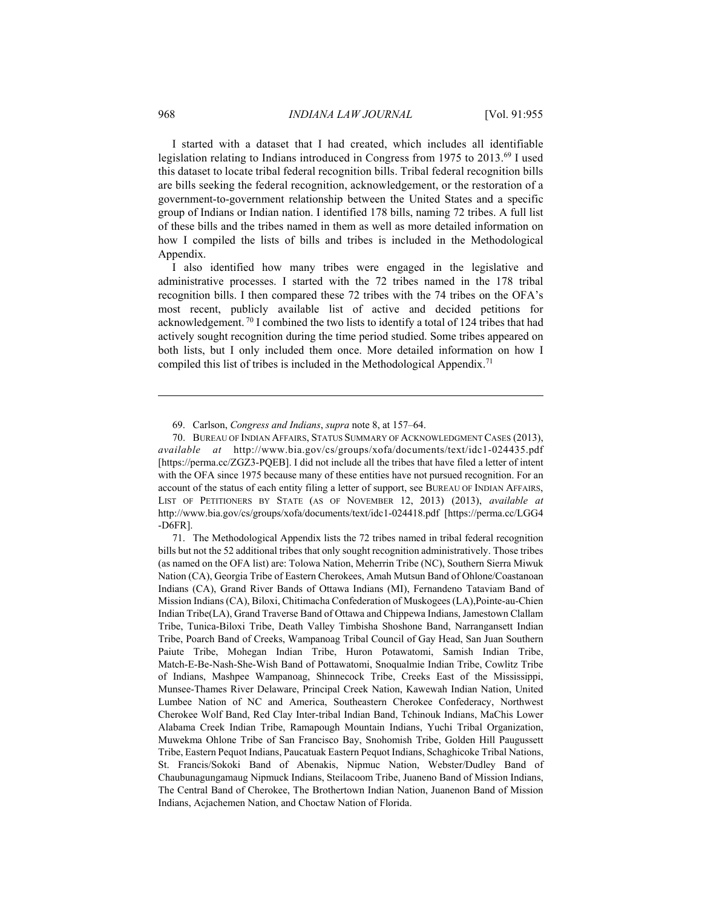I started with a dataset that I had created, which includes all identifiable legislation relating to Indians introduced in Congress from 1975 to 2013.69 I used this dataset to locate tribal federal recognition bills. Tribal federal recognition bills are bills seeking the federal recognition, acknowledgement, or the restoration of a government-to-government relationship between the United States and a specific group of Indians or Indian nation. I identified 178 bills, naming 72 tribes. A full list of these bills and the tribes named in them as well as more detailed information on how I compiled the lists of bills and tribes is included in the Methodological Appendix.

I also identified how many tribes were engaged in the legislative and administrative processes. I started with the 72 tribes named in the 178 tribal recognition bills. I then compared these 72 tribes with the 74 tribes on the OFA's most recent, publicly available list of active and decided petitions for acknowledgement. 70 I combined the two lists to identify a total of 124 tribes that had actively sought recognition during the time period studied. Some tribes appeared on both lists, but I only included them once. More detailed information on how I compiled this list of tribes is included in the Methodological Appendix.<sup>71</sup>

 <sup>69.</sup> Carlson, *Congress and Indians*, *supra* note 8, at 157–64.

 <sup>70.</sup> BUREAU OF INDIAN AFFAIRS, STATUS SUMMARY OF ACKNOWLEDGMENT CASES (2013), *available at* http://www.bia.gov/cs/groups/xofa/documents/text/idc1-024435.pdf [https://perma.cc/ZGZ3-PQEB]. I did not include all the tribes that have filed a letter of intent with the OFA since 1975 because many of these entities have not pursued recognition. For an account of the status of each entity filing a letter of support, see BUREAU OF INDIAN AFFAIRS, LIST OF PETITIONERS BY STATE (AS OF NOVEMBER 12, 2013) (2013), *available at* http://www.bia.gov/cs/groups/xofa/documents/text/idc1-024418.pdf [https://perma.cc/LGG4 -D6FR].

 <sup>71.</sup> The Methodological Appendix lists the 72 tribes named in tribal federal recognition bills but not the 52 additional tribes that only sought recognition administratively. Those tribes (as named on the OFA list) are: Tolowa Nation, Meherrin Tribe (NC), Southern Sierra Miwuk Nation (CA), Georgia Tribe of Eastern Cherokees, Amah Mutsun Band of Ohlone/Coastanoan Indians (CA), Grand River Bands of Ottawa Indians (MI), Fernandeno Tataviam Band of Mission Indians (CA), Biloxi, Chitimacha Confederation of Muskogees (LA),Pointe-au-Chien Indian Tribe(LA), Grand Traverse Band of Ottawa and Chippewa Indians, Jamestown Clallam Tribe, Tunica-Biloxi Tribe, Death Valley Timbisha Shoshone Band, Narrangansett Indian Tribe, Poarch Band of Creeks, Wampanoag Tribal Council of Gay Head, San Juan Southern Paiute Tribe, Mohegan Indian Tribe, Huron Potawatomi, Samish Indian Tribe, Match-E-Be-Nash-She-Wish Band of Pottawatomi, Snoqualmie Indian Tribe, Cowlitz Tribe of Indians, Mashpee Wampanoag, Shinnecock Tribe, Creeks East of the Mississippi, Munsee-Thames River Delaware, Principal Creek Nation, Kawewah Indian Nation, United Lumbee Nation of NC and America, Southeastern Cherokee Confederacy, Northwest Cherokee Wolf Band, Red Clay Inter-tribal Indian Band, Tchinouk Indians, MaChis Lower Alabama Creek Indian Tribe, Ramapough Mountain Indians, Yuchi Tribal Organization, Muwekma Ohlone Tribe of San Francisco Bay, Snohomish Tribe, Golden Hill Paugussett Tribe, Eastern Pequot Indians, Paucatuak Eastern Pequot Indians, Schaghicoke Tribal Nations, St. Francis/Sokoki Band of Abenakis, Nipmuc Nation, Webster/Dudley Band of Chaubunagungamaug Nipmuck Indians, Steilacoom Tribe, Juaneno Band of Mission Indians, The Central Band of Cherokee, The Brothertown Indian Nation, Juanenon Band of Mission Indians, Acjachemen Nation, and Choctaw Nation of Florida.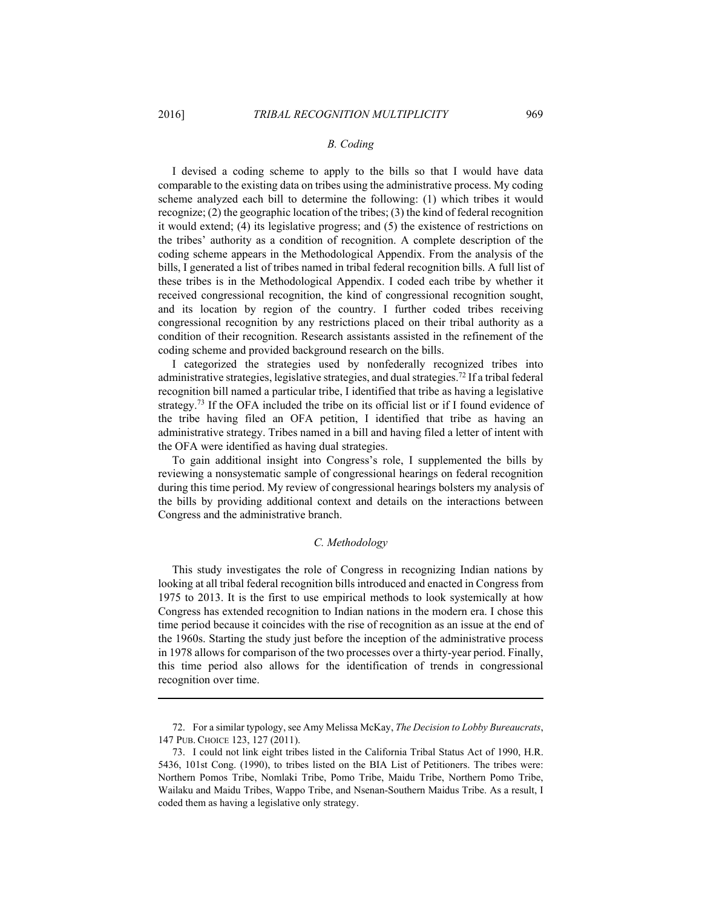1

#### *B. Coding*

I devised a coding scheme to apply to the bills so that I would have data comparable to the existing data on tribes using the administrative process. My coding scheme analyzed each bill to determine the following: (1) which tribes it would recognize; (2) the geographic location of the tribes; (3) the kind of federal recognition it would extend; (4) its legislative progress; and (5) the existence of restrictions on the tribes' authority as a condition of recognition. A complete description of the coding scheme appears in the Methodological Appendix. From the analysis of the bills, I generated a list of tribes named in tribal federal recognition bills. A full list of these tribes is in the Methodological Appendix. I coded each tribe by whether it received congressional recognition, the kind of congressional recognition sought, and its location by region of the country. I further coded tribes receiving congressional recognition by any restrictions placed on their tribal authority as a condition of their recognition. Research assistants assisted in the refinement of the coding scheme and provided background research on the bills.

I categorized the strategies used by nonfederally recognized tribes into administrative strategies, legislative strategies, and dual strategies.72 If a tribal federal recognition bill named a particular tribe, I identified that tribe as having a legislative strategy.<sup>73</sup> If the OFA included the tribe on its official list or if I found evidence of the tribe having filed an OFA petition, I identified that tribe as having an administrative strategy. Tribes named in a bill and having filed a letter of intent with the OFA were identified as having dual strategies.

To gain additional insight into Congress's role, I supplemented the bills by reviewing a nonsystematic sample of congressional hearings on federal recognition during this time period. My review of congressional hearings bolsters my analysis of the bills by providing additional context and details on the interactions between Congress and the administrative branch.

#### *C. Methodology*

This study investigates the role of Congress in recognizing Indian nations by looking at all tribal federal recognition bills introduced and enacted in Congress from 1975 to 2013. It is the first to use empirical methods to look systemically at how Congress has extended recognition to Indian nations in the modern era. I chose this time period because it coincides with the rise of recognition as an issue at the end of the 1960s. Starting the study just before the inception of the administrative process in 1978 allows for comparison of the two processes over a thirty-year period. Finally, this time period also allows for the identification of trends in congressional recognition over time.

 <sup>72.</sup> For a similar typology, see Amy Melissa McKay, *The Decision to Lobby Bureaucrats*, 147 PUB. CHOICE 123, 127 (2011).

 <sup>73.</sup> I could not link eight tribes listed in the California Tribal Status Act of 1990, H.R. 5436, 101st Cong. (1990), to tribes listed on the BIA List of Petitioners. The tribes were: Northern Pomos Tribe, Nomlaki Tribe, Pomo Tribe, Maidu Tribe, Northern Pomo Tribe, Wailaku and Maidu Tribes, Wappo Tribe, and Nsenan-Southern Maidus Tribe. As a result, I coded them as having a legislative only strategy.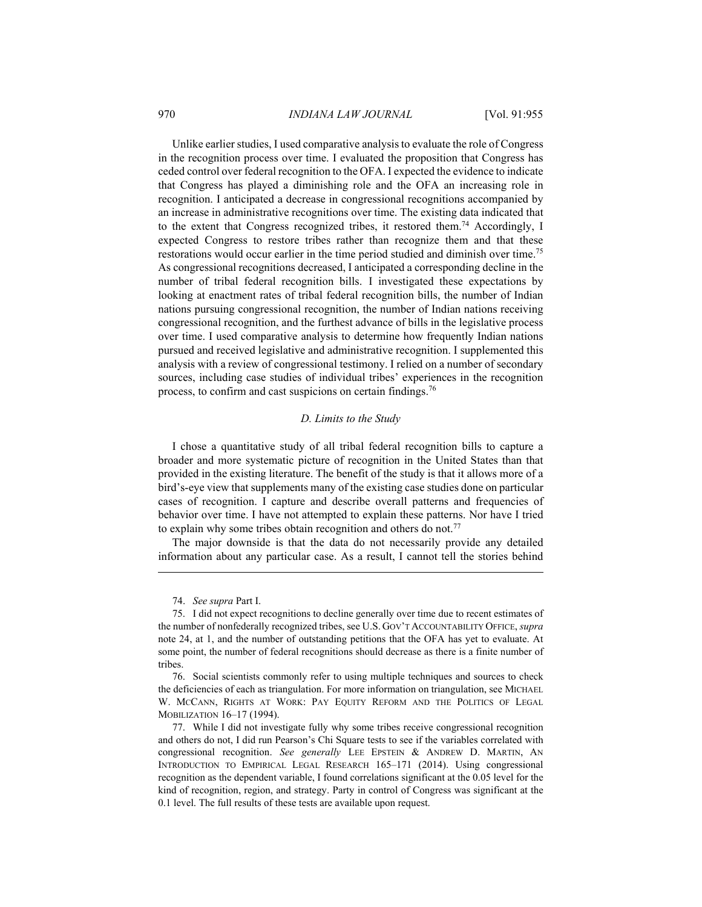#### 970 *INDIANA LAW JOURNAL* [Vol. 91:955

Unlike earlier studies, I used comparative analysis to evaluate the role of Congress in the recognition process over time. I evaluated the proposition that Congress has ceded control over federal recognition to the OFA. I expected the evidence to indicate that Congress has played a diminishing role and the OFA an increasing role in recognition. I anticipated a decrease in congressional recognitions accompanied by an increase in administrative recognitions over time. The existing data indicated that to the extent that Congress recognized tribes, it restored them.<sup>74</sup> Accordingly, I expected Congress to restore tribes rather than recognize them and that these restorations would occur earlier in the time period studied and diminish over time.75 As congressional recognitions decreased, I anticipated a corresponding decline in the number of tribal federal recognition bills. I investigated these expectations by looking at enactment rates of tribal federal recognition bills, the number of Indian nations pursuing congressional recognition, the number of Indian nations receiving congressional recognition, and the furthest advance of bills in the legislative process over time. I used comparative analysis to determine how frequently Indian nations pursued and received legislative and administrative recognition. I supplemented this analysis with a review of congressional testimony. I relied on a number of secondary sources, including case studies of individual tribes' experiences in the recognition process, to confirm and cast suspicions on certain findings.76

#### *D. Limits to the Study*

I chose a quantitative study of all tribal federal recognition bills to capture a broader and more systematic picture of recognition in the United States than that provided in the existing literature. The benefit of the study is that it allows more of a bird's-eye view that supplements many of the existing case studies done on particular cases of recognition. I capture and describe overall patterns and frequencies of behavior over time. I have not attempted to explain these patterns. Nor have I tried to explain why some tribes obtain recognition and others do not.<sup>77</sup>

The major downside is that the data do not necessarily provide any detailed information about any particular case. As a result, I cannot tell the stories behind

74. *See supra* Part I.

1

 76. Social scientists commonly refer to using multiple techniques and sources to check the deficiencies of each as triangulation. For more information on triangulation, see MICHAEL W. MCCANN, RIGHTS AT WORK: PAY EQUITY REFORM AND THE POLITICS OF LEGAL MOBILIZATION 16–17 (1994).

 77. While I did not investigate fully why some tribes receive congressional recognition and others do not, I did run Pearson's Chi Square tests to see if the variables correlated with congressional recognition. *See generally* LEE EPSTEIN & ANDREW D. MARTIN, AN INTRODUCTION TO EMPIRICAL LEGAL RESEARCH 165–171 (2014). Using congressional recognition as the dependent variable, I found correlations significant at the 0.05 level for the kind of recognition, region, and strategy. Party in control of Congress was significant at the 0.1 level. The full results of these tests are available upon request.

 <sup>75.</sup> I did not expect recognitions to decline generally over time due to recent estimates of the number of nonfederally recognized tribes, see U.S. GOV'T ACCOUNTABILITY OFFICE, *supra* note 24, at 1, and the number of outstanding petitions that the OFA has yet to evaluate. At some point, the number of federal recognitions should decrease as there is a finite number of tribes.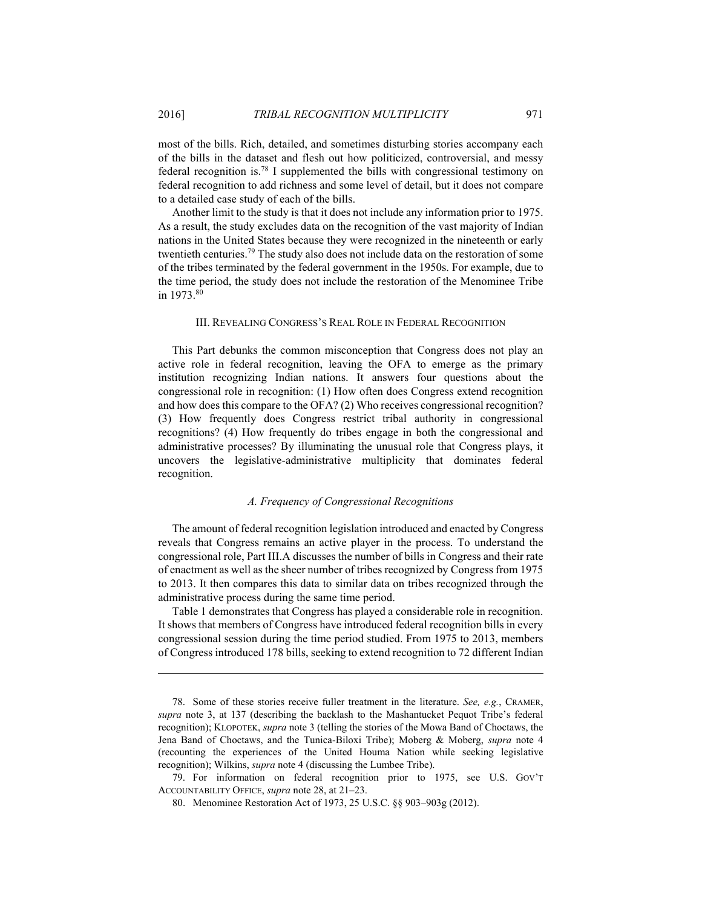most of the bills. Rich, detailed, and sometimes disturbing stories accompany each of the bills in the dataset and flesh out how politicized, controversial, and messy federal recognition is.78 I supplemented the bills with congressional testimony on federal recognition to add richness and some level of detail, but it does not compare to a detailed case study of each of the bills.

Another limit to the study is that it does not include any information prior to 1975. As a result, the study excludes data on the recognition of the vast majority of Indian nations in the United States because they were recognized in the nineteenth or early twentieth centuries.79 The study also does not include data on the restoration of some of the tribes terminated by the federal government in the 1950s. For example, due to the time period, the study does not include the restoration of the Menominee Tribe in 1973<sup>80</sup>

#### III. REVEALING CONGRESS'S REAL ROLE IN FEDERAL RECOGNITION

This Part debunks the common misconception that Congress does not play an active role in federal recognition, leaving the OFA to emerge as the primary institution recognizing Indian nations. It answers four questions about the congressional role in recognition: (1) How often does Congress extend recognition and how does this compare to the OFA? (2) Who receives congressional recognition? (3) How frequently does Congress restrict tribal authority in congressional recognitions? (4) How frequently do tribes engage in both the congressional and administrative processes? By illuminating the unusual role that Congress plays, it uncovers the legislative-administrative multiplicity that dominates federal recognition.

#### *A. Frequency of Congressional Recognitions*

The amount of federal recognition legislation introduced and enacted by Congress reveals that Congress remains an active player in the process. To understand the congressional role, Part III.A discusses the number of bills in Congress and their rate of enactment as well as the sheer number of tribes recognized by Congress from 1975 to 2013. It then compares this data to similar data on tribes recognized through the administrative process during the same time period.

Table 1 demonstrates that Congress has played a considerable role in recognition. It shows that members of Congress have introduced federal recognition bills in every congressional session during the time period studied. From 1975 to 2013, members of Congress introduced 178 bills, seeking to extend recognition to 72 different Indian

<u>.</u>

 <sup>78.</sup> Some of these stories receive fuller treatment in the literature. *See, e.g.*, CRAMER, *supra* note 3, at 137 (describing the backlash to the Mashantucket Pequot Tribe's federal recognition); KLOPOTEK, *supra* note 3 (telling the stories of the Mowa Band of Choctaws, the Jena Band of Choctaws, and the Tunica-Biloxi Tribe); Moberg & Moberg, *supra* note 4 (recounting the experiences of the United Houma Nation while seeking legislative recognition); Wilkins, *supra* note 4 (discussing the Lumbee Tribe).

 <sup>79.</sup> For information on federal recognition prior to 1975, see U.S. GOV'T ACCOUNTABILITY OFFICE, *supra* note 28, at 21–23.

 <sup>80.</sup> Menominee Restoration Act of 1973, 25 U.S.C. §§ 903–903g (2012).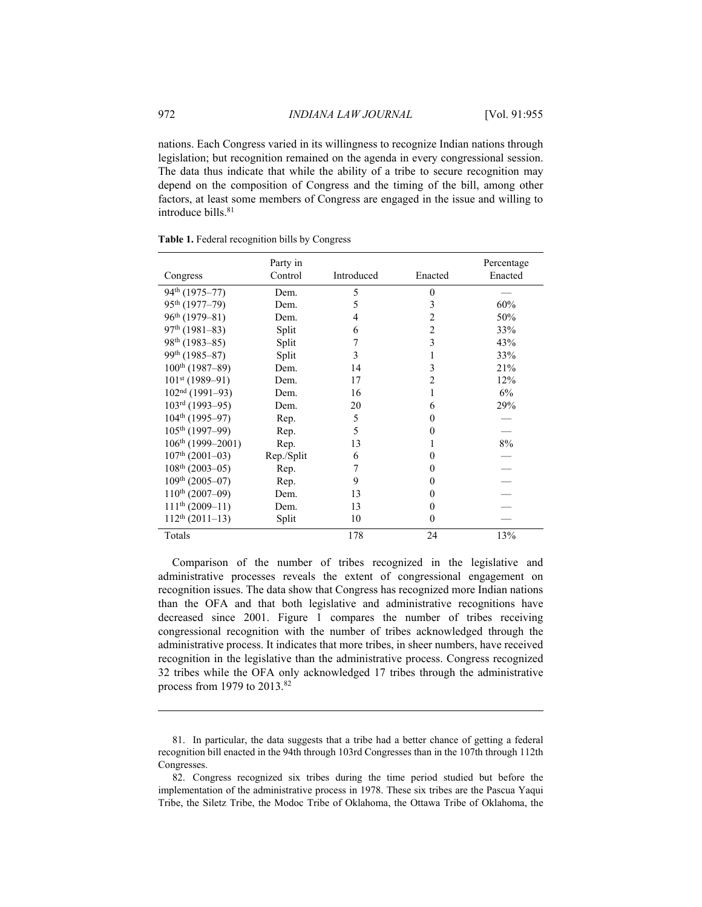nations. Each Congress varied in its willingness to recognize Indian nations through legislation; but recognition remained on the agenda in every congressional session. The data thus indicate that while the ability of a tribe to secure recognition may depend on the composition of Congress and the timing of the bill, among other factors, at least some members of Congress are engaged in the issue and willing to introduce bills <sup>81</sup>

|                             | Party in   |            |                | Percentage |
|-----------------------------|------------|------------|----------------|------------|
| Congress                    | Control    | Introduced | Enacted        | Enacted    |
| 94 <sup>th</sup> (1975–77)  | Dem.       | 5          | $\theta$       |            |
| 95th (1977-79)              | Dem.       | 5          | 3              | 60%        |
| $96th$ (1979–81)            | Dem.       | 4          | $\overline{c}$ | 50%        |
| $97th$ (1981–83)            | Split      | 6          | $\overline{c}$ | 33%        |
| 98 <sup>th</sup> (1983-85)  | Split      | 7          | 3              | 43%        |
| 99 <sup>th</sup> (1985–87)  | Split      | 3          | 1              | 33%        |
| $100^{th}$ (1987–89)        | Dem.       | 14         | 3              | 21%        |
| $101st$ (1989-91)           | Dem.       | 17         | $\overline{2}$ | 12%        |
| $102nd$ (1991–93)           | Dem.       | 16         | 1              | 6%         |
| $103rd$ (1993–95)           | Dem.       | 20         | 6              | 29%        |
| $104th$ (1995–97)           | Rep.       | 5          | $\theta$       |            |
| $105th$ (1997–99)           | Rep.       | 5          | 0              |            |
| $106th$ (1999-2001)         | Rep.       | 13         |                | $8\%$      |
| $107th$ (2001-03)           | Rep./Split | 6          | 0              |            |
| $108th$ (2003-05)           | Rep.       | 7          | 0              |            |
| 109 <sup>th</sup> (2005–07) | Rep.       | 9          | $\Omega$       |            |
| $110^{th}$ (2007-09)        | Dem.       | 13         | $\Omega$       |            |
| $111^{th}$ (2009-11)        | Dem.       | 13         | $\theta$       |            |
| $112^{th}$ (2011-13)        | Split      | 10         | $\theta$       |            |
| Totals                      |            | 178        | 24             | 13%        |

**Table 1.** Federal recognition bills by Congress

Comparison of the number of tribes recognized in the legislative and administrative processes reveals the extent of congressional engagement on recognition issues. The data show that Congress has recognized more Indian nations than the OFA and that both legislative and administrative recognitions have decreased since 2001. Figure 1 compares the number of tribes receiving congressional recognition with the number of tribes acknowledged through the administrative process. It indicates that more tribes, in sheer numbers, have received recognition in the legislative than the administrative process. Congress recognized 32 tribes while the OFA only acknowledged 17 tribes through the administrative process from 1979 to  $2013$ .<sup>82</sup>

<u>.</u>

 <sup>81.</sup> In particular, the data suggests that a tribe had a better chance of getting a federal recognition bill enacted in the 94th through 103rd Congresses than in the 107th through 112th Congresses.

 <sup>82.</sup> Congress recognized six tribes during the time period studied but before the implementation of the administrative process in 1978. These six tribes are the Pascua Yaqui Tribe, the Siletz Tribe, the Modoc Tribe of Oklahoma, the Ottawa Tribe of Oklahoma, the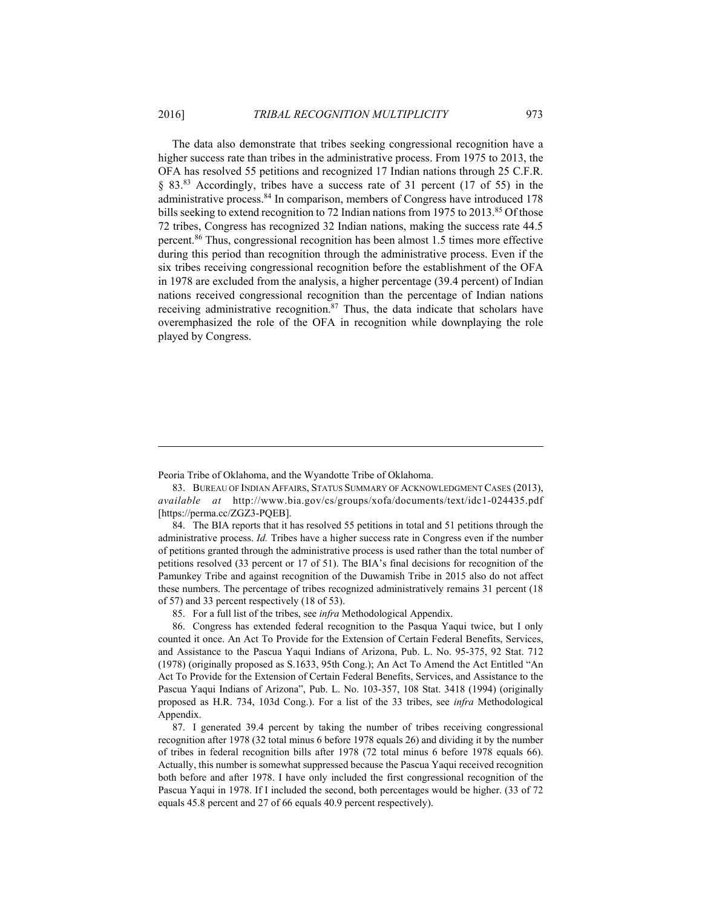The data also demonstrate that tribes seeking congressional recognition have a higher success rate than tribes in the administrative process. From 1975 to 2013, the OFA has resolved 55 petitions and recognized 17 Indian nations through 25 C.F.R. § 83.83 Accordingly, tribes have a success rate of 31 percent (17 of 55) in the administrative process.84 In comparison, members of Congress have introduced 178 bills seeking to extend recognition to 72 Indian nations from 1975 to 2013.<sup>85</sup> Of those 72 tribes, Congress has recognized 32 Indian nations, making the success rate 44.5 percent.86 Thus, congressional recognition has been almost 1.5 times more effective during this period than recognition through the administrative process. Even if the six tribes receiving congressional recognition before the establishment of the OFA in 1978 are excluded from the analysis, a higher percentage (39.4 percent) of Indian nations received congressional recognition than the percentage of Indian nations receiving administrative recognition. $87$  Thus, the data indicate that scholars have overemphasized the role of the OFA in recognition while downplaying the role played by Congress.

Peoria Tribe of Oklahoma, and the Wyandotte Tribe of Oklahoma.

<u>.</u>

 83. BUREAU OF INDIAN AFFAIRS, STATUS SUMMARY OF ACKNOWLEDGMENT CASES (2013), *available at* http://www.bia.gov/cs/groups/xofa/documents/text/idc1-024435.pdf [https://perma.cc/ZGZ3-PQEB].

 84. The BIA reports that it has resolved 55 petitions in total and 51 petitions through the administrative process. *Id.* Tribes have a higher success rate in Congress even if the number of petitions granted through the administrative process is used rather than the total number of petitions resolved (33 percent or 17 of 51). The BIA's final decisions for recognition of the Pamunkey Tribe and against recognition of the Duwamish Tribe in 2015 also do not affect these numbers. The percentage of tribes recognized administratively remains 31 percent (18 of 57) and 33 percent respectively (18 of 53).

85. For a full list of the tribes, see *infra* Methodological Appendix.

 86. Congress has extended federal recognition to the Pasqua Yaqui twice, but I only counted it once. An Act To Provide for the Extension of Certain Federal Benefits, Services, and Assistance to the Pascua Yaqui Indians of Arizona, Pub. L. No. 95-375, 92 Stat. 712 (1978) (originally proposed as S.1633, 95th Cong.); An Act To Amend the Act Entitled "An Act To Provide for the Extension of Certain Federal Benefits, Services, and Assistance to the Pascua Yaqui Indians of Arizona", Pub. L. No. 103-357, 108 Stat. 3418 (1994) (originally proposed as H.R. 734, 103d Cong.). For a list of the 33 tribes, see *infra* Methodological Appendix.

 87. I generated 39.4 percent by taking the number of tribes receiving congressional recognition after 1978 (32 total minus 6 before 1978 equals 26) and dividing it by the number of tribes in federal recognition bills after 1978 (72 total minus 6 before 1978 equals 66). Actually, this number is somewhat suppressed because the Pascua Yaqui received recognition both before and after 1978. I have only included the first congressional recognition of the Pascua Yaqui in 1978. If I included the second, both percentages would be higher. (33 of 72 equals 45.8 percent and 27 of 66 equals 40.9 percent respectively).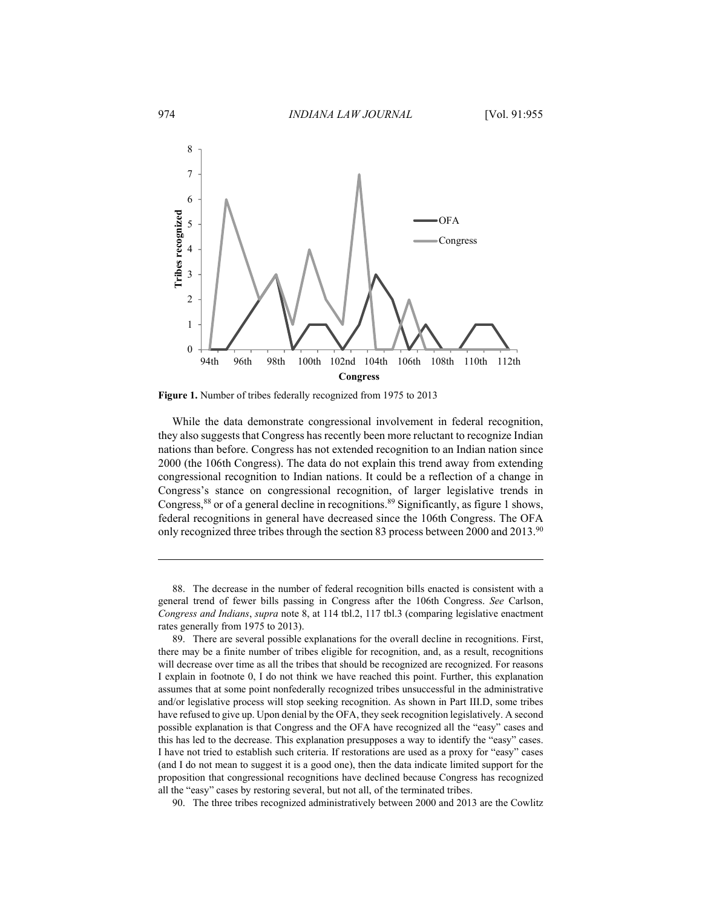

**Figure 1.** Number of tribes federally recognized from 1975 to 2013

While the data demonstrate congressional involvement in federal recognition, they also suggests that Congress has recently been more reluctant to recognize Indian nations than before. Congress has not extended recognition to an Indian nation since 2000 (the 106th Congress). The data do not explain this trend away from extending congressional recognition to Indian nations. It could be a reflection of a change in Congress's stance on congressional recognition, of larger legislative trends in Congress,<sup>88</sup> or of a general decline in recognitions.<sup>89</sup> Significantly, as figure 1 shows, federal recognitions in general have decreased since the 106th Congress. The OFA only recognized three tribes through the section 83 process between 2000 and 2013.90

 88. The decrease in the number of federal recognition bills enacted is consistent with a general trend of fewer bills passing in Congress after the 106th Congress. *See* Carlson, *Congress and Indians*, *supra* note 8, at 114 tbl.2, 117 tbl.3 (comparing legislative enactment rates generally from 1975 to 2013).

 89. There are several possible explanations for the overall decline in recognitions. First, there may be a finite number of tribes eligible for recognition, and, as a result, recognitions will decrease over time as all the tribes that should be recognized are recognized. For reasons I explain in footnote 0, I do not think we have reached this point. Further, this explanation assumes that at some point nonfederally recognized tribes unsuccessful in the administrative and/or legislative process will stop seeking recognition. As shown in Part III.D, some tribes have refused to give up. Upon denial by the OFA, they seek recognition legislatively. A second possible explanation is that Congress and the OFA have recognized all the "easy" cases and this has led to the decrease. This explanation presupposes a way to identify the "easy" cases. I have not tried to establish such criteria. If restorations are used as a proxy for "easy" cases (and I do not mean to suggest it is a good one), then the data indicate limited support for the proposition that congressional recognitions have declined because Congress has recognized all the "easy" cases by restoring several, but not all, of the terminated tribes.

90. The three tribes recognized administratively between 2000 and 2013 are the Cowlitz

<u>.</u>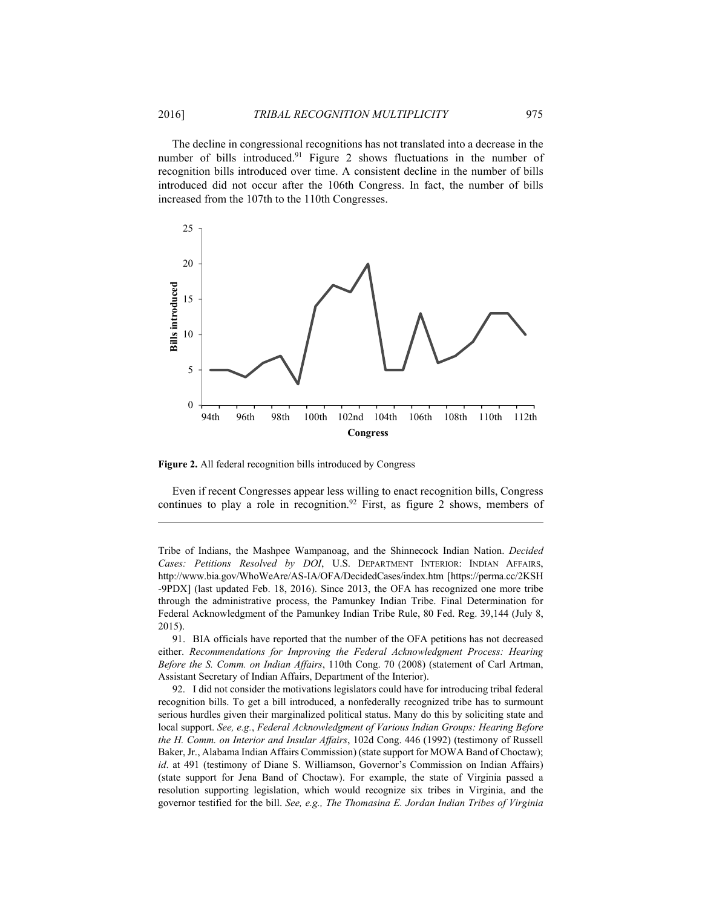The decline in congressional recognitions has not translated into a decrease in the number of bills introduced.<sup>91</sup> Figure 2 shows fluctuations in the number of recognition bills introduced over time. A consistent decline in the number of bills introduced did not occur after the 106th Congress. In fact, the number of bills increased from the 107th to the 110th Congresses.



**Figure 2.** All federal recognition bills introduced by Congress

<u>.</u>

Even if recent Congresses appear less willing to enact recognition bills, Congress continues to play a role in recognition.<sup>92</sup> First, as figure 2 shows, members of

Tribe of Indians, the Mashpee Wampanoag, and the Shinnecock Indian Nation. *Decided Cases: Petitions Resolved by DOI*, U.S. DEPARTMENT INTERIOR: INDIAN AFFAIRS, http://www.bia.gov/WhoWeAre/AS-IA/OFA/DecidedCases/index.htm [https://perma.cc/2KSH -9PDX] (last updated Feb. 18, 2016). Since 2013, the OFA has recognized one more tribe through the administrative process, the Pamunkey Indian Tribe. Final Determination for Federal Acknowledgment of the Pamunkey Indian Tribe Rule, 80 Fed. Reg. 39,144 (July 8, 2015).

 91. BIA officials have reported that the number of the OFA petitions has not decreased either. *Recommendations for Improving the Federal Acknowledgment Process: Hearing Before the S. Comm. on Indian Affairs*, 110th Cong. 70 (2008) (statement of Carl Artman, Assistant Secretary of Indian Affairs, Department of the Interior).

 92. I did not consider the motivations legislators could have for introducing tribal federal recognition bills. To get a bill introduced, a nonfederally recognized tribe has to surmount serious hurdles given their marginalized political status. Many do this by soliciting state and local support. *See, e.g.*, *Federal Acknowledgment of Various Indian Groups: Hearing Before the H. Comm. on Interior and Insular Affairs*, 102d Cong. 446 (1992) (testimony of Russell Baker, Jr., Alabama Indian Affairs Commission) (state support for MOWA Band of Choctaw); *id.* at 491 (testimony of Diane S. Williamson, Governor's Commission on Indian Affairs) (state support for Jena Band of Choctaw). For example, the state of Virginia passed a resolution supporting legislation, which would recognize six tribes in Virginia, and the governor testified for the bill. *See, e.g., The Thomasina E. Jordan Indian Tribes of Virginia*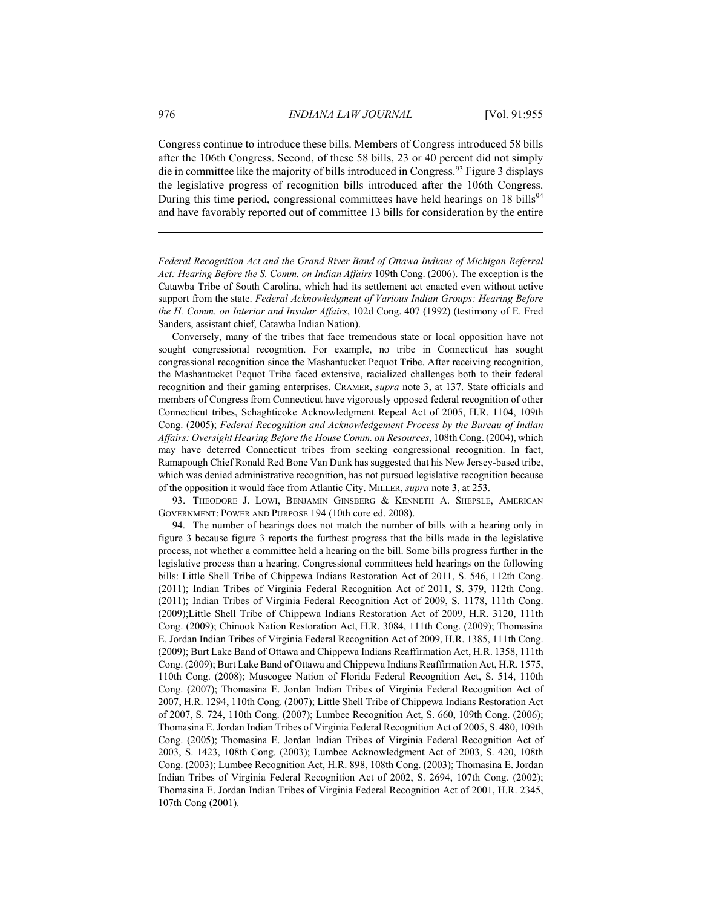Congress continue to introduce these bills. Members of Congress introduced 58 bills after the 106th Congress. Second, of these 58 bills, 23 or 40 percent did not simply die in committee like the majority of bills introduced in Congress.93 Figure 3 displays the legislative progress of recognition bills introduced after the 106th Congress. During this time period, congressional committees have held hearings on  $18$  bills<sup>94</sup> and have favorably reported out of committee 13 bills for consideration by the entire

*Federal Recognition Act and the Grand River Band of Ottawa Indians of Michigan Referral Act: Hearing Before the S. Comm. on Indian Affairs* 109th Cong. (2006). The exception is the Catawba Tribe of South Carolina, which had its settlement act enacted even without active support from the state. *Federal Acknowledgment of Various Indian Groups: Hearing Before the H. Comm. on Interior and Insular Affairs*, 102d Cong. 407 (1992) (testimony of E. Fred Sanders, assistant chief, Catawba Indian Nation).

Conversely, many of the tribes that face tremendous state or local opposition have not sought congressional recognition. For example, no tribe in Connecticut has sought congressional recognition since the Mashantucket Pequot Tribe. After receiving recognition, the Mashantucket Pequot Tribe faced extensive, racialized challenges both to their federal recognition and their gaming enterprises. CRAMER, *supra* note 3, at 137. State officials and members of Congress from Connecticut have vigorously opposed federal recognition of other Connecticut tribes, Schaghticoke Acknowledgment Repeal Act of 2005, H.R. 1104, 109th Cong. (2005); *Federal Recognition and Acknowledgement Process by the Bureau of Indian Affairs: Oversight Hearing Before the House Comm. on Resources*, 108th Cong. (2004), which may have deterred Connecticut tribes from seeking congressional recognition. In fact, Ramapough Chief Ronald Red Bone Van Dunk has suggested that his New Jersey-based tribe, which was denied administrative recognition, has not pursued legislative recognition because of the opposition it would face from Atlantic City. MILLER, *supra* note 3, at 253.

 93. THEODORE J. LOWI, BENJAMIN GINSBERG & KENNETH A. SHEPSLE, AMERICAN GOVERNMENT: POWER AND PURPOSE 194 (10th core ed. 2008).

 94. The number of hearings does not match the number of bills with a hearing only in figure 3 because figure 3 reports the furthest progress that the bills made in the legislative process, not whether a committee held a hearing on the bill. Some bills progress further in the legislative process than a hearing. Congressional committees held hearings on the following bills: Little Shell Tribe of Chippewa Indians Restoration Act of 2011, S. 546, 112th Cong. (2011); Indian Tribes of Virginia Federal Recognition Act of 2011, S. 379, 112th Cong. (2011); Indian Tribes of Virginia Federal Recognition Act of 2009, S. 1178, 111th Cong. (2009);Little Shell Tribe of Chippewa Indians Restoration Act of 2009, H.R. 3120, 111th Cong. (2009); Chinook Nation Restoration Act, H.R. 3084, 111th Cong. (2009); Thomasina E. Jordan Indian Tribes of Virginia Federal Recognition Act of 2009, H.R. 1385, 111th Cong. (2009); Burt Lake Band of Ottawa and Chippewa Indians Reaffirmation Act, H.R. 1358, 111th Cong. (2009); Burt Lake Band of Ottawa and Chippewa Indians Reaffirmation Act, H.R. 1575, 110th Cong. (2008); Muscogee Nation of Florida Federal Recognition Act, S. 514, 110th Cong. (2007); Thomasina E. Jordan Indian Tribes of Virginia Federal Recognition Act of 2007, H.R. 1294, 110th Cong. (2007); Little Shell Tribe of Chippewa Indians Restoration Act of 2007, S. 724, 110th Cong. (2007); Lumbee Recognition Act, S. 660, 109th Cong. (2006); Thomasina E. Jordan Indian Tribes of Virginia Federal Recognition Act of 2005, S. 480, 109th Cong. (2005); Thomasina E. Jordan Indian Tribes of Virginia Federal Recognition Act of 2003, S. 1423, 108th Cong. (2003); Lumbee Acknowledgment Act of 2003, S. 420, 108th Cong. (2003); Lumbee Recognition Act, H.R. 898, 108th Cong. (2003); Thomasina E. Jordan Indian Tribes of Virginia Federal Recognition Act of 2002, S. 2694, 107th Cong. (2002); Thomasina E. Jordan Indian Tribes of Virginia Federal Recognition Act of 2001, H.R. 2345, 107th Cong (2001).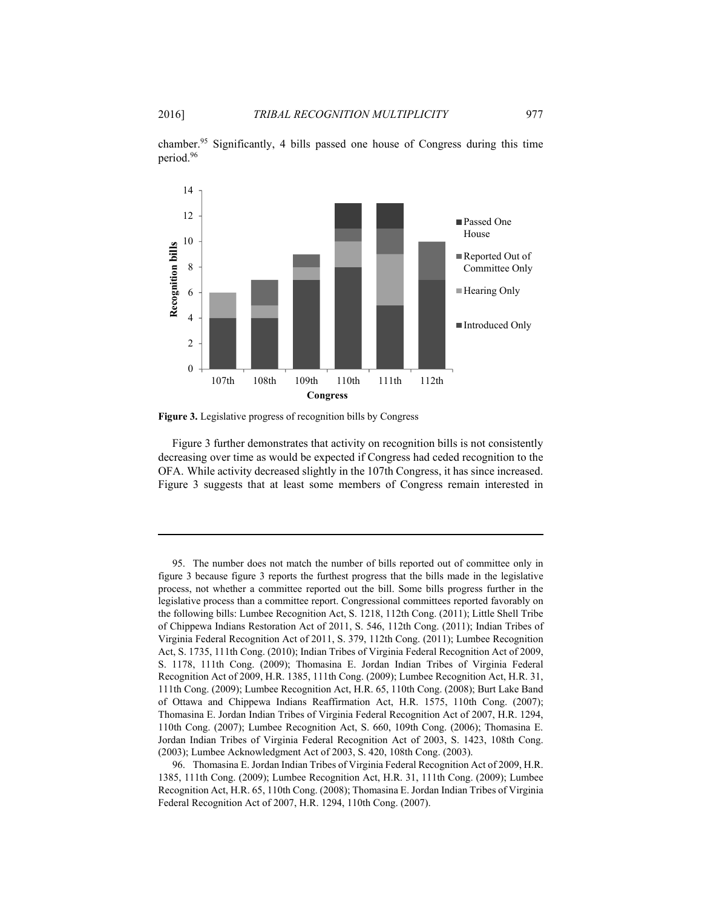1

chamber.95 Significantly, 4 bills passed one house of Congress during this time period.96



**Figure 3.** Legislative progress of recognition bills by Congress

Figure 3 further demonstrates that activity on recognition bills is not consistently decreasing over time as would be expected if Congress had ceded recognition to the OFA. While activity decreased slightly in the 107th Congress, it has since increased. Figure 3 suggests that at least some members of Congress remain interested in

 95. The number does not match the number of bills reported out of committee only in figure 3 because figure 3 reports the furthest progress that the bills made in the legislative process, not whether a committee reported out the bill. Some bills progress further in the legislative process than a committee report. Congressional committees reported favorably on the following bills: Lumbee Recognition Act, S. 1218, 112th Cong. (2011); Little Shell Tribe of Chippewa Indians Restoration Act of 2011, S. 546, 112th Cong. (2011); Indian Tribes of Virginia Federal Recognition Act of 2011, S. 379, 112th Cong. (2011); Lumbee Recognition Act, S. 1735, 111th Cong. (2010); Indian Tribes of Virginia Federal Recognition Act of 2009, S. 1178, 111th Cong. (2009); Thomasina E. Jordan Indian Tribes of Virginia Federal Recognition Act of 2009, H.R. 1385, 111th Cong. (2009); Lumbee Recognition Act, H.R. 31, 111th Cong. (2009); Lumbee Recognition Act, H.R. 65, 110th Cong. (2008); Burt Lake Band of Ottawa and Chippewa Indians Reaffirmation Act, H.R. 1575, 110th Cong. (2007); Thomasina E. Jordan Indian Tribes of Virginia Federal Recognition Act of 2007, H.R. 1294, 110th Cong. (2007); Lumbee Recognition Act, S. 660, 109th Cong. (2006); Thomasina E. Jordan Indian Tribes of Virginia Federal Recognition Act of 2003, S. 1423, 108th Cong. (2003); Lumbee Acknowledgment Act of 2003, S. 420, 108th Cong. (2003).

 <sup>96.</sup> Thomasina E. Jordan Indian Tribes of Virginia Federal Recognition Act of 2009, H.R. 1385, 111th Cong. (2009); Lumbee Recognition Act, H.R. 31, 111th Cong. (2009); Lumbee Recognition Act, H.R. 65, 110th Cong. (2008); Thomasina E. Jordan Indian Tribes of Virginia Federal Recognition Act of 2007, H.R. 1294, 110th Cong. (2007).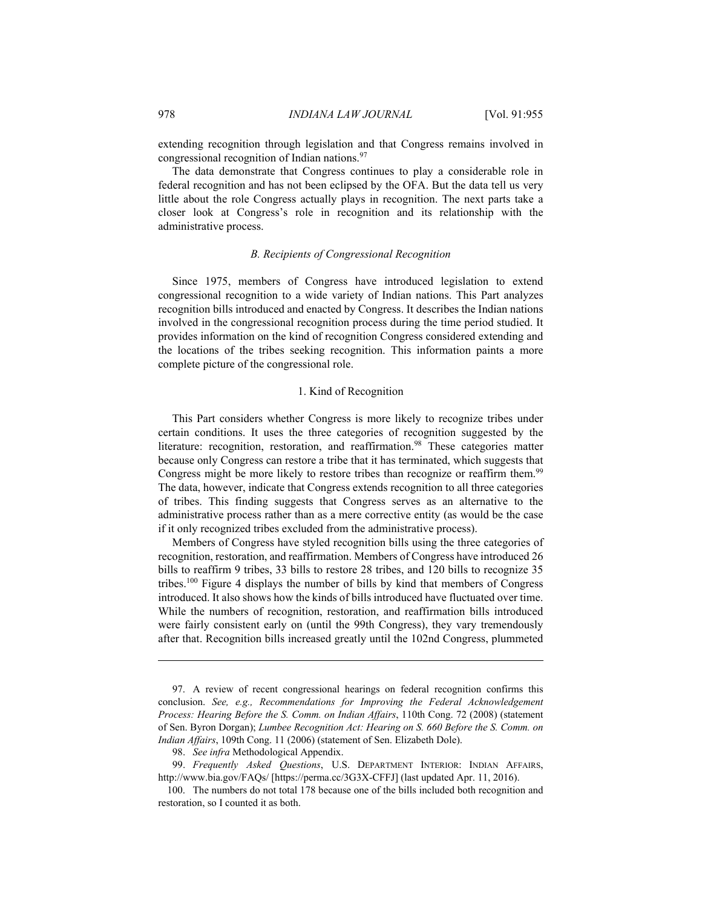extending recognition through legislation and that Congress remains involved in congressional recognition of Indian nations.97

The data demonstrate that Congress continues to play a considerable role in federal recognition and has not been eclipsed by the OFA. But the data tell us very little about the role Congress actually plays in recognition. The next parts take a closer look at Congress's role in recognition and its relationship with the administrative process.

#### *B. Recipients of Congressional Recognition*

Since 1975, members of Congress have introduced legislation to extend congressional recognition to a wide variety of Indian nations. This Part analyzes recognition bills introduced and enacted by Congress. It describes the Indian nations involved in the congressional recognition process during the time period studied. It provides information on the kind of recognition Congress considered extending and the locations of the tribes seeking recognition. This information paints a more complete picture of the congressional role.

#### 1. Kind of Recognition

This Part considers whether Congress is more likely to recognize tribes under certain conditions. It uses the three categories of recognition suggested by the literature: recognition, restoration, and reaffirmation.<sup>98</sup> These categories matter because only Congress can restore a tribe that it has terminated, which suggests that Congress might be more likely to restore tribes than recognize or reaffirm them.<sup>99</sup> The data, however, indicate that Congress extends recognition to all three categories of tribes. This finding suggests that Congress serves as an alternative to the administrative process rather than as a mere corrective entity (as would be the case if it only recognized tribes excluded from the administrative process).

Members of Congress have styled recognition bills using the three categories of recognition, restoration, and reaffirmation. Members of Congress have introduced 26 bills to reaffirm 9 tribes, 33 bills to restore 28 tribes, and 120 bills to recognize 35 tribes.100 Figure 4 displays the number of bills by kind that members of Congress introduced. It also shows how the kinds of bills introduced have fluctuated over time. While the numbers of recognition, restoration, and reaffirmation bills introduced were fairly consistent early on (until the 99th Congress), they vary tremendously after that. Recognition bills increased greatly until the 102nd Congress, plummeted

 <sup>97.</sup> A review of recent congressional hearings on federal recognition confirms this conclusion. *See, e.g., Recommendations for Improving the Federal Acknowledgement Process: Hearing Before the S. Comm. on Indian Affairs*, 110th Cong. 72 (2008) (statement of Sen. Byron Dorgan); *Lumbee Recognition Act: Hearing on S. 660 Before the S. Comm. on Indian Affairs*, 109th Cong. 11 (2006) (statement of Sen. Elizabeth Dole).

 <sup>98.</sup> *See infra* Methodological Appendix.

 <sup>99.</sup> *Frequently Asked Questions*, U.S. DEPARTMENT INTERIOR: INDIAN AFFAIRS, http://www.bia.gov/FAQs/ [https://perma.cc/3G3X-CFFJ] (last updated Apr. 11, 2016).

 <sup>100.</sup> The numbers do not total 178 because one of the bills included both recognition and restoration, so I counted it as both.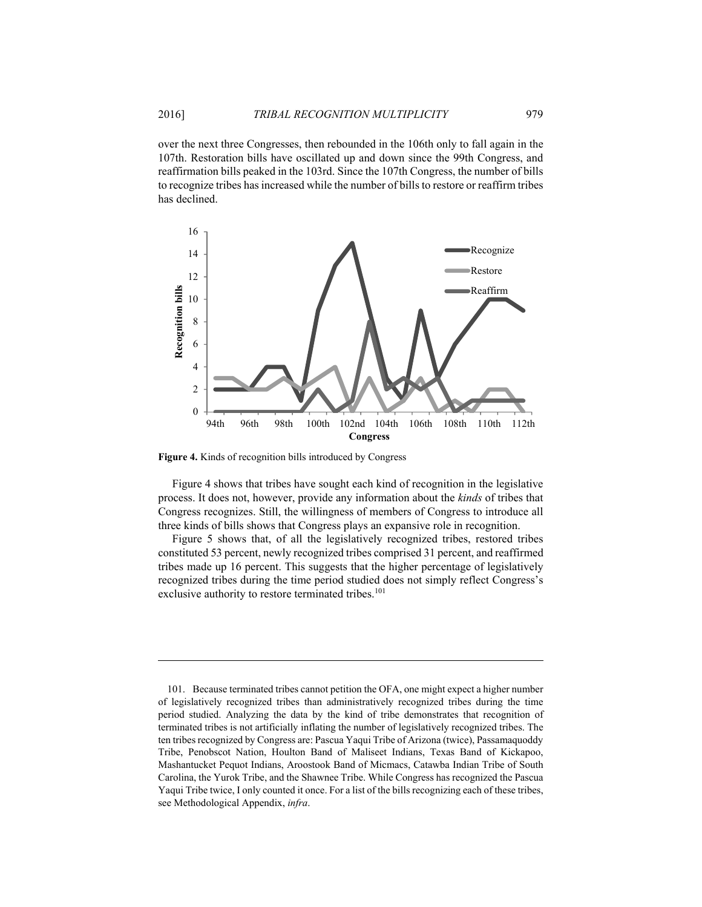over the next three Congresses, then rebounded in the 106th only to fall again in the 107th. Restoration bills have oscillated up and down since the 99th Congress, and reaffirmation bills peaked in the 103rd. Since the 107th Congress, the number of bills to recognize tribes has increased while the number of bills to restore or reaffirm tribes has declined.



**Figure 4.** Kinds of recognition bills introduced by Congress

1

Figure 4 shows that tribes have sought each kind of recognition in the legislative process. It does not, however, provide any information about the *kinds* of tribes that Congress recognizes. Still, the willingness of members of Congress to introduce all three kinds of bills shows that Congress plays an expansive role in recognition.

Figure 5 shows that, of all the legislatively recognized tribes, restored tribes constituted 53 percent, newly recognized tribes comprised 31 percent, and reaffirmed tribes made up 16 percent. This suggests that the higher percentage of legislatively recognized tribes during the time period studied does not simply reflect Congress's exclusive authority to restore terminated tribes.<sup>101</sup>

 <sup>101.</sup> Because terminated tribes cannot petition the OFA, one might expect a higher number of legislatively recognized tribes than administratively recognized tribes during the time period studied. Analyzing the data by the kind of tribe demonstrates that recognition of terminated tribes is not artificially inflating the number of legislatively recognized tribes. The ten tribes recognized by Congress are: Pascua Yaqui Tribe of Arizona (twice), Passamaquoddy Tribe, Penobscot Nation, Houlton Band of Maliseet Indians, Texas Band of Kickapoo, Mashantucket Pequot Indians, Aroostook Band of Micmacs, Catawba Indian Tribe of South Carolina, the Yurok Tribe, and the Shawnee Tribe. While Congress has recognized the Pascua Yaqui Tribe twice, I only counted it once. For a list of the bills recognizing each of these tribes, see Methodological Appendix, *infra*.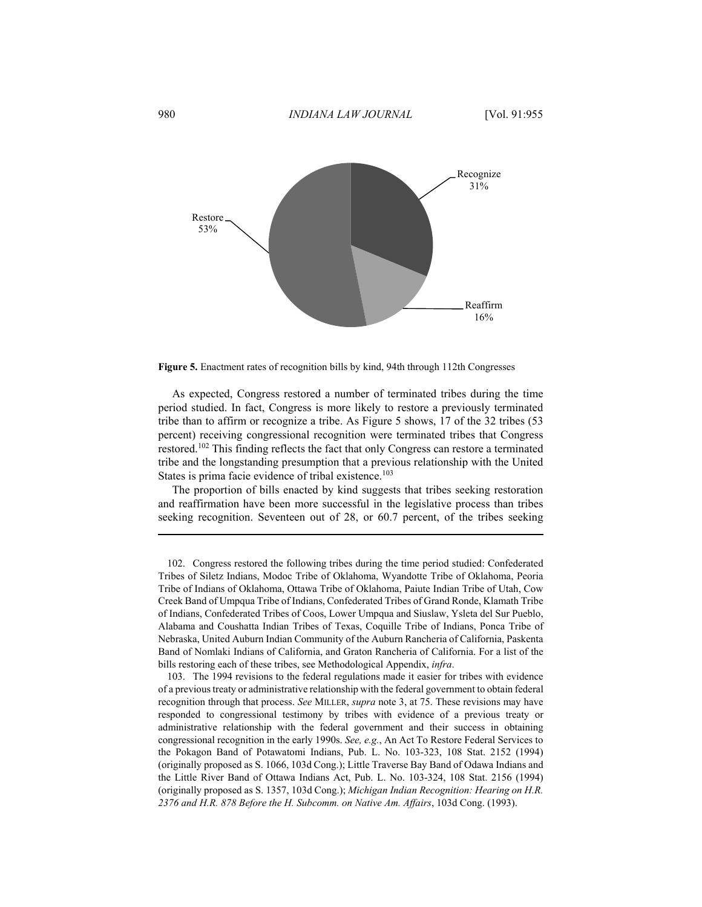

**Figure 5.** Enactment rates of recognition bills by kind, 94th through 112th Congresses

As expected, Congress restored a number of terminated tribes during the time period studied. In fact, Congress is more likely to restore a previously terminated tribe than to affirm or recognize a tribe. As Figure 5 shows, 17 of the 32 tribes (53 percent) receiving congressional recognition were terminated tribes that Congress restored.102 This finding reflects the fact that only Congress can restore a terminated tribe and the longstanding presumption that a previous relationship with the United States is prima facie evidence of tribal existence.<sup>103</sup>

The proportion of bills enacted by kind suggests that tribes seeking restoration and reaffirmation have been more successful in the legislative process than tribes seeking recognition. Seventeen out of 28, or 60.7 percent, of the tribes seeking

 103. The 1994 revisions to the federal regulations made it easier for tribes with evidence of a previous treaty or administrative relationship with the federal government to obtain federal recognition through that process. *See* MILLER, *supra* note 3, at 75. These revisions may have responded to congressional testimony by tribes with evidence of a previous treaty or administrative relationship with the federal government and their success in obtaining congressional recognition in the early 1990s. *See, e.g.*, An Act To Restore Federal Services to the Pokagon Band of Potawatomi Indians, Pub. L. No. 103-323, 108 Stat. 2152 (1994) (originally proposed as S. 1066, 103d Cong.); Little Traverse Bay Band of Odawa Indians and the Little River Band of Ottawa Indians Act, Pub. L. No. 103-324, 108 Stat. 2156 (1994) (originally proposed as S. 1357, 103d Cong.); *Michigan Indian Recognition: Hearing on H.R. 2376 and H.R. 878 Before the H. Subcomm. on Native Am. Affairs*, 103d Cong. (1993).

 <sup>102.</sup> Congress restored the following tribes during the time period studied: Confederated Tribes of Siletz Indians, Modoc Tribe of Oklahoma, Wyandotte Tribe of Oklahoma, Peoria Tribe of Indians of Oklahoma, Ottawa Tribe of Oklahoma, Paiute Indian Tribe of Utah, Cow Creek Band of Umpqua Tribe of Indians, Confederated Tribes of Grand Ronde, Klamath Tribe of Indians, Confederated Tribes of Coos, Lower Umpqua and Siuslaw, Ysleta del Sur Pueblo, Alabama and Coushatta Indian Tribes of Texas, Coquille Tribe of Indians, Ponca Tribe of Nebraska, United Auburn Indian Community of the Auburn Rancheria of California, Paskenta Band of Nomlaki Indians of California, and Graton Rancheria of California. For a list of the bills restoring each of these tribes, see Methodological Appendix, *infra*.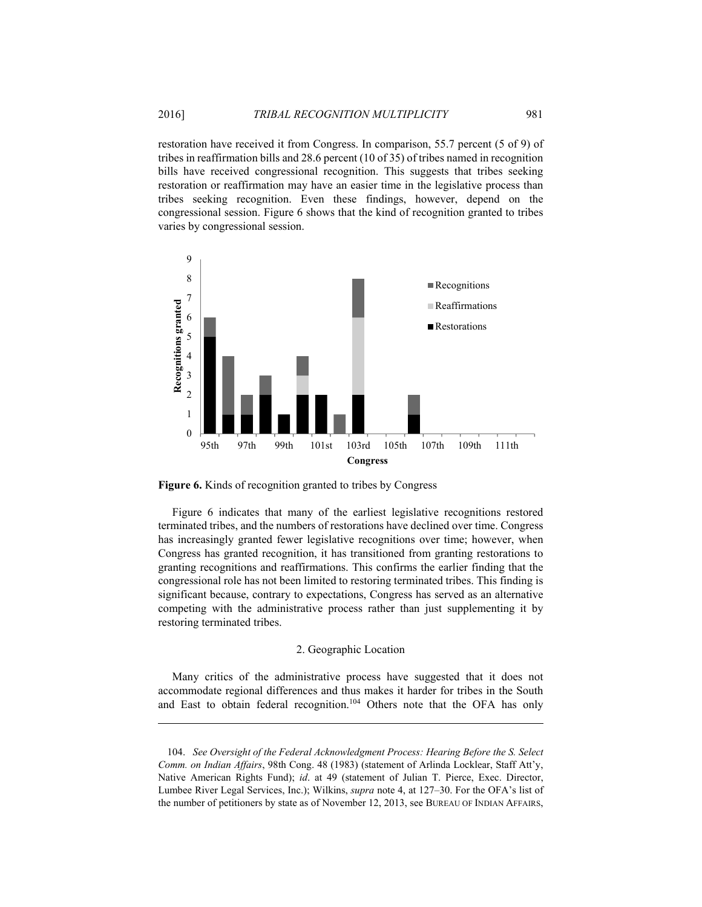restoration have received it from Congress. In comparison, 55.7 percent (5 of 9) of tribes in reaffirmation bills and 28.6 percent (10 of 35) of tribes named in recognition bills have received congressional recognition. This suggests that tribes seeking restoration or reaffirmation may have an easier time in the legislative process than tribes seeking recognition. Even these findings, however, depend on the congressional session. Figure 6 shows that the kind of recognition granted to tribes varies by congressional session.



**Figure 6.** Kinds of recognition granted to tribes by Congress

1

Figure 6 indicates that many of the earliest legislative recognitions restored terminated tribes, and the numbers of restorations have declined over time. Congress has increasingly granted fewer legislative recognitions over time; however, when Congress has granted recognition, it has transitioned from granting restorations to granting recognitions and reaffirmations. This confirms the earlier finding that the congressional role has not been limited to restoring terminated tribes. This finding is significant because, contrary to expectations, Congress has served as an alternative competing with the administrative process rather than just supplementing it by restoring terminated tribes.

#### 2. Geographic Location

Many critics of the administrative process have suggested that it does not accommodate regional differences and thus makes it harder for tribes in the South and East to obtain federal recognition.<sup>104</sup> Others note that the OFA has only

 104. *See Oversight of the Federal Acknowledgment Process: Hearing Before the S. Select Comm. on Indian Affairs*, 98th Cong. 48 (1983) (statement of Arlinda Locklear, Staff Att'y, Native American Rights Fund); *id*. at 49 (statement of Julian T. Pierce, Exec. Director, Lumbee River Legal Services, Inc.); Wilkins, *supra* note 4, at 127–30. For the OFA's list of the number of petitioners by state as of November 12, 2013, see BUREAU OF INDIAN AFFAIRS,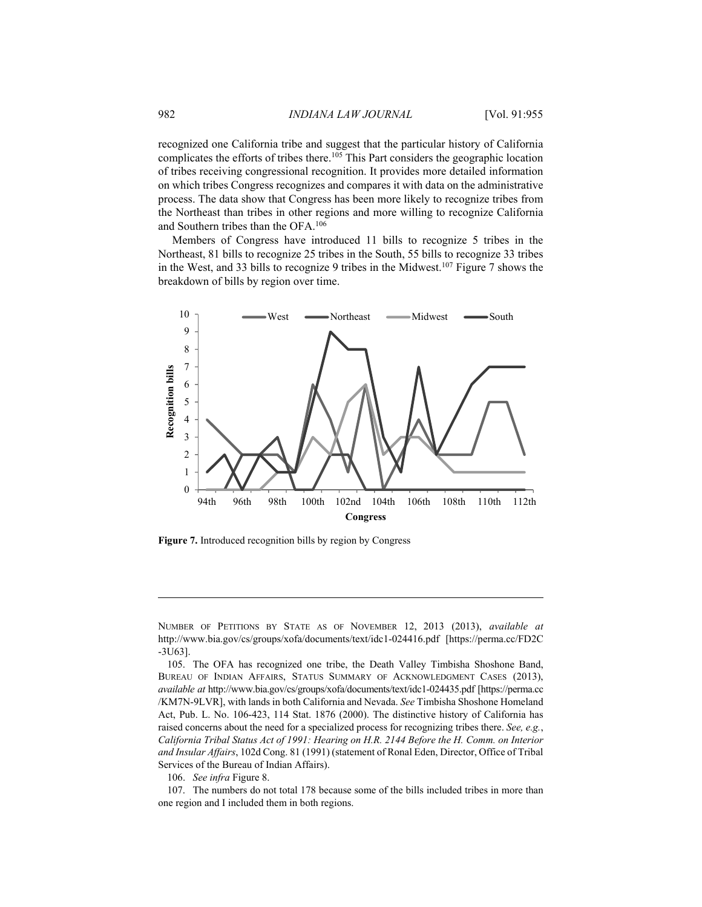recognized one California tribe and suggest that the particular history of California complicates the efforts of tribes there.105 This Part considers the geographic location of tribes receiving congressional recognition. It provides more detailed information on which tribes Congress recognizes and compares it with data on the administrative process. The data show that Congress has been more likely to recognize tribes from the Northeast than tribes in other regions and more willing to recognize California and Southern tribes than the OFA.106

Members of Congress have introduced 11 bills to recognize 5 tribes in the Northeast, 81 bills to recognize 25 tribes in the South, 55 bills to recognize 33 tribes in the West, and 33 bills to recognize 9 tribes in the Midwest.107 Figure 7 shows the breakdown of bills by region over time.



**Figure 7.** Introduced recognition bills by region by Congress

106. *See infra* Figure 8.

<u>.</u>

 107. The numbers do not total 178 because some of the bills included tribes in more than one region and I included them in both regions.

NUMBER OF PETITIONS BY STATE AS OF NOVEMBER 12, 2013 (2013), *available at* http://www.bia.gov/cs/groups/xofa/documents/text/idc1-024416.pdf [https://perma.cc/FD2C -3U63].

 <sup>105.</sup> The OFA has recognized one tribe, the Death Valley Timbisha Shoshone Band, BUREAU OF INDIAN AFFAIRS, STATUS SUMMARY OF ACKNOWLEDGMENT CASES (2013), *available at* http://www.bia.gov/cs/groups/xofa/documents/text/idc1-024435.pdf [https://perma.cc /KM7N-9LVR], with lands in both California and Nevada. *See* Timbisha Shoshone Homeland Act, Pub. L. No. 106-423, 114 Stat. 1876 (2000). The distinctive history of California has raised concerns about the need for a specialized process for recognizing tribes there. *See, e.g.*, *California Tribal Status Act of 1991: Hearing on H.R. 2144 Before the H. Comm. on Interior and Insular Affairs*, 102d Cong. 81 (1991) (statement of Ronal Eden, Director, Office of Tribal Services of the Bureau of Indian Affairs).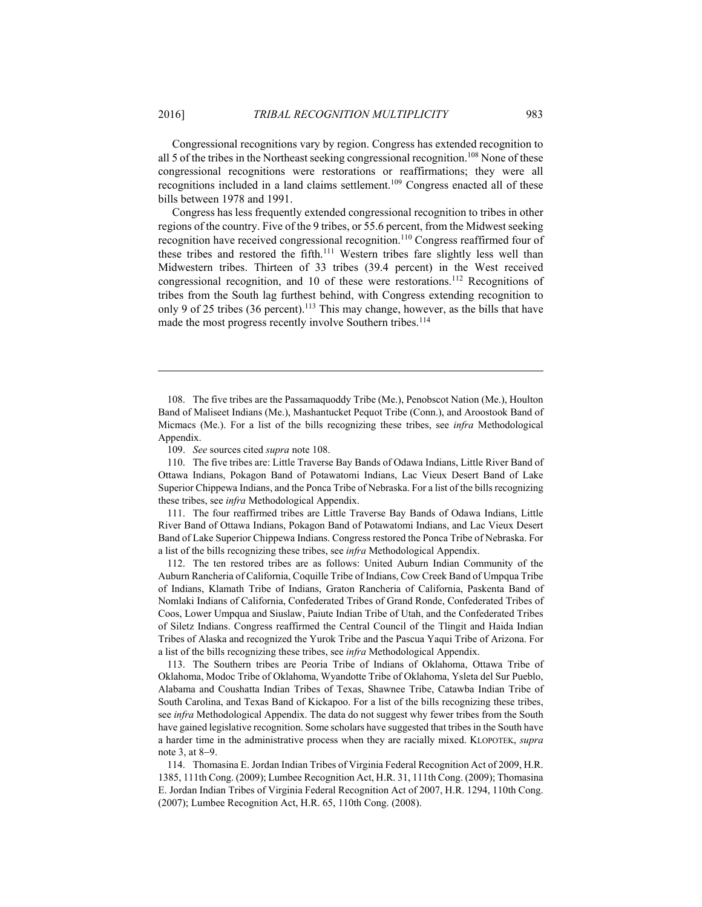Congressional recognitions vary by region. Congress has extended recognition to all 5 of the tribes in the Northeast seeking congressional recognition.<sup>108</sup> None of these congressional recognitions were restorations or reaffirmations; they were all recognitions included in a land claims settlement.<sup>109</sup> Congress enacted all of these bills between 1978 and 1991.

Congress has less frequently extended congressional recognition to tribes in other regions of the country. Five of the 9 tribes, or 55.6 percent, from the Midwest seeking recognition have received congressional recognition.110 Congress reaffirmed four of these tribes and restored the fifth.<sup>111</sup> Western tribes fare slightly less well than Midwestern tribes. Thirteen of 33 tribes (39.4 percent) in the West received congressional recognition, and 10 of these were restorations.112 Recognitions of tribes from the South lag furthest behind, with Congress extending recognition to only 9 of 25 tribes  $(36 \text{ percent})$ .<sup>113</sup> This may change, however, as the bills that have made the most progress recently involve Southern tribes.<sup>114</sup>

 108. The five tribes are the Passamaquoddy Tribe (Me.), Penobscot Nation (Me.), Houlton Band of Maliseet Indians (Me.), Mashantucket Pequot Tribe (Conn.), and Aroostook Band of Micmacs (Me.). For a list of the bills recognizing these tribes, see *infra* Methodological Appendix.

109. *See* sources cited *supra* note 108.

 110. The five tribes are: Little Traverse Bay Bands of Odawa Indians, Little River Band of Ottawa Indians, Pokagon Band of Potawatomi Indians, Lac Vieux Desert Band of Lake Superior Chippewa Indians, and the Ponca Tribe of Nebraska. For a list of the bills recognizing these tribes, see *infra* Methodological Appendix.

 111. The four reaffirmed tribes are Little Traverse Bay Bands of Odawa Indians, Little River Band of Ottawa Indians, Pokagon Band of Potawatomi Indians, and Lac Vieux Desert Band of Lake Superior Chippewa Indians. Congress restored the Ponca Tribe of Nebraska. For a list of the bills recognizing these tribes, see *infra* Methodological Appendix.

 112. The ten restored tribes are as follows: United Auburn Indian Community of the Auburn Rancheria of California, Coquille Tribe of Indians, Cow Creek Band of Umpqua Tribe of Indians, Klamath Tribe of Indians, Graton Rancheria of California, Paskenta Band of Nomlaki Indians of California, Confederated Tribes of Grand Ronde, Confederated Tribes of Coos, Lower Umpqua and Siuslaw, Paiute Indian Tribe of Utah, and the Confederated Tribes of Siletz Indians. Congress reaffirmed the Central Council of the Tlingit and Haida Indian Tribes of Alaska and recognized the Yurok Tribe and the Pascua Yaqui Tribe of Arizona. For a list of the bills recognizing these tribes, see *infra* Methodological Appendix.

 113. The Southern tribes are Peoria Tribe of Indians of Oklahoma, Ottawa Tribe of Oklahoma, Modoc Tribe of Oklahoma, Wyandotte Tribe of Oklahoma, Ysleta del Sur Pueblo, Alabama and Coushatta Indian Tribes of Texas, Shawnee Tribe, Catawba Indian Tribe of South Carolina, and Texas Band of Kickapoo. For a list of the bills recognizing these tribes, see *infra* Methodological Appendix. The data do not suggest why fewer tribes from the South have gained legislative recognition. Some scholars have suggested that tribes in the South have a harder time in the administrative process when they are racially mixed. KLOPOTEK, *supra* note 3, at  $8-9$ .

 114. Thomasina E. Jordan Indian Tribes of Virginia Federal Recognition Act of 2009, H.R. 1385, 111th Cong. (2009); Lumbee Recognition Act, H.R. 31, 111th Cong. (2009); Thomasina E. Jordan Indian Tribes of Virginia Federal Recognition Act of 2007, H.R. 1294, 110th Cong. (2007); Lumbee Recognition Act, H.R. 65, 110th Cong. (2008).

<u>.</u>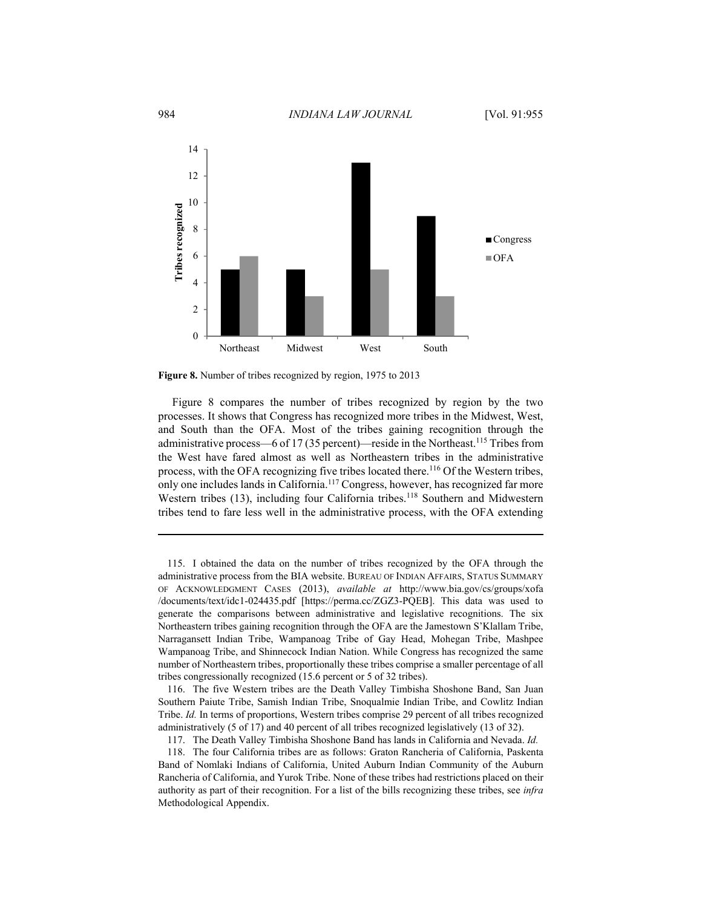

**Figure 8.** Number of tribes recognized by region, 1975 to 2013

Figure 8 compares the number of tribes recognized by region by the two processes. It shows that Congress has recognized more tribes in the Midwest, West, and South than the OFA. Most of the tribes gaining recognition through the administrative process—6 of 17 (35 percent)—reside in the Northeast.<sup>115</sup> Tribes from the West have fared almost as well as Northeastern tribes in the administrative process, with the OFA recognizing five tribes located there.<sup>116</sup> Of the Western tribes, only one includes lands in California.117 Congress, however, has recognized far more Western tribes (13), including four California tribes.<sup>118</sup> Southern and Midwestern tribes tend to fare less well in the administrative process, with the OFA extending

 116. The five Western tribes are the Death Valley Timbisha Shoshone Band, San Juan Southern Paiute Tribe, Samish Indian Tribe, Snoqualmie Indian Tribe, and Cowlitz Indian Tribe. *Id.* In terms of proportions, Western tribes comprise 29 percent of all tribes recognized administratively (5 of 17) and 40 percent of all tribes recognized legislatively (13 of 32).

 <sup>115.</sup> I obtained the data on the number of tribes recognized by the OFA through the administrative process from the BIA website. BUREAU OF INDIAN AFFAIRS, STATUS SUMMARY OF ACKNOWLEDGMENT CASES (2013), *available at* http://www.bia.gov/cs/groups/xofa /documents/text/idc1-024435.pdf [https://perma.cc/ZGZ3-PQEB]. This data was used to generate the comparisons between administrative and legislative recognitions. The six Northeastern tribes gaining recognition through the OFA are the Jamestown S'Klallam Tribe, Narragansett Indian Tribe, Wampanoag Tribe of Gay Head, Mohegan Tribe, Mashpee Wampanoag Tribe, and Shinnecock Indian Nation. While Congress has recognized the same number of Northeastern tribes, proportionally these tribes comprise a smaller percentage of all tribes congressionally recognized (15.6 percent or 5 of 32 tribes).

 <sup>117.</sup> The Death Valley Timbisha Shoshone Band has lands in California and Nevada. *Id.*

 <sup>118.</sup> The four California tribes are as follows: Graton Rancheria of California, Paskenta Band of Nomlaki Indians of California, United Auburn Indian Community of the Auburn Rancheria of California, and Yurok Tribe. None of these tribes had restrictions placed on their authority as part of their recognition. For a list of the bills recognizing these tribes, see *infra* Methodological Appendix.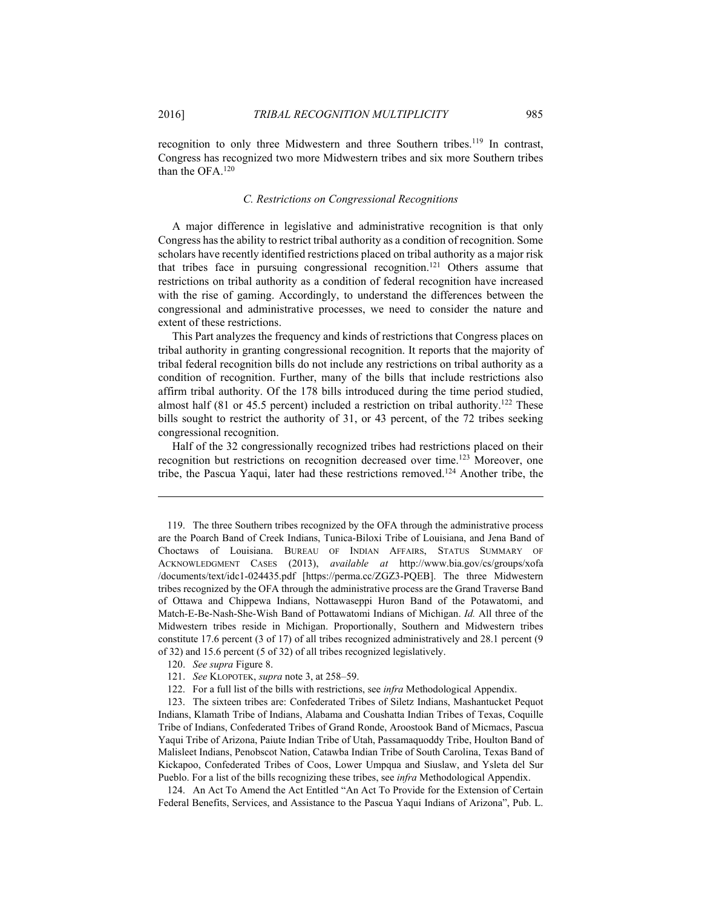1

recognition to only three Midwestern and three Southern tribes.<sup>119</sup> In contrast, Congress has recognized two more Midwestern tribes and six more Southern tribes than the OFA 120

#### *C. Restrictions on Congressional Recognitions*

A major difference in legislative and administrative recognition is that only Congress has the ability to restrict tribal authority as a condition of recognition. Some scholars have recently identified restrictions placed on tribal authority as a major risk that tribes face in pursuing congressional recognition.<sup>121</sup> Others assume that restrictions on tribal authority as a condition of federal recognition have increased with the rise of gaming. Accordingly, to understand the differences between the congressional and administrative processes, we need to consider the nature and extent of these restrictions.

This Part analyzes the frequency and kinds of restrictions that Congress places on tribal authority in granting congressional recognition. It reports that the majority of tribal federal recognition bills do not include any restrictions on tribal authority as a condition of recognition. Further, many of the bills that include restrictions also affirm tribal authority. Of the 178 bills introduced during the time period studied, almost half (81 or 45.5 percent) included a restriction on tribal authority.<sup>122</sup> These bills sought to restrict the authority of 31, or 43 percent, of the 72 tribes seeking congressional recognition.

Half of the 32 congressionally recognized tribes had restrictions placed on their recognition but restrictions on recognition decreased over time.<sup>123</sup> Moreover, one tribe, the Pascua Yaqui, later had these restrictions removed.124 Another tribe, the

120. *See supra* Figure 8.

 123. The sixteen tribes are: Confederated Tribes of Siletz Indians, Mashantucket Pequot Indians, Klamath Tribe of Indians, Alabama and Coushatta Indian Tribes of Texas, Coquille Tribe of Indians, Confederated Tribes of Grand Ronde, Aroostook Band of Micmacs, Pascua Yaqui Tribe of Arizona, Paiute Indian Tribe of Utah, Passamaquoddy Tribe, Houlton Band of Malisleet Indians, Penobscot Nation, Catawba Indian Tribe of South Carolina, Texas Band of Kickapoo, Confederated Tribes of Coos, Lower Umpqua and Siuslaw, and Ysleta del Sur Pueblo. For a list of the bills recognizing these tribes, see *infra* Methodological Appendix.

 124. An Act To Amend the Act Entitled "An Act To Provide for the Extension of Certain Federal Benefits, Services, and Assistance to the Pascua Yaqui Indians of Arizona", Pub. L.

 <sup>119.</sup> The three Southern tribes recognized by the OFA through the administrative process are the Poarch Band of Creek Indians, Tunica-Biloxi Tribe of Louisiana, and Jena Band of Choctaws of Louisiana. BUREAU OF INDIAN AFFAIRS, STATUS SUMMARY OF ACKNOWLEDGMENT CASES (2013), *available at* http://www.bia.gov/cs/groups/xofa /documents/text/idc1-024435.pdf [https://perma.cc/ZGZ3-PQEB]. The three Midwestern tribes recognized by the OFA through the administrative process are the Grand Traverse Band of Ottawa and Chippewa Indians, Nottawaseppi Huron Band of the Potawatomi, and Match-E-Be-Nash-She-Wish Band of Pottawatomi Indians of Michigan. *Id.* All three of the Midwestern tribes reside in Michigan. Proportionally, Southern and Midwestern tribes constitute 17.6 percent (3 of 17) of all tribes recognized administratively and 28.1 percent (9 of 32) and 15.6 percent (5 of 32) of all tribes recognized legislatively.

 <sup>121.</sup> *See* KLOPOTEK, *supra* note 3, at 258–59.

 <sup>122.</sup> For a full list of the bills with restrictions, see *infra* Methodological Appendix.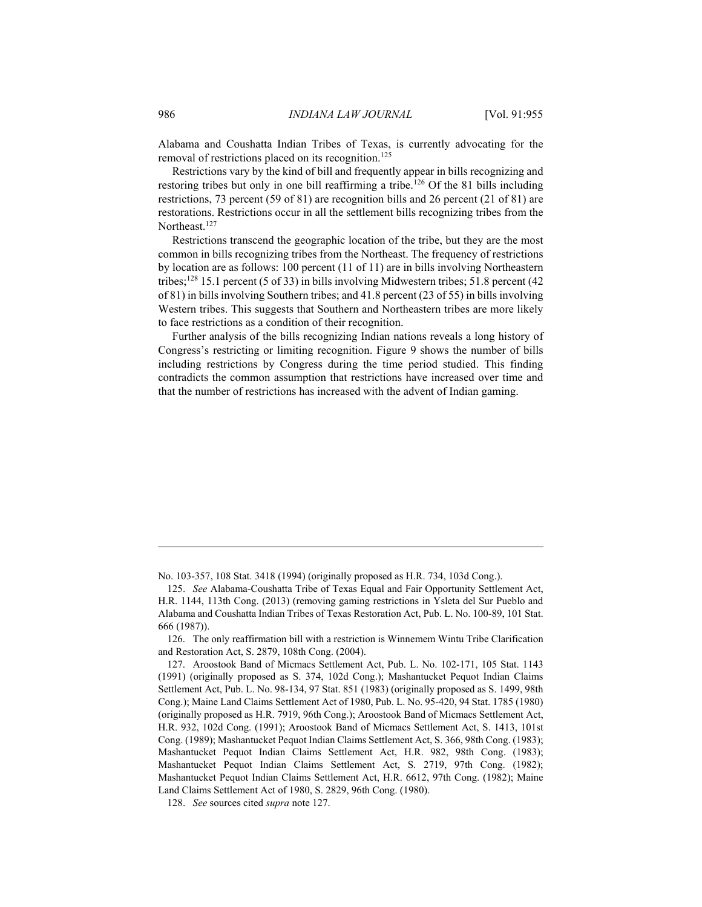Alabama and Coushatta Indian Tribes of Texas, is currently advocating for the removal of restrictions placed on its recognition.<sup>125</sup>

Restrictions vary by the kind of bill and frequently appear in bills recognizing and restoring tribes but only in one bill reaffirming a tribe.<sup>126</sup> Of the 81 bills including restrictions, 73 percent (59 of 81) are recognition bills and 26 percent (21 of 81) are restorations. Restrictions occur in all the settlement bills recognizing tribes from the Northeast<sup>127</sup>

Restrictions transcend the geographic location of the tribe, but they are the most common in bills recognizing tribes from the Northeast. The frequency of restrictions by location are as follows: 100 percent (11 of 11) are in bills involving Northeastern tribes;128 15.1 percent (5 of 33) in bills involving Midwestern tribes; 51.8 percent (42 of 81) in bills involving Southern tribes; and 41.8 percent (23 of 55) in bills involving Western tribes. This suggests that Southern and Northeastern tribes are more likely to face restrictions as a condition of their recognition.

Further analysis of the bills recognizing Indian nations reveals a long history of Congress's restricting or limiting recognition. Figure 9 shows the number of bills including restrictions by Congress during the time period studied. This finding contradicts the common assumption that restrictions have increased over time and that the number of restrictions has increased with the advent of Indian gaming.

No. 103-357, 108 Stat. 3418 (1994) (originally proposed as H.R. 734, 103d Cong.).

 <sup>125.</sup> *See* Alabama-Coushatta Tribe of Texas Equal and Fair Opportunity Settlement Act, H.R. 1144, 113th Cong. (2013) (removing gaming restrictions in Ysleta del Sur Pueblo and Alabama and Coushatta Indian Tribes of Texas Restoration Act, Pub. L. No. 100-89, 101 Stat. 666 (1987)).

 <sup>126.</sup> The only reaffirmation bill with a restriction is Winnemem Wintu Tribe Clarification and Restoration Act, S. 2879, 108th Cong. (2004).

 <sup>127.</sup> Aroostook Band of Micmacs Settlement Act, Pub. L. No. 102-171, 105 Stat. 1143 (1991) (originally proposed as S. 374, 102d Cong.); Mashantucket Pequot Indian Claims Settlement Act, Pub. L. No. 98-134, 97 Stat. 851 (1983) (originally proposed as S. 1499, 98th Cong.); Maine Land Claims Settlement Act of 1980, Pub. L. No. 95-420, 94 Stat. 1785 (1980) (originally proposed as H.R. 7919, 96th Cong.); Aroostook Band of Micmacs Settlement Act, H.R. 932, 102d Cong. (1991); Aroostook Band of Micmacs Settlement Act, S. 1413, 101st Cong. (1989); Mashantucket Pequot Indian Claims Settlement Act, S. 366, 98th Cong. (1983); Mashantucket Pequot Indian Claims Settlement Act, H.R. 982, 98th Cong. (1983); Mashantucket Pequot Indian Claims Settlement Act, S. 2719, 97th Cong. (1982); Mashantucket Pequot Indian Claims Settlement Act, H.R. 6612, 97th Cong. (1982); Maine Land Claims Settlement Act of 1980, S. 2829, 96th Cong. (1980).

 <sup>128.</sup> *See* sources cited *supra* note 127.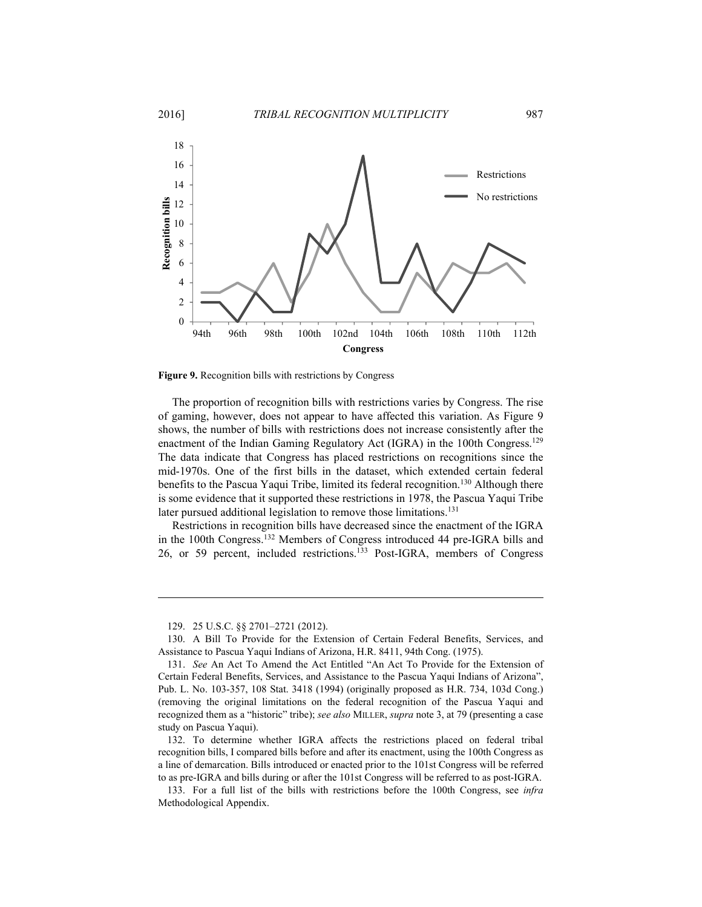

**Figure 9.** Recognition bills with restrictions by Congress

The proportion of recognition bills with restrictions varies by Congress. The rise of gaming, however, does not appear to have affected this variation. As Figure 9 shows, the number of bills with restrictions does not increase consistently after the enactment of the Indian Gaming Regulatory Act (IGRA) in the 100th Congress.<sup>129</sup> The data indicate that Congress has placed restrictions on recognitions since the mid-1970s. One of the first bills in the dataset, which extended certain federal benefits to the Pascua Yaqui Tribe, limited its federal recognition.<sup>130</sup> Although there is some evidence that it supported these restrictions in 1978, the Pascua Yaqui Tribe later pursued additional legislation to remove those limitations.<sup>131</sup>

Restrictions in recognition bills have decreased since the enactment of the IGRA in the 100th Congress.132 Members of Congress introduced 44 pre-IGRA bills and 26, or 59 percent, included restrictions.133 Post-IGRA, members of Congress

<u>.</u>

 <sup>129. 25</sup> U.S.C. §§ 2701–2721 (2012).

 <sup>130.</sup> A Bill To Provide for the Extension of Certain Federal Benefits, Services, and Assistance to Pascua Yaqui Indians of Arizona, H.R. 8411, 94th Cong. (1975).

 <sup>131.</sup> *See* An Act To Amend the Act Entitled "An Act To Provide for the Extension of Certain Federal Benefits, Services, and Assistance to the Pascua Yaqui Indians of Arizona", Pub. L. No. 103-357, 108 Stat. 3418 (1994) (originally proposed as H.R. 734, 103d Cong.) (removing the original limitations on the federal recognition of the Pascua Yaqui and recognized them as a "historic" tribe); *see also* MILLER, *supra* note 3, at 79 (presenting a case study on Pascua Yaqui).

 <sup>132.</sup> To determine whether IGRA affects the restrictions placed on federal tribal recognition bills, I compared bills before and after its enactment, using the 100th Congress as a line of demarcation. Bills introduced or enacted prior to the 101st Congress will be referred to as pre-IGRA and bills during or after the 101st Congress will be referred to as post-IGRA.

 <sup>133.</sup> For a full list of the bills with restrictions before the 100th Congress, see *infra* Methodological Appendix.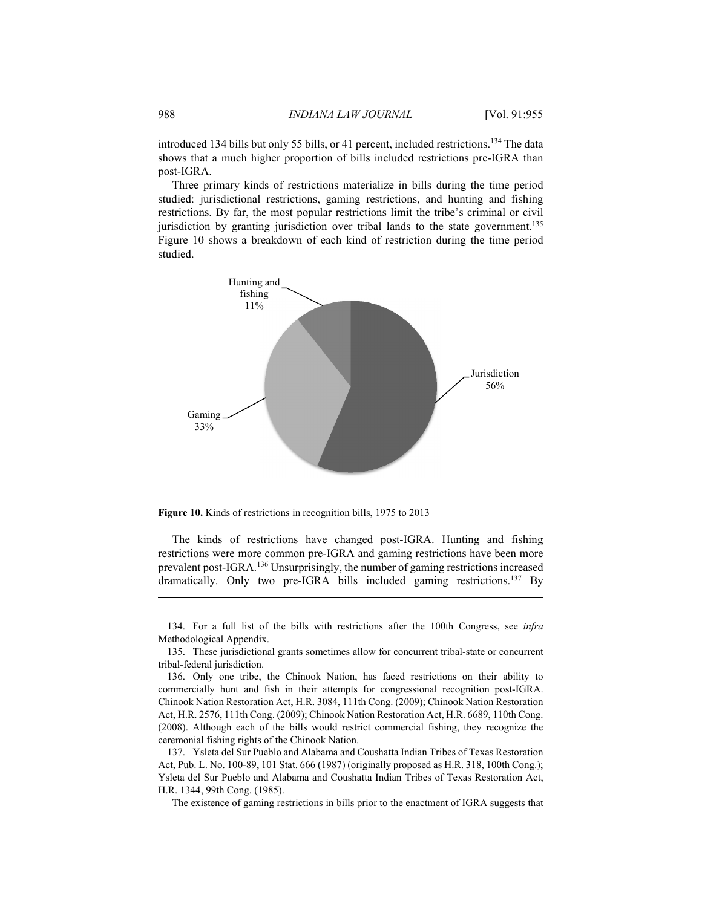introduced 134 bills but only 55 bills, or 41 percent, included restrictions.<sup>134</sup> The data shows that a much higher proportion of bills included restrictions pre-IGRA than post-IGRA.

Three primary kinds of restrictions materialize in bills during the time period studied: jurisdictional restrictions, gaming restrictions, and hunting and fishing restrictions. By far, the most popular restrictions limit the tribe's criminal or civil jurisdiction by granting jurisdiction over tribal lands to the state government.<sup>135</sup> Figure 10 shows a breakdown of each kind of restriction during the time period studied.



**Figure 10.** Kinds of restrictions in recognition bills, 1975 to 2013

The kinds of restrictions have changed post-IGRA. Hunting and fishing restrictions were more common pre-IGRA and gaming restrictions have been more prevalent post-IGRA.136 Unsurprisingly, the number of gaming restrictions increased dramatically. Only two pre-IGRA bills included gaming restrictions.<sup>137</sup> By

The existence of gaming restrictions in bills prior to the enactment of IGRA suggests that

<u>.</u>

 <sup>134.</sup> For a full list of the bills with restrictions after the 100th Congress, see *infra* Methodological Appendix.

 <sup>135.</sup> These jurisdictional grants sometimes allow for concurrent tribal-state or concurrent tribal-federal jurisdiction.

 <sup>136.</sup> Only one tribe, the Chinook Nation, has faced restrictions on their ability to commercially hunt and fish in their attempts for congressional recognition post-IGRA. Chinook Nation Restoration Act, H.R. 3084, 111th Cong. (2009); Chinook Nation Restoration Act, H.R. 2576, 111th Cong. (2009); Chinook Nation Restoration Act, H.R. 6689, 110th Cong. (2008). Although each of the bills would restrict commercial fishing, they recognize the ceremonial fishing rights of the Chinook Nation.

 <sup>137.</sup> Ysleta del Sur Pueblo and Alabama and Coushatta Indian Tribes of Texas Restoration Act, Pub. L. No. 100-89, 101 Stat. 666 (1987) (originally proposed as H.R. 318, 100th Cong.); Ysleta del Sur Pueblo and Alabama and Coushatta Indian Tribes of Texas Restoration Act, H.R. 1344, 99th Cong. (1985).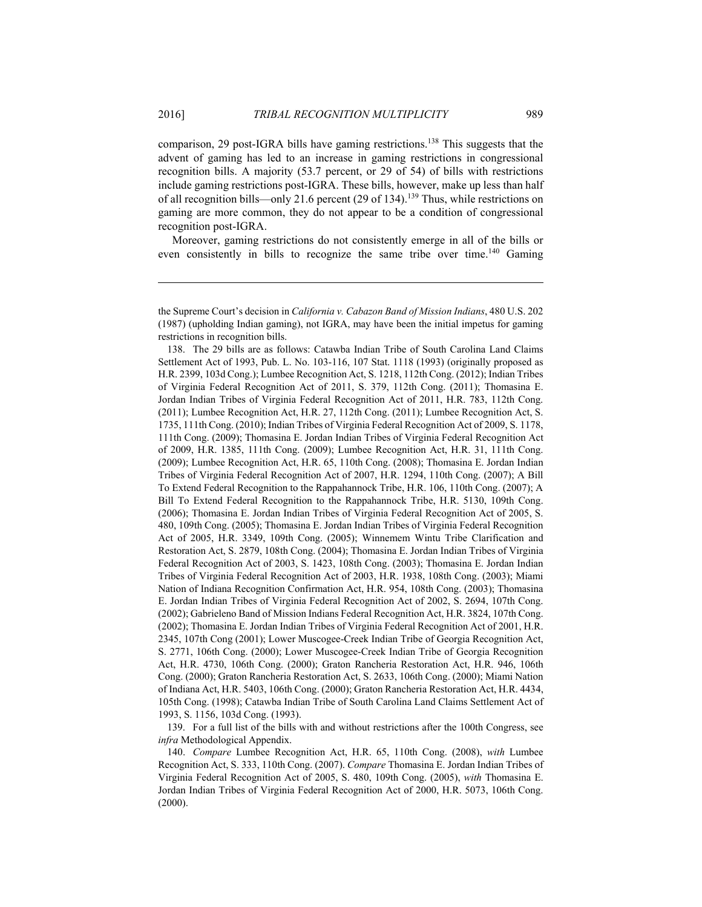1

comparison, 29 post-IGRA bills have gaming restrictions.138 This suggests that the advent of gaming has led to an increase in gaming restrictions in congressional recognition bills. A majority (53.7 percent, or 29 of 54) of bills with restrictions include gaming restrictions post-IGRA. These bills, however, make up less than half of all recognition bills—only 21.6 percent (29 of 134).139 Thus, while restrictions on gaming are more common, they do not appear to be a condition of congressional recognition post-IGRA.

Moreover, gaming restrictions do not consistently emerge in all of the bills or even consistently in bills to recognize the same tribe over time.<sup>140</sup> Gaming

 138. The 29 bills are as follows: Catawba Indian Tribe of South Carolina Land Claims Settlement Act of 1993, Pub. L. No. 103-116, 107 Stat. 1118 (1993) (originally proposed as H.R. 2399, 103d Cong.); Lumbee Recognition Act, S. 1218, 112th Cong. (2012); Indian Tribes of Virginia Federal Recognition Act of 2011, S. 379, 112th Cong. (2011); Thomasina E. Jordan Indian Tribes of Virginia Federal Recognition Act of 2011, H.R. 783, 112th Cong. (2011); Lumbee Recognition Act, H.R. 27, 112th Cong. (2011); Lumbee Recognition Act, S. 1735, 111th Cong. (2010); Indian Tribes of Virginia Federal Recognition Act of 2009, S. 1178, 111th Cong. (2009); Thomasina E. Jordan Indian Tribes of Virginia Federal Recognition Act of 2009, H.R. 1385, 111th Cong. (2009); Lumbee Recognition Act, H.R. 31, 111th Cong. (2009); Lumbee Recognition Act, H.R. 65, 110th Cong. (2008); Thomasina E. Jordan Indian Tribes of Virginia Federal Recognition Act of 2007, H.R. 1294, 110th Cong. (2007); A Bill To Extend Federal Recognition to the Rappahannock Tribe, H.R. 106, 110th Cong. (2007); A Bill To Extend Federal Recognition to the Rappahannock Tribe, H.R. 5130, 109th Cong. (2006); Thomasina E. Jordan Indian Tribes of Virginia Federal Recognition Act of 2005, S. 480, 109th Cong. (2005); Thomasina E. Jordan Indian Tribes of Virginia Federal Recognition Act of 2005, H.R. 3349, 109th Cong. (2005); Winnemem Wintu Tribe Clarification and Restoration Act, S. 2879, 108th Cong. (2004); Thomasina E. Jordan Indian Tribes of Virginia Federal Recognition Act of 2003, S. 1423, 108th Cong. (2003); Thomasina E. Jordan Indian Tribes of Virginia Federal Recognition Act of 2003, H.R. 1938, 108th Cong. (2003); Miami Nation of Indiana Recognition Confirmation Act, H.R. 954, 108th Cong. (2003); Thomasina E. Jordan Indian Tribes of Virginia Federal Recognition Act of 2002, S. 2694, 107th Cong. (2002); Gabrieleno Band of Mission Indians Federal Recognition Act, H.R. 3824, 107th Cong. (2002); Thomasina E. Jordan Indian Tribes of Virginia Federal Recognition Act of 2001, H.R. 2345, 107th Cong (2001); Lower Muscogee-Creek Indian Tribe of Georgia Recognition Act, S. 2771, 106th Cong. (2000); Lower Muscogee-Creek Indian Tribe of Georgia Recognition Act, H.R. 4730, 106th Cong. (2000); Graton Rancheria Restoration Act, H.R. 946, 106th Cong. (2000); Graton Rancheria Restoration Act, S. 2633, 106th Cong. (2000); Miami Nation of Indiana Act, H.R. 5403, 106th Cong. (2000); Graton Rancheria Restoration Act, H.R. 4434, 105th Cong. (1998); Catawba Indian Tribe of South Carolina Land Claims Settlement Act of 1993, S. 1156, 103d Cong. (1993).

 139. For a full list of the bills with and without restrictions after the 100th Congress, see *infra* Methodological Appendix.

 140. *Compare* Lumbee Recognition Act, H.R. 65, 110th Cong. (2008), *with* Lumbee Recognition Act, S. 333, 110th Cong. (2007). *Compare* Thomasina E. Jordan Indian Tribes of Virginia Federal Recognition Act of 2005, S. 480, 109th Cong. (2005), *with* Thomasina E. Jordan Indian Tribes of Virginia Federal Recognition Act of 2000, H.R. 5073, 106th Cong. (2000).

the Supreme Court's decision in *California v. Cabazon Band of Mission Indians*, 480 U.S. 202 (1987) (upholding Indian gaming), not IGRA, may have been the initial impetus for gaming restrictions in recognition bills.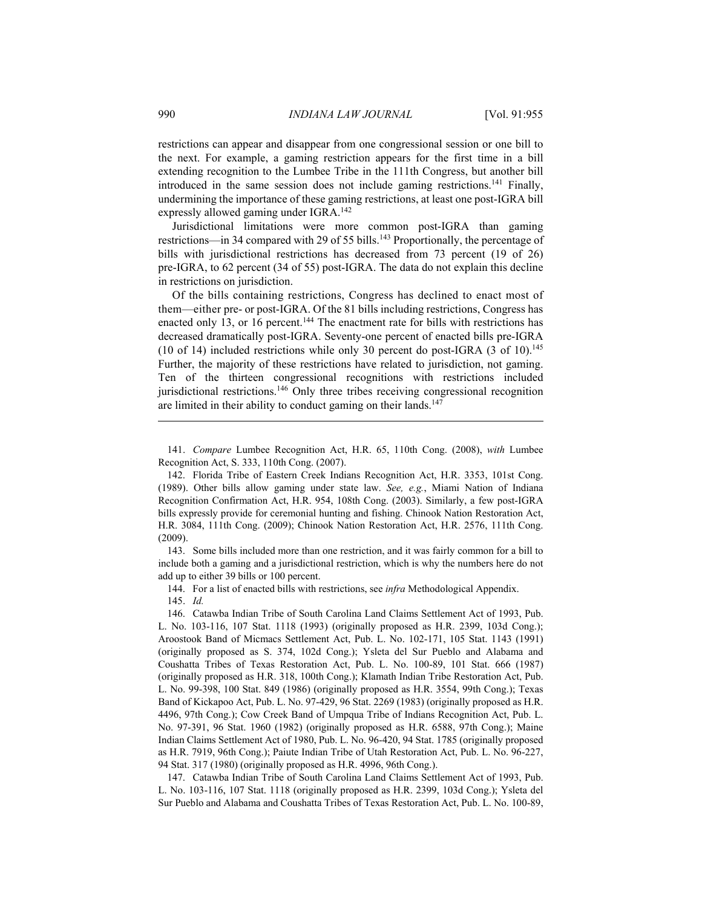restrictions can appear and disappear from one congressional session or one bill to the next. For example, a gaming restriction appears for the first time in a bill extending recognition to the Lumbee Tribe in the 111th Congress, but another bill introduced in the same session does not include gaming restrictions.141 Finally, undermining the importance of these gaming restrictions, at least one post-IGRA bill expressly allowed gaming under IGRA.142

Jurisdictional limitations were more common post-IGRA than gaming restrictions—in 34 compared with 29 of 55 bills.<sup>143</sup> Proportionally, the percentage of bills with jurisdictional restrictions has decreased from 73 percent (19 of 26) pre-IGRA, to 62 percent (34 of 55) post-IGRA. The data do not explain this decline in restrictions on jurisdiction.

Of the bills containing restrictions, Congress has declined to enact most of them—either pre- or post-IGRA. Of the 81 bills including restrictions, Congress has enacted only 13, or 16 percent.<sup>144</sup> The enactment rate for bills with restrictions has decreased dramatically post-IGRA. Seventy-one percent of enacted bills pre-IGRA (10 of 14) included restrictions while only 30 percent do post-IGRA (3 of 10).<sup>145</sup> Further, the majority of these restrictions have related to jurisdiction, not gaming. Ten of the thirteen congressional recognitions with restrictions included jurisdictional restrictions.146 Only three tribes receiving congressional recognition are limited in their ability to conduct gaming on their lands.<sup>147</sup>

 141. *Compare* Lumbee Recognition Act, H.R. 65, 110th Cong. (2008), *with* Lumbee Recognition Act, S. 333, 110th Cong. (2007).

 142. Florida Tribe of Eastern Creek Indians Recognition Act, H.R. 3353, 101st Cong. (1989). Other bills allow gaming under state law. *See, e.g.*, Miami Nation of Indiana Recognition Confirmation Act, H.R. 954, 108th Cong. (2003). Similarly, a few post-IGRA bills expressly provide for ceremonial hunting and fishing. Chinook Nation Restoration Act, H.R. 3084, 111th Cong. (2009); Chinook Nation Restoration Act, H.R. 2576, 111th Cong. (2009).

 143. Some bills included more than one restriction, and it was fairly common for a bill to include both a gaming and a jurisdictional restriction, which is why the numbers here do not add up to either 39 bills or 100 percent.

 144. For a list of enacted bills with restrictions, see *infra* Methodological Appendix. 145. *Id.*

 146. Catawba Indian Tribe of South Carolina Land Claims Settlement Act of 1993, Pub. L. No. 103-116, 107 Stat. 1118 (1993) (originally proposed as H.R. 2399, 103d Cong.); Aroostook Band of Micmacs Settlement Act, Pub. L. No. 102-171, 105 Stat. 1143 (1991) (originally proposed as S. 374, 102d Cong.); Ysleta del Sur Pueblo and Alabama and Coushatta Tribes of Texas Restoration Act, Pub. L. No. 100-89, 101 Stat. 666 (1987) (originally proposed as H.R. 318, 100th Cong.); Klamath Indian Tribe Restoration Act, Pub. L. No. 99-398, 100 Stat. 849 (1986) (originally proposed as H.R. 3554, 99th Cong.); Texas Band of Kickapoo Act, Pub. L. No. 97-429, 96 Stat. 2269 (1983) (originally proposed as H.R. 4496, 97th Cong.); Cow Creek Band of Umpqua Tribe of Indians Recognition Act, Pub. L. No. 97-391, 96 Stat. 1960 (1982) (originally proposed as H.R. 6588, 97th Cong.); Maine Indian Claims Settlement Act of 1980, Pub. L. No. 96-420, 94 Stat. 1785 (originally proposed as H.R. 7919, 96th Cong.); Paiute Indian Tribe of Utah Restoration Act, Pub. L. No. 96-227, 94 Stat. 317 (1980) (originally proposed as H.R. 4996, 96th Cong.).

 147. Catawba Indian Tribe of South Carolina Land Claims Settlement Act of 1993, Pub. L. No. 103-116, 107 Stat. 1118 (originally proposed as H.R. 2399, 103d Cong.); Ysleta del Sur Pueblo and Alabama and Coushatta Tribes of Texas Restoration Act, Pub. L. No. 100-89,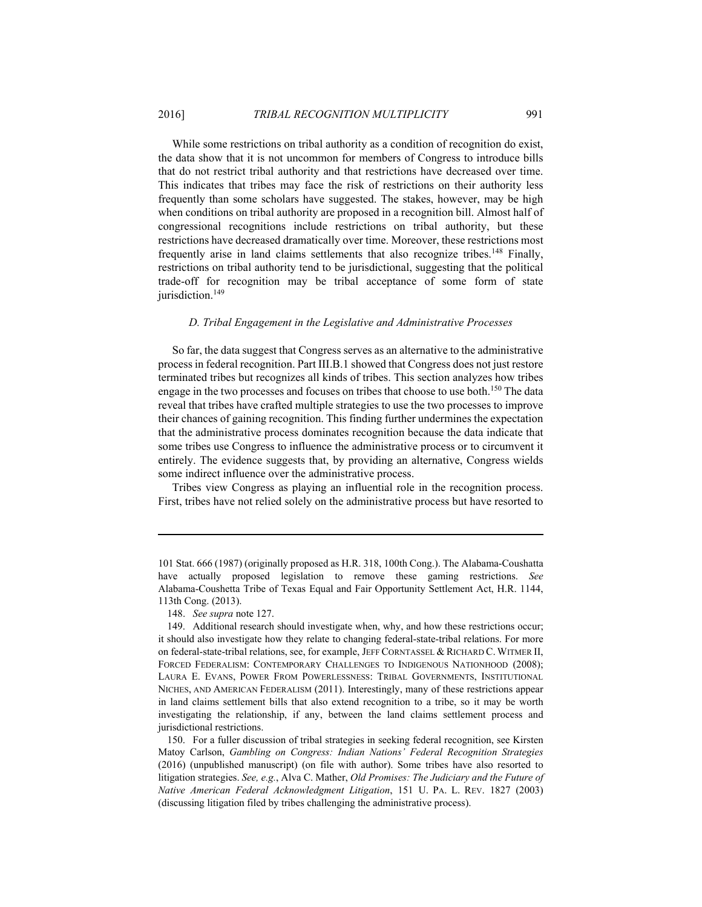While some restrictions on tribal authority as a condition of recognition do exist, the data show that it is not uncommon for members of Congress to introduce bills that do not restrict tribal authority and that restrictions have decreased over time. This indicates that tribes may face the risk of restrictions on their authority less frequently than some scholars have suggested. The stakes, however, may be high when conditions on tribal authority are proposed in a recognition bill. Almost half of congressional recognitions include restrictions on tribal authority, but these restrictions have decreased dramatically over time. Moreover, these restrictions most frequently arise in land claims settlements that also recognize tribes.<sup>148</sup> Finally, restrictions on tribal authority tend to be jurisdictional, suggesting that the political trade-off for recognition may be tribal acceptance of some form of state jurisdiction.<sup>149</sup>

#### *D. Tribal Engagement in the Legislative and Administrative Processes*

So far, the data suggest that Congress serves as an alternative to the administrative process in federal recognition. Part III.B.1 showed that Congress does not just restore terminated tribes but recognizes all kinds of tribes. This section analyzes how tribes engage in the two processes and focuses on tribes that choose to use both.<sup>150</sup> The data reveal that tribes have crafted multiple strategies to use the two processes to improve their chances of gaining recognition. This finding further undermines the expectation that the administrative process dominates recognition because the data indicate that some tribes use Congress to influence the administrative process or to circumvent it entirely. The evidence suggests that, by providing an alternative, Congress wields some indirect influence over the administrative process.

Tribes view Congress as playing an influential role in the recognition process. First, tribes have not relied solely on the administrative process but have resorted to

<sup>101</sup> Stat. 666 (1987) (originally proposed as H.R. 318, 100th Cong.). The Alabama-Coushatta have actually proposed legislation to remove these gaming restrictions. *See* Alabama-Coushetta Tribe of Texas Equal and Fair Opportunity Settlement Act, H.R. 1144, 113th Cong. (2013).

 <sup>148.</sup> *See supra* note 127.

 <sup>149.</sup> Additional research should investigate when, why, and how these restrictions occur; it should also investigate how they relate to changing federal-state-tribal relations. For more on federal-state-tribal relations, see, for example, JEFF CORNTASSEL & RICHARD C. WITMER II, FORCED FEDERALISM: CONTEMPORARY CHALLENGES TO INDIGENOUS NATIONHOOD (2008); LAURA E. EVANS, POWER FROM POWERLESSNESS: TRIBAL GOVERNMENTS, INSTITUTIONAL NICHES, AND AMERICAN FEDERALISM (2011). Interestingly, many of these restrictions appear in land claims settlement bills that also extend recognition to a tribe, so it may be worth investigating the relationship, if any, between the land claims settlement process and jurisdictional restrictions.

 <sup>150.</sup> For a fuller discussion of tribal strategies in seeking federal recognition, see Kirsten Matoy Carlson, *Gambling on Congress: Indian Nations' Federal Recognition Strategies* (2016) (unpublished manuscript) (on file with author). Some tribes have also resorted to litigation strategies. *See, e.g.*, Alva C. Mather, *Old Promises: The Judiciary and the Future of Native American Federal Acknowledgment Litigation*, 151 U. PA. L. REV. 1827 (2003) (discussing litigation filed by tribes challenging the administrative process).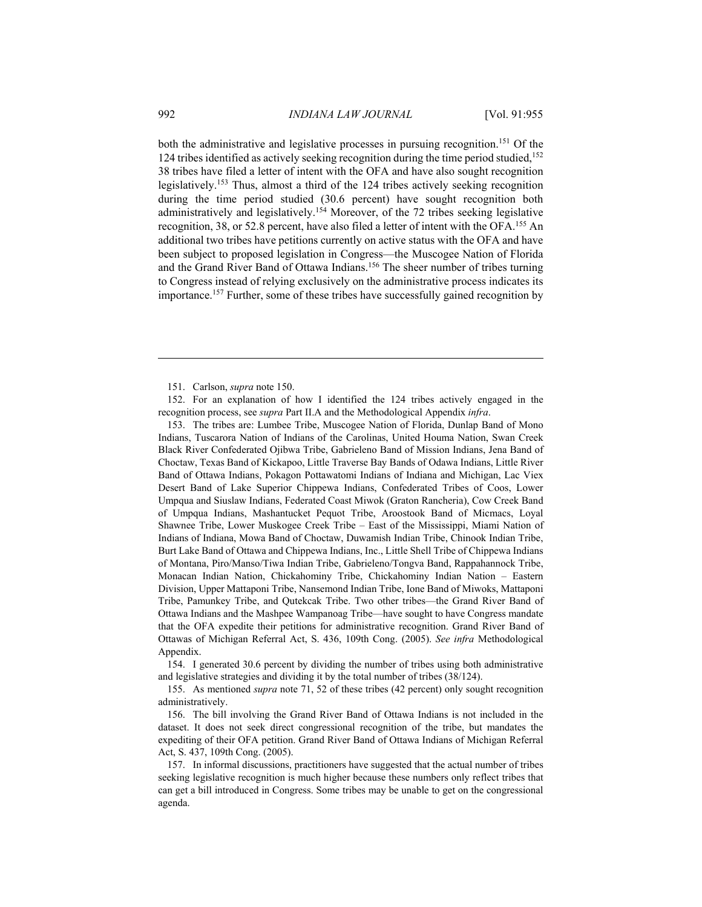both the administrative and legislative processes in pursuing recognition.<sup>151</sup> Of the 124 tribes identified as actively seeking recognition during the time period studied,<sup>152</sup> 38 tribes have filed a letter of intent with the OFA and have also sought recognition legislatively.153 Thus, almost a third of the 124 tribes actively seeking recognition during the time period studied (30.6 percent) have sought recognition both administratively and legislatively.154 Moreover, of the 72 tribes seeking legislative recognition, 38, or 52.8 percent, have also filed a letter of intent with the OFA.155 An additional two tribes have petitions currently on active status with the OFA and have been subject to proposed legislation in Congress—the Muscogee Nation of Florida and the Grand River Band of Ottawa Indians.156 The sheer number of tribes turning to Congress instead of relying exclusively on the administrative process indicates its importance.157 Further, some of these tribes have successfully gained recognition by

 152. For an explanation of how I identified the 124 tribes actively engaged in the recognition process, see *supra* Part II.A and the Methodological Appendix *infra*.

 153. The tribes are: Lumbee Tribe, Muscogee Nation of Florida, Dunlap Band of Mono Indians, Tuscarora Nation of Indians of the Carolinas, United Houma Nation, Swan Creek Black River Confederated Ojibwa Tribe, Gabrieleno Band of Mission Indians, Jena Band of Choctaw, Texas Band of Kickapoo, Little Traverse Bay Bands of Odawa Indians, Little River Band of Ottawa Indians, Pokagon Pottawatomi Indians of Indiana and Michigan, Lac Viex Desert Band of Lake Superior Chippewa Indians, Confederated Tribes of Coos, Lower Umpqua and Siuslaw Indians, Federated Coast Miwok (Graton Rancheria), Cow Creek Band of Umpqua Indians, Mashantucket Pequot Tribe, Aroostook Band of Micmacs, Loyal Shawnee Tribe, Lower Muskogee Creek Tribe – East of the Mississippi, Miami Nation of Indians of Indiana, Mowa Band of Choctaw, Duwamish Indian Tribe, Chinook Indian Tribe, Burt Lake Band of Ottawa and Chippewa Indians, Inc., Little Shell Tribe of Chippewa Indians of Montana, Piro/Manso/Tiwa Indian Tribe, Gabrieleno/Tongva Band, Rappahannock Tribe, Monacan Indian Nation, Chickahominy Tribe, Chickahominy Indian Nation – Eastern Division, Upper Mattaponi Tribe, Nansemond Indian Tribe, Ione Band of Miwoks, Mattaponi Tribe, Pamunkey Tribe, and Qutekcak Tribe. Two other tribes—the Grand River Band of Ottawa Indians and the Mashpee Wampanoag Tribe—have sought to have Congress mandate that the OFA expedite their petitions for administrative recognition. Grand River Band of Ottawas of Michigan Referral Act, S. 436, 109th Cong. (2005). *See infra* Methodological Appendix.

 154. I generated 30.6 percent by dividing the number of tribes using both administrative and legislative strategies and dividing it by the total number of tribes (38/124).

 155. As mentioned *supra* note 71, 52 of these tribes (42 percent) only sought recognition administratively.

 156. The bill involving the Grand River Band of Ottawa Indians is not included in the dataset. It does not seek direct congressional recognition of the tribe, but mandates the expediting of their OFA petition. Grand River Band of Ottawa Indians of Michigan Referral Act, S. 437, 109th Cong. (2005).

 157. In informal discussions, practitioners have suggested that the actual number of tribes seeking legislative recognition is much higher because these numbers only reflect tribes that can get a bill introduced in Congress. Some tribes may be unable to get on the congressional agenda.

 <sup>151.</sup> Carlson, *supra* note 150.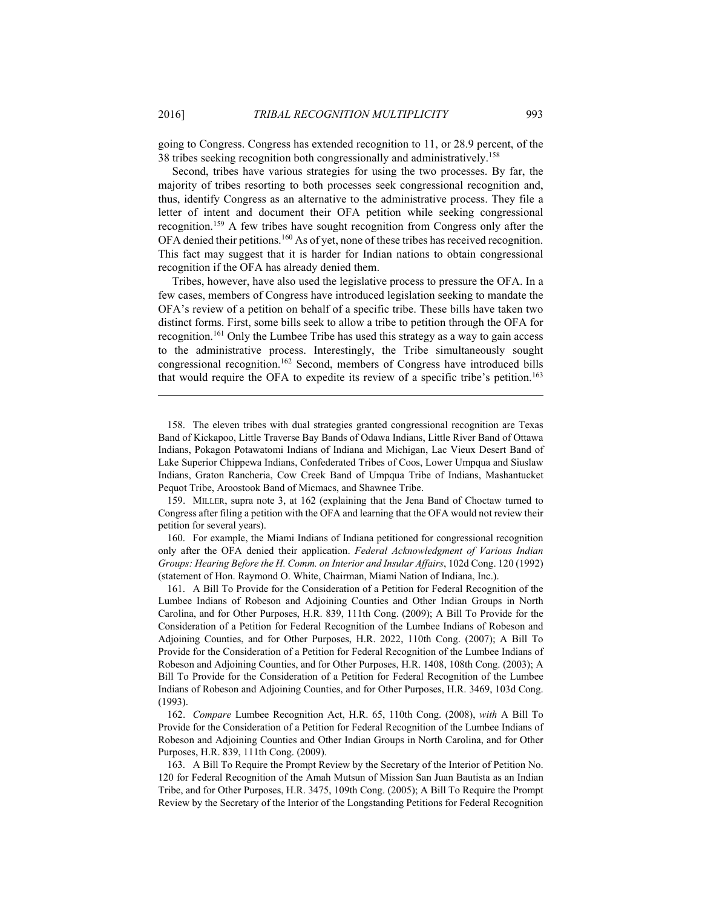1

going to Congress. Congress has extended recognition to 11, or 28.9 percent, of the 38 tribes seeking recognition both congressionally and administratively.158

Second, tribes have various strategies for using the two processes. By far, the majority of tribes resorting to both processes seek congressional recognition and, thus, identify Congress as an alternative to the administrative process. They file a letter of intent and document their OFA petition while seeking congressional recognition.159 A few tribes have sought recognition from Congress only after the OFA denied their petitions.<sup>160</sup> As of yet, none of these tribes has received recognition. This fact may suggest that it is harder for Indian nations to obtain congressional recognition if the OFA has already denied them.

Tribes, however, have also used the legislative process to pressure the OFA. In a few cases, members of Congress have introduced legislation seeking to mandate the OFA's review of a petition on behalf of a specific tribe. These bills have taken two distinct forms. First, some bills seek to allow a tribe to petition through the OFA for recognition.161 Only the Lumbee Tribe has used this strategy as a way to gain access to the administrative process. Interestingly, the Tribe simultaneously sought congressional recognition.162 Second, members of Congress have introduced bills that would require the OFA to expedite its review of a specific tribe's petition.<sup>163</sup>

 159. MILLER, supra note 3, at 162 (explaining that the Jena Band of Choctaw turned to Congress after filing a petition with the OFA and learning that the OFA would not review their petition for several years).

 160. For example, the Miami Indians of Indiana petitioned for congressional recognition only after the OFA denied their application. *Federal Acknowledgment of Various Indian Groups: Hearing Before the H. Comm. on Interior and Insular Affairs*, 102d Cong. 120 (1992) (statement of Hon. Raymond O. White, Chairman, Miami Nation of Indiana, Inc.).

 161. A Bill To Provide for the Consideration of a Petition for Federal Recognition of the Lumbee Indians of Robeson and Adjoining Counties and Other Indian Groups in North Carolina, and for Other Purposes, H.R. 839, 111th Cong. (2009); A Bill To Provide for the Consideration of a Petition for Federal Recognition of the Lumbee Indians of Robeson and Adjoining Counties, and for Other Purposes, H.R. 2022, 110th Cong. (2007); A Bill To Provide for the Consideration of a Petition for Federal Recognition of the Lumbee Indians of Robeson and Adjoining Counties, and for Other Purposes, H.R. 1408, 108th Cong. (2003); A Bill To Provide for the Consideration of a Petition for Federal Recognition of the Lumbee Indians of Robeson and Adjoining Counties, and for Other Purposes, H.R. 3469, 103d Cong. (1993).

 162. *Compare* Lumbee Recognition Act, H.R. 65, 110th Cong. (2008), *with* A Bill To Provide for the Consideration of a Petition for Federal Recognition of the Lumbee Indians of Robeson and Adjoining Counties and Other Indian Groups in North Carolina, and for Other Purposes, H.R. 839, 111th Cong. (2009).

 163. A Bill To Require the Prompt Review by the Secretary of the Interior of Petition No. 120 for Federal Recognition of the Amah Mutsun of Mission San Juan Bautista as an Indian Tribe, and for Other Purposes, H.R. 3475, 109th Cong. (2005); A Bill To Require the Prompt Review by the Secretary of the Interior of the Longstanding Petitions for Federal Recognition

 <sup>158.</sup> The eleven tribes with dual strategies granted congressional recognition are Texas Band of Kickapoo, Little Traverse Bay Bands of Odawa Indians, Little River Band of Ottawa Indians, Pokagon Potawatomi Indians of Indiana and Michigan, Lac Vieux Desert Band of Lake Superior Chippewa Indians, Confederated Tribes of Coos, Lower Umpqua and Siuslaw Indians, Graton Rancheria, Cow Creek Band of Umpqua Tribe of Indians, Mashantucket Pequot Tribe, Aroostook Band of Micmacs, and Shawnee Tribe.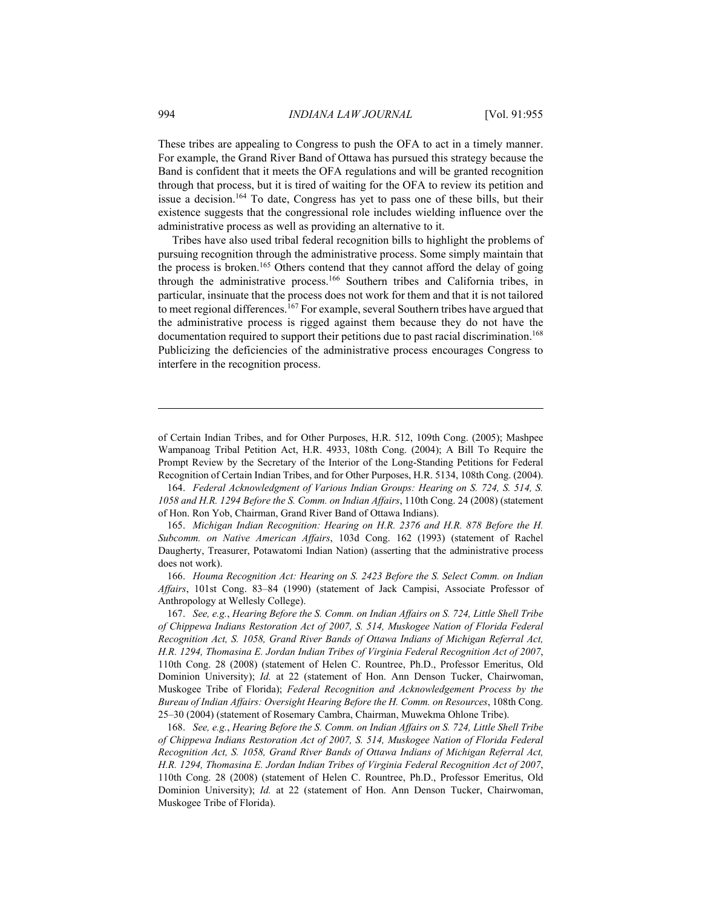These tribes are appealing to Congress to push the OFA to act in a timely manner. For example, the Grand River Band of Ottawa has pursued this strategy because the Band is confident that it meets the OFA regulations and will be granted recognition through that process, but it is tired of waiting for the OFA to review its petition and issue a decision.164 To date, Congress has yet to pass one of these bills, but their existence suggests that the congressional role includes wielding influence over the administrative process as well as providing an alternative to it.

Tribes have also used tribal federal recognition bills to highlight the problems of pursuing recognition through the administrative process. Some simply maintain that the process is broken.165 Others contend that they cannot afford the delay of going through the administrative process.166 Southern tribes and California tribes, in particular, insinuate that the process does not work for them and that it is not tailored to meet regional differences.<sup>167</sup> For example, several Southern tribes have argued that the administrative process is rigged against them because they do not have the documentation required to support their petitions due to past racial discrimination.<sup>168</sup> Publicizing the deficiencies of the administrative process encourages Congress to interfere in the recognition process.

 164. *Federal Acknowledgment of Various Indian Groups: Hearing on S. 724, S. 514, S. 1058 and H.R. 1294 Before the S. Comm. on Indian Affairs*, 110th Cong. 24 (2008) (statement of Hon. Ron Yob, Chairman, Grand River Band of Ottawa Indians).

 165. *Michigan Indian Recognition: Hearing on H.R. 2376 and H.R. 878 Before the H. Subcomm. on Native American Affairs*, 103d Cong. 162 (1993) (statement of Rachel Daugherty, Treasurer, Potawatomi Indian Nation) (asserting that the administrative process does not work).

 166. *Houma Recognition Act: Hearing on S. 2423 Before the S. Select Comm. on Indian Affairs*, 101st Cong. 83–84 (1990) (statement of Jack Campisi, Associate Professor of Anthropology at Wellesly College).

 167. *See, e.g.*, *Hearing Before the S. Comm. on Indian Affairs on S. 724, Little Shell Tribe of Chippewa Indians Restoration Act of 2007, S. 514, Muskogee Nation of Florida Federal Recognition Act, S. 1058, Grand River Bands of Ottawa Indians of Michigan Referral Act, H.R. 1294, Thomasina E. Jordan Indian Tribes of Virginia Federal Recognition Act of 2007*, 110th Cong. 28 (2008) (statement of Helen C. Rountree, Ph.D., Professor Emeritus, Old Dominion University); *Id.* at 22 (statement of Hon. Ann Denson Tucker, Chairwoman, Muskogee Tribe of Florida); *Federal Recognition and Acknowledgement Process by the Bureau of Indian Affairs: Oversight Hearing Before the H. Comm. on Resources*, 108th Cong. 25–30 (2004) (statement of Rosemary Cambra, Chairman, Muwekma Ohlone Tribe).

 168. *See, e.g.*, *Hearing Before the S. Comm. on Indian Affairs on S. 724, Little Shell Tribe of Chippewa Indians Restoration Act of 2007, S. 514, Muskogee Nation of Florida Federal Recognition Act, S. 1058, Grand River Bands of Ottawa Indians of Michigan Referral Act, H.R. 1294, Thomasina E. Jordan Indian Tribes of Virginia Federal Recognition Act of 2007*, 110th Cong. 28 (2008) (statement of Helen C. Rountree, Ph.D., Professor Emeritus, Old Dominion University); *Id.* at 22 (statement of Hon. Ann Denson Tucker, Chairwoman, Muskogee Tribe of Florida).

<u>.</u>

of Certain Indian Tribes, and for Other Purposes, H.R. 512, 109th Cong. (2005); Mashpee Wampanoag Tribal Petition Act, H.R. 4933, 108th Cong. (2004); A Bill To Require the Prompt Review by the Secretary of the Interior of the Long-Standing Petitions for Federal Recognition of Certain Indian Tribes, and for Other Purposes, H.R. 5134, 108th Cong. (2004).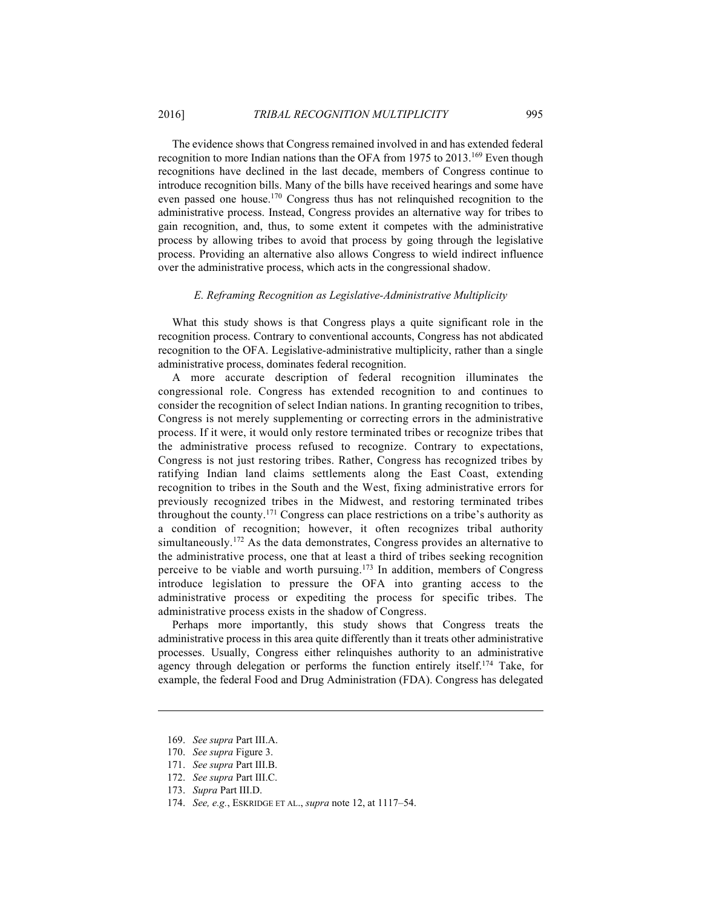The evidence shows that Congress remained involved in and has extended federal recognition to more Indian nations than the OFA from 1975 to 2013.<sup>169</sup> Even though recognitions have declined in the last decade, members of Congress continue to introduce recognition bills. Many of the bills have received hearings and some have even passed one house.170 Congress thus has not relinquished recognition to the administrative process. Instead, Congress provides an alternative way for tribes to gain recognition, and, thus, to some extent it competes with the administrative process by allowing tribes to avoid that process by going through the legislative process. Providing an alternative also allows Congress to wield indirect influence over the administrative process, which acts in the congressional shadow.

#### *E. Reframing Recognition as Legislative-Administrative Multiplicity*

What this study shows is that Congress plays a quite significant role in the recognition process. Contrary to conventional accounts, Congress has not abdicated recognition to the OFA. Legislative-administrative multiplicity, rather than a single administrative process, dominates federal recognition.

A more accurate description of federal recognition illuminates the congressional role. Congress has extended recognition to and continues to consider the recognition of select Indian nations. In granting recognition to tribes, Congress is not merely supplementing or correcting errors in the administrative process. If it were, it would only restore terminated tribes or recognize tribes that the administrative process refused to recognize. Contrary to expectations, Congress is not just restoring tribes. Rather, Congress has recognized tribes by ratifying Indian land claims settlements along the East Coast, extending recognition to tribes in the South and the West, fixing administrative errors for previously recognized tribes in the Midwest, and restoring terminated tribes throughout the county.171 Congress can place restrictions on a tribe's authority as a condition of recognition; however, it often recognizes tribal authority simultaneously.<sup>172</sup> As the data demonstrates, Congress provides an alternative to the administrative process, one that at least a third of tribes seeking recognition perceive to be viable and worth pursuing.173 In addition, members of Congress introduce legislation to pressure the OFA into granting access to the administrative process or expediting the process for specific tribes. The administrative process exists in the shadow of Congress.

Perhaps more importantly, this study shows that Congress treats the administrative process in this area quite differently than it treats other administrative processes. Usually, Congress either relinquishes authority to an administrative agency through delegation or performs the function entirely itself.174 Take, for example, the federal Food and Drug Administration (FDA). Congress has delegated

169. *See supra* Part III.A.

<u>.</u>

- 170. *See supra* Figure 3.
- 171. *See supra* Part III.B.
- 172. *See supra* Part III.C.
- 173. *Supra* Part III.D.
- 174. *See, e.g.*, ESKRIDGE ET AL., *supra* note 12, at 1117–54.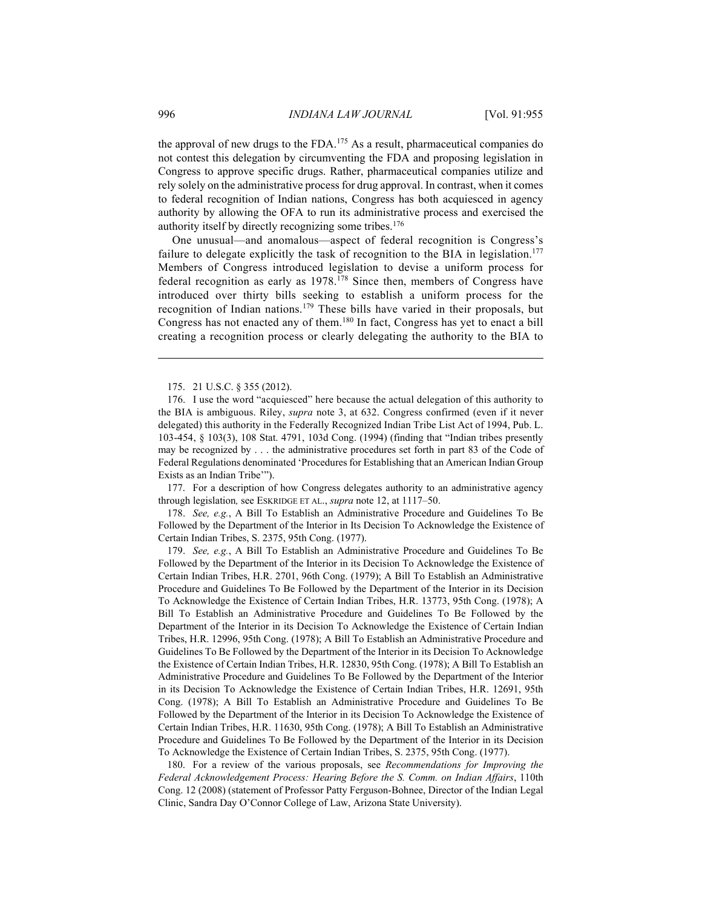the approval of new drugs to the FDA.175 As a result, pharmaceutical companies do not contest this delegation by circumventing the FDA and proposing legislation in Congress to approve specific drugs. Rather, pharmaceutical companies utilize and rely solely on the administrative process for drug approval. In contrast, when it comes to federal recognition of Indian nations, Congress has both acquiesced in agency authority by allowing the OFA to run its administrative process and exercised the authority itself by directly recognizing some tribes.176

One unusual—and anomalous—aspect of federal recognition is Congress's failure to delegate explicitly the task of recognition to the BIA in legislation.<sup>177</sup> Members of Congress introduced legislation to devise a uniform process for federal recognition as early as 1978.178 Since then, members of Congress have introduced over thirty bills seeking to establish a uniform process for the recognition of Indian nations.179 These bills have varied in their proposals, but Congress has not enacted any of them.180 In fact, Congress has yet to enact a bill creating a recognition process or clearly delegating the authority to the BIA to

175. 21 U.S.C. § 355 (2012).

 176. I use the word "acquiesced" here because the actual delegation of this authority to the BIA is ambiguous. Riley, *supra* note 3, at 632. Congress confirmed (even if it never delegated) this authority in the Federally Recognized Indian Tribe List Act of 1994, Pub. L. 103-454, § 103(3), 108 Stat. 4791, 103d Cong. (1994) (finding that "Indian tribes presently may be recognized by . . . the administrative procedures set forth in part 83 of the Code of Federal Regulations denominated 'Procedures for Establishing that an American Indian Group Exists as an Indian Tribe'").

 177. For a description of how Congress delegates authority to an administrative agency through legislation*,* see ESKRIDGE ET AL., *supra* note 12, at 1117–50.

 178. *See, e.g.*, A Bill To Establish an Administrative Procedure and Guidelines To Be Followed by the Department of the Interior in Its Decision To Acknowledge the Existence of Certain Indian Tribes, S. 2375, 95th Cong. (1977).

 179. *See, e.g.*, A Bill To Establish an Administrative Procedure and Guidelines To Be Followed by the Department of the Interior in its Decision To Acknowledge the Existence of Certain Indian Tribes, H.R. 2701, 96th Cong. (1979); A Bill To Establish an Administrative Procedure and Guidelines To Be Followed by the Department of the Interior in its Decision To Acknowledge the Existence of Certain Indian Tribes, H.R. 13773, 95th Cong. (1978); A Bill To Establish an Administrative Procedure and Guidelines To Be Followed by the Department of the Interior in its Decision To Acknowledge the Existence of Certain Indian Tribes, H.R. 12996, 95th Cong. (1978); A Bill To Establish an Administrative Procedure and Guidelines To Be Followed by the Department of the Interior in its Decision To Acknowledge the Existence of Certain Indian Tribes, H.R. 12830, 95th Cong. (1978); A Bill To Establish an Administrative Procedure and Guidelines To Be Followed by the Department of the Interior in its Decision To Acknowledge the Existence of Certain Indian Tribes, H.R. 12691, 95th Cong. (1978); A Bill To Establish an Administrative Procedure and Guidelines To Be Followed by the Department of the Interior in its Decision To Acknowledge the Existence of Certain Indian Tribes, H.R. 11630, 95th Cong. (1978); A Bill To Establish an Administrative Procedure and Guidelines To Be Followed by the Department of the Interior in its Decision To Acknowledge the Existence of Certain Indian Tribes, S. 2375, 95th Cong. (1977).

 180. For a review of the various proposals, see *Recommendations for Improving the Federal Acknowledgement Process: Hearing Before the S. Comm. on Indian Affairs*, 110th Cong. 12 (2008) (statement of Professor Patty Ferguson-Bohnee, Director of the Indian Legal Clinic, Sandra Day O'Connor College of Law, Arizona State University).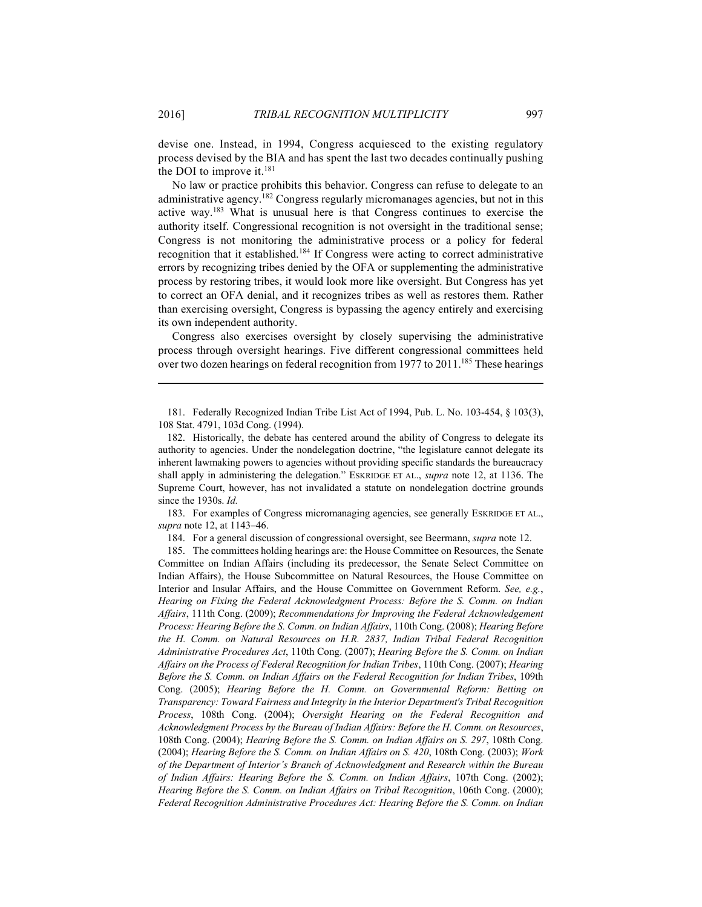1

devise one. Instead, in 1994, Congress acquiesced to the existing regulatory process devised by the BIA and has spent the last two decades continually pushing the DOI to improve it.<sup>181</sup>

No law or practice prohibits this behavior. Congress can refuse to delegate to an administrative agency.182 Congress regularly micromanages agencies, but not in this active way.183 What is unusual here is that Congress continues to exercise the authority itself. Congressional recognition is not oversight in the traditional sense; Congress is not monitoring the administrative process or a policy for federal recognition that it established.184 If Congress were acting to correct administrative errors by recognizing tribes denied by the OFA or supplementing the administrative process by restoring tribes, it would look more like oversight. But Congress has yet to correct an OFA denial, and it recognizes tribes as well as restores them. Rather than exercising oversight, Congress is bypassing the agency entirely and exercising its own independent authority.

Congress also exercises oversight by closely supervising the administrative process through oversight hearings. Five different congressional committees held over two dozen hearings on federal recognition from 1977 to 2011.<sup>185</sup> These hearings

 181. Federally Recognized Indian Tribe List Act of 1994, Pub. L. No. 103-454, § 103(3), 108 Stat. 4791, 103d Cong. (1994).

 182. Historically, the debate has centered around the ability of Congress to delegate its authority to agencies. Under the nondelegation doctrine, "the legislature cannot delegate its inherent lawmaking powers to agencies without providing specific standards the bureaucracy shall apply in administering the delegation." ESKRIDGE ET AL., *supra* note 12, at 1136. The Supreme Court, however, has not invalidated a statute on nondelegation doctrine grounds since the 1930s. *Id.*

 183. For examples of Congress micromanaging agencies, see generally ESKRIDGE ET AL., *supra* note 12, at 1143–46.

184. For a general discussion of congressional oversight, see Beermann, *supra* note 12.

 185. The committees holding hearings are: the House Committee on Resources, the Senate Committee on Indian Affairs (including its predecessor, the Senate Select Committee on Indian Affairs), the House Subcommittee on Natural Resources, the House Committee on Interior and Insular Affairs, and the House Committee on Government Reform. *See, e.g.*, *Hearing on Fixing the Federal Acknowledgment Process: Before the S. Comm. on Indian Affairs*, 111th Cong. (2009); *Recommendations for Improving the Federal Acknowledgement Process: Hearing Before the S. Comm. on Indian Affairs*, 110th Cong. (2008); *Hearing Before the H. Comm. on Natural Resources on H.R. 2837, Indian Tribal Federal Recognition Administrative Procedures Act*, 110th Cong. (2007); *Hearing Before the S. Comm. on Indian Affairs on the Process of Federal Recognition for Indian Tribes*, 110th Cong. (2007); *Hearing Before the S. Comm. on Indian Affairs on the Federal Recognition for Indian Tribes*, 109th Cong. (2005); *Hearing Before the H. Comm. on Governmental Reform: Betting on Transparency: Toward Fairness and Integrity in the Interior Department's Tribal Recognition Process*, 108th Cong. (2004); *Oversight Hearing on the Federal Recognition and Acknowledgment Process by the Bureau of Indian Affairs: Before the H. Comm. on Resources*, 108th Cong. (2004); *Hearing Before the S. Comm. on Indian Affairs on S. 297*, 108th Cong. (2004); *Hearing Before the S. Comm. on Indian Affairs on S. 420*, 108th Cong. (2003); *Work of the Department of Interior's Branch of Acknowledgment and Research within the Bureau of Indian Affairs: Hearing Before the S. Comm. on Indian Affairs*, 107th Cong. (2002); *Hearing Before the S. Comm. on Indian Affairs on Tribal Recognition*, 106th Cong. (2000); *Federal Recognition Administrative Procedures Act: Hearing Before the S. Comm. on Indian*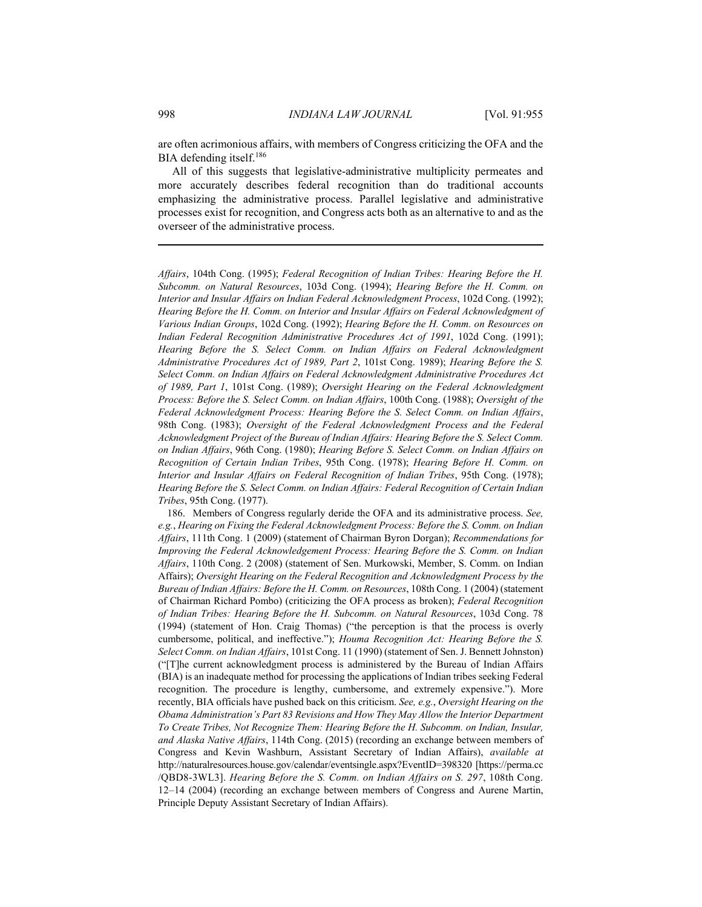are often acrimonious affairs, with members of Congress criticizing the OFA and the BIA defending itself.186

All of this suggests that legislative-administrative multiplicity permeates and more accurately describes federal recognition than do traditional accounts emphasizing the administrative process. Parallel legislative and administrative processes exist for recognition, and Congress acts both as an alternative to and as the overseer of the administrative process.

*Affairs*, 104th Cong. (1995); *Federal Recognition of Indian Tribes: Hearing Before the H. Subcomm. on Natural Resources*, 103d Cong. (1994); *Hearing Before the H. Comm. on Interior and Insular Affairs on Indian Federal Acknowledgment Process*, 102d Cong. (1992); *Hearing Before the H. Comm. on Interior and Insular Affairs on Federal Acknowledgment of Various Indian Groups*, 102d Cong. (1992); *Hearing Before the H. Comm. on Resources on Indian Federal Recognition Administrative Procedures Act of 1991*, 102d Cong. (1991); *Hearing Before the S. Select Comm. on Indian Affairs on Federal Acknowledgment Administrative Procedures Act of 1989, Part 2*, 101st Cong. 1989); *Hearing Before the S. Select Comm. on Indian Affairs on Federal Acknowledgment Administrative Procedures Act of 1989, Part 1*, 101st Cong. (1989); *Oversight Hearing on the Federal Acknowledgment Process: Before the S. Select Comm. on Indian Affairs*, 100th Cong. (1988); *Oversight of the Federal Acknowledgment Process: Hearing Before the S. Select Comm. on Indian Affairs*, 98th Cong. (1983); *Oversight of the Federal Acknowledgment Process and the Federal Acknowledgment Project of the Bureau of Indian Affairs: Hearing Before the S. Select Comm. on Indian Affairs*, 96th Cong. (1980); *Hearing Before S. Select Comm. on Indian Affairs on Recognition of Certain Indian Tribes*, 95th Cong. (1978); *Hearing Before H. Comm. on Interior and Insular Affairs on Federal Recognition of Indian Tribes*, 95th Cong. (1978); *Hearing Before the S. Select Comm. on Indian Affairs: Federal Recognition of Certain Indian Tribes*, 95th Cong. (1977).

 186. Members of Congress regularly deride the OFA and its administrative process. *See, e.g.*, *Hearing on Fixing the Federal Acknowledgment Process: Before the S. Comm. on Indian Affairs*, 111th Cong. 1 (2009) (statement of Chairman Byron Dorgan); *Recommendations for Improving the Federal Acknowledgement Process: Hearing Before the S. Comm. on Indian Affairs*, 110th Cong. 2 (2008) (statement of Sen. Murkowski, Member, S. Comm. on Indian Affairs); *Oversight Hearing on the Federal Recognition and Acknowledgment Process by the Bureau of Indian Affairs: Before the H. Comm. on Resources*, 108th Cong. 1 (2004) (statement of Chairman Richard Pombo) (criticizing the OFA process as broken); *Federal Recognition of Indian Tribes: Hearing Before the H. Subcomm. on Natural Resources*, 103d Cong. 78 (1994) (statement of Hon. Craig Thomas) ("the perception is that the process is overly cumbersome, political, and ineffective."); *Houma Recognition Act: Hearing Before the S. Select Comm. on Indian Affairs*, 101st Cong. 11 (1990) (statement of Sen. J. Bennett Johnston) ("[T]he current acknowledgment process is administered by the Bureau of Indian Affairs (BIA) is an inadequate method for processing the applications of Indian tribes seeking Federal recognition. The procedure is lengthy, cumbersome, and extremely expensive."). More recently, BIA officials have pushed back on this criticism. *See, e.g.*, *Oversight Hearing on the Obama Administration's Part 83 Revisions and How They May Allow the Interior Department To Create Tribes, Not Recognize Them: Hearing Before the H. Subcomm. on Indian, Insular, and Alaska Native Affairs*, 114th Cong. (2015) (recording an exchange between members of Congress and Kevin Washburn, Assistant Secretary of Indian Affairs), *available at* http://naturalresources.house.gov/calendar/eventsingle.aspx?EventID=398320 [https://perma.cc /QBD8-3WL3]. *Hearing Before the S. Comm. on Indian Affairs on S. 297*, 108th Cong. 12–14 (2004) (recording an exchange between members of Congress and Aurene Martin, Principle Deputy Assistant Secretary of Indian Affairs).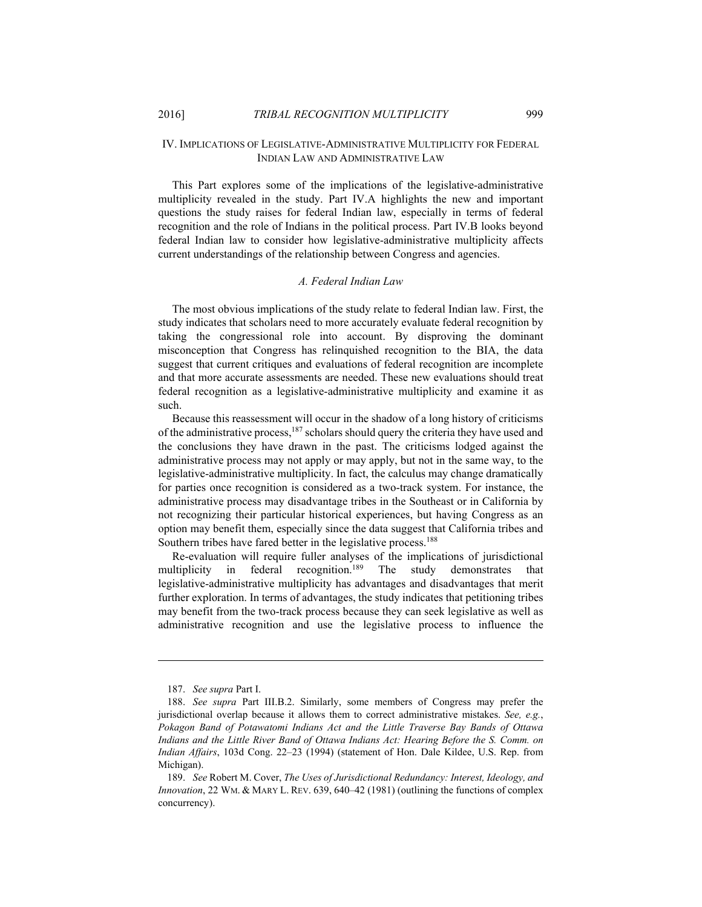#### IV. IMPLICATIONS OF LEGISLATIVE-ADMINISTRATIVE MULTIPLICITY FOR FEDERAL INDIAN LAW AND ADMINISTRATIVE LAW

This Part explores some of the implications of the legislative-administrative multiplicity revealed in the study. Part IV.A highlights the new and important questions the study raises for federal Indian law, especially in terms of federal recognition and the role of Indians in the political process. Part IV.B looks beyond federal Indian law to consider how legislative-administrative multiplicity affects current understandings of the relationship between Congress and agencies.

#### *A. Federal Indian Law*

The most obvious implications of the study relate to federal Indian law. First, the study indicates that scholars need to more accurately evaluate federal recognition by taking the congressional role into account. By disproving the dominant misconception that Congress has relinquished recognition to the BIA, the data suggest that current critiques and evaluations of federal recognition are incomplete and that more accurate assessments are needed. These new evaluations should treat federal recognition as a legislative-administrative multiplicity and examine it as such.

Because this reassessment will occur in the shadow of a long history of criticisms of the administrative process,187 scholars should query the criteria they have used and the conclusions they have drawn in the past. The criticisms lodged against the administrative process may not apply or may apply, but not in the same way, to the legislative-administrative multiplicity. In fact, the calculus may change dramatically for parties once recognition is considered as a two-track system. For instance, the administrative process may disadvantage tribes in the Southeast or in California by not recognizing their particular historical experiences, but having Congress as an option may benefit them, especially since the data suggest that California tribes and Southern tribes have fared better in the legislative process.<sup>188</sup>

Re-evaluation will require fuller analyses of the implications of jurisdictional multiplicity in federal recognition.<sup>189</sup> The study demonstrates that legislative-administrative multiplicity has advantages and disadvantages that merit further exploration. In terms of advantages, the study indicates that petitioning tribes may benefit from the two-track process because they can seek legislative as well as administrative recognition and use the legislative process to influence the

 <sup>187.</sup> *See supra* Part I.

 <sup>188.</sup> *See supra* Part III.B.2. Similarly, some members of Congress may prefer the jurisdictional overlap because it allows them to correct administrative mistakes. *See, e.g.*, *Pokagon Band of Potawatomi Indians Act and the Little Traverse Bay Bands of Ottawa Indians and the Little River Band of Ottawa Indians Act: Hearing Before the S. Comm. on Indian Affairs*, 103d Cong. 22–23 (1994) (statement of Hon. Dale Kildee, U.S. Rep. from Michigan).

 <sup>189.</sup> *See* Robert M. Cover, *The Uses of Jurisdictional Redundancy: Interest, Ideology, and Innovation*, 22 WM. & MARY L. REV. 639, 640–42 (1981) (outlining the functions of complex concurrency).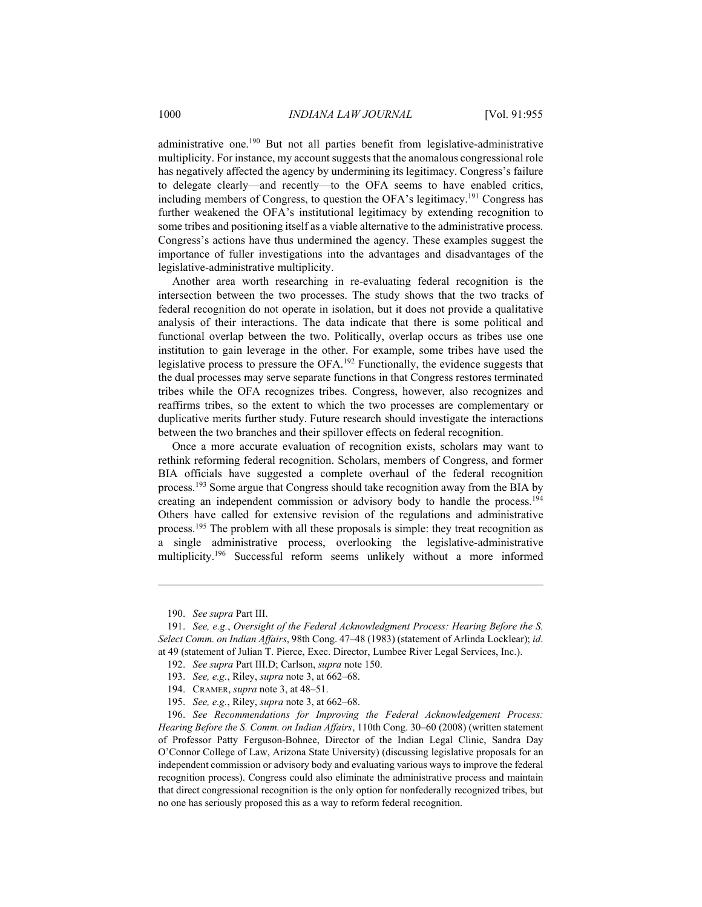administrative one.190 But not all parties benefit from legislative-administrative multiplicity. For instance, my account suggests that the anomalous congressional role has negatively affected the agency by undermining its legitimacy. Congress's failure to delegate clearly—and recently—to the OFA seems to have enabled critics, including members of Congress, to question the OFA's legitimacy.191 Congress has further weakened the OFA's institutional legitimacy by extending recognition to some tribes and positioning itself as a viable alternative to the administrative process. Congress's actions have thus undermined the agency. These examples suggest the importance of fuller investigations into the advantages and disadvantages of the legislative-administrative multiplicity.

Another area worth researching in re-evaluating federal recognition is the intersection between the two processes. The study shows that the two tracks of federal recognition do not operate in isolation, but it does not provide a qualitative analysis of their interactions. The data indicate that there is some political and functional overlap between the two. Politically, overlap occurs as tribes use one institution to gain leverage in the other. For example, some tribes have used the legislative process to pressure the OFA.<sup>192</sup> Functionally, the evidence suggests that the dual processes may serve separate functions in that Congress restores terminated tribes while the OFA recognizes tribes. Congress, however, also recognizes and reaffirms tribes, so the extent to which the two processes are complementary or duplicative merits further study. Future research should investigate the interactions between the two branches and their spillover effects on federal recognition.

Once a more accurate evaluation of recognition exists, scholars may want to rethink reforming federal recognition. Scholars, members of Congress, and former BIA officials have suggested a complete overhaul of the federal recognition process.193 Some argue that Congress should take recognition away from the BIA by creating an independent commission or advisory body to handle the process.194 Others have called for extensive revision of the regulations and administrative process.195 The problem with all these proposals is simple: they treat recognition as a single administrative process, overlooking the legislative-administrative multiplicity.196 Successful reform seems unlikely without a more informed

1

- 193. *See, e.g.*, Riley, *supra* note 3, at 662–68.
- 194. CRAMER, *supra* note 3, at 48–51.
- 195. *See, e.g.*, Riley, *supra* note 3, at 662–68.

 196. *See Recommendations for Improving the Federal Acknowledgement Process: Hearing Before the S. Comm. on Indian Affairs*, 110th Cong. 30–60 (2008) (written statement of Professor Patty Ferguson-Bohnee, Director of the Indian Legal Clinic, Sandra Day O'Connor College of Law, Arizona State University) (discussing legislative proposals for an independent commission or advisory body and evaluating various ways to improve the federal recognition process). Congress could also eliminate the administrative process and maintain that direct congressional recognition is the only option for nonfederally recognized tribes, but no one has seriously proposed this as a way to reform federal recognition.

 <sup>190.</sup> *See supra* Part III.

 <sup>191.</sup> *See, e.g.*, *Oversight of the Federal Acknowledgment Process: Hearing Before the S. Select Comm. on Indian Affairs*, 98th Cong. 47–48 (1983) (statement of Arlinda Locklear); *id*. at 49 (statement of Julian T. Pierce, Exec. Director, Lumbee River Legal Services, Inc.).

 <sup>192.</sup> *See supra* Part III.D; Carlson, *supra* note 150.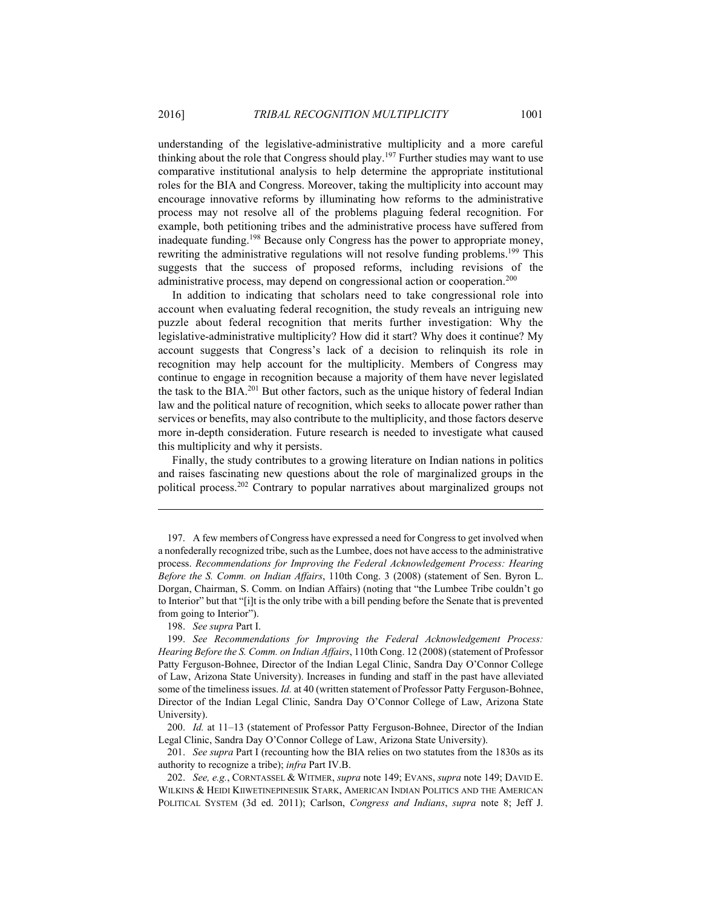understanding of the legislative-administrative multiplicity and a more careful thinking about the role that Congress should play.197 Further studies may want to use comparative institutional analysis to help determine the appropriate institutional roles for the BIA and Congress. Moreover, taking the multiplicity into account may encourage innovative reforms by illuminating how reforms to the administrative process may not resolve all of the problems plaguing federal recognition. For example, both petitioning tribes and the administrative process have suffered from inadequate funding.198 Because only Congress has the power to appropriate money, rewriting the administrative regulations will not resolve funding problems.199 This suggests that the success of proposed reforms, including revisions of the administrative process, may depend on congressional action or cooperation.<sup>200</sup>

In addition to indicating that scholars need to take congressional role into account when evaluating federal recognition, the study reveals an intriguing new puzzle about federal recognition that merits further investigation: Why the legislative-administrative multiplicity? How did it start? Why does it continue? My account suggests that Congress's lack of a decision to relinquish its role in recognition may help account for the multiplicity. Members of Congress may continue to engage in recognition because a majority of them have never legislated the task to the BIA.201 But other factors, such as the unique history of federal Indian law and the political nature of recognition, which seeks to allocate power rather than services or benefits, may also contribute to the multiplicity, and those factors deserve more in-depth consideration. Future research is needed to investigate what caused this multiplicity and why it persists.

Finally, the study contributes to a growing literature on Indian nations in politics and raises fascinating new questions about the role of marginalized groups in the political process.202 Contrary to popular narratives about marginalized groups not

198. *See supra* Part I.

1

 199. *See Recommendations for Improving the Federal Acknowledgement Process: Hearing Before the S. Comm. on Indian Affairs*, 110th Cong. 12 (2008) (statement of Professor Patty Ferguson-Bohnee, Director of the Indian Legal Clinic, Sandra Day O'Connor College of Law, Arizona State University). Increases in funding and staff in the past have alleviated some of the timeliness issues. *Id.* at 40 (written statement of Professor Patty Ferguson-Bohnee, Director of the Indian Legal Clinic, Sandra Day O'Connor College of Law, Arizona State University).

 200. *Id.* at 11–13 (statement of Professor Patty Ferguson-Bohnee, Director of the Indian Legal Clinic, Sandra Day O'Connor College of Law, Arizona State University).

 201. *See supra* Part I (recounting how the BIA relies on two statutes from the 1830s as its authority to recognize a tribe); *infra* Part IV.B.

 202. *See, e.g.*, CORNTASSEL & WITMER, *supra* note 149; EVANS, *supra* note 149; DAVID E. WILKINS & HEIDI KIIWETINEPINESIIK STARK, AMERICAN INDIAN POLITICS AND THE AMERICAN POLITICAL SYSTEM (3d ed. 2011); Carlson, *Congress and Indians*, *supra* note 8; Jeff J.

 <sup>197.</sup> A few members of Congress have expressed a need for Congress to get involved when a nonfederally recognized tribe, such as the Lumbee, does not have access to the administrative process. *Recommendations for Improving the Federal Acknowledgement Process: Hearing Before the S. Comm. on Indian Affairs*, 110th Cong. 3 (2008) (statement of Sen. Byron L. Dorgan, Chairman, S. Comm. on Indian Affairs) (noting that "the Lumbee Tribe couldn't go to Interior" but that "[i]t is the only tribe with a bill pending before the Senate that is prevented from going to Interior").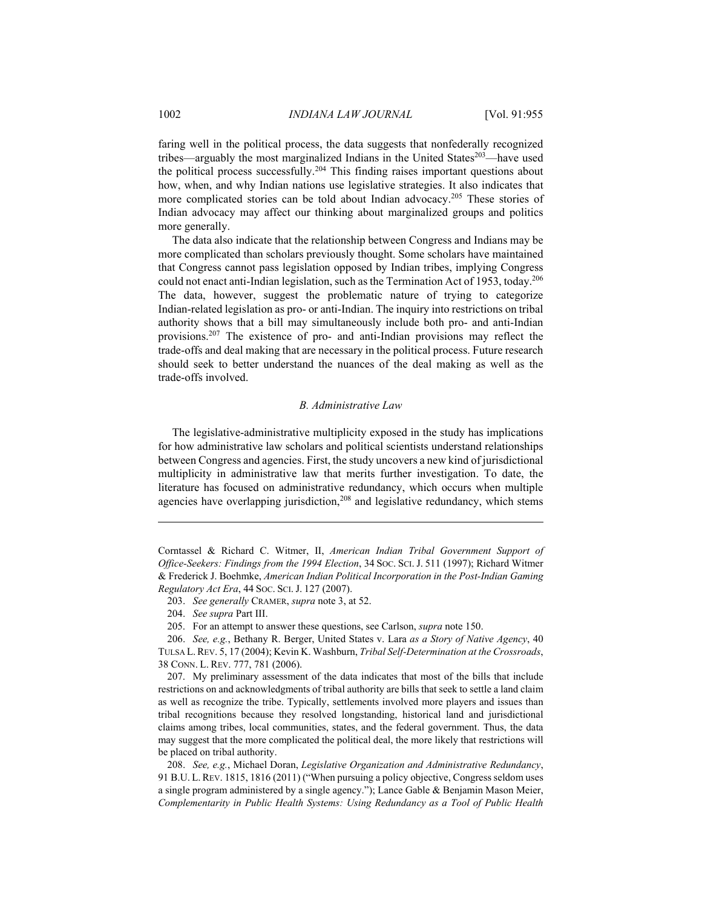faring well in the political process, the data suggests that nonfederally recognized tribes—arguably the most marginalized Indians in the United States<sup>203</sup>—have used the political process successfully.204 This finding raises important questions about how, when, and why Indian nations use legislative strategies. It also indicates that more complicated stories can be told about Indian advocacy.<sup>205</sup> These stories of Indian advocacy may affect our thinking about marginalized groups and politics more generally.

The data also indicate that the relationship between Congress and Indians may be more complicated than scholars previously thought. Some scholars have maintained that Congress cannot pass legislation opposed by Indian tribes, implying Congress could not enact anti-Indian legislation, such as the Termination Act of 1953, today.206 The data, however, suggest the problematic nature of trying to categorize Indian-related legislation as pro- or anti-Indian. The inquiry into restrictions on tribal authority shows that a bill may simultaneously include both pro- and anti-Indian provisions.207 The existence of pro- and anti-Indian provisions may reflect the trade-offs and deal making that are necessary in the political process. Future research should seek to better understand the nuances of the deal making as well as the trade-offs involved.

#### *B. Administrative Law*

The legislative-administrative multiplicity exposed in the study has implications for how administrative law scholars and political scientists understand relationships between Congress and agencies. First, the study uncovers a new kind of jurisdictional multiplicity in administrative law that merits further investigation. To date, the literature has focused on administrative redundancy, which occurs when multiple agencies have overlapping jurisdiction,<sup>208</sup> and legislative redundancy, which stems

<u>.</u>

Corntassel & Richard C. Witmer, II, *American Indian Tribal Government Support of Office-Seekers: Findings from the 1994 Election*, 34 SOC. SCI. J. 511 (1997); Richard Witmer & Frederick J. Boehmke, *American Indian Political Incorporation in the Post-Indian Gaming Regulatory Act Era*, 44 SOC. SCI. J. 127 (2007).

 <sup>203.</sup> *See generally* CRAMER, *supra* note 3, at 52.

 <sup>204.</sup> *See supra* Part III.

 <sup>205.</sup> For an attempt to answer these questions, see Carlson, *supra* note 150.

 <sup>206.</sup> *See, e.g.*, Bethany R. Berger, United States v. Lara *as a Story of Native Agency*, 40 TULSA L.REV. 5, 17 (2004); Kevin K. Washburn, *Tribal Self-Determination at the Crossroads*, 38 CONN. L. REV. 777, 781 (2006).

 <sup>207.</sup> My preliminary assessment of the data indicates that most of the bills that include restrictions on and acknowledgments of tribal authority are bills that seek to settle a land claim as well as recognize the tribe. Typically, settlements involved more players and issues than tribal recognitions because they resolved longstanding, historical land and jurisdictional claims among tribes, local communities, states, and the federal government. Thus, the data may suggest that the more complicated the political deal, the more likely that restrictions will be placed on tribal authority.

 <sup>208.</sup> *See, e.g.*, Michael Doran, *Legislative Organization and Administrative Redundancy*, 91 B.U. L.REV. 1815, 1816 (2011) ("When pursuing a policy objective, Congress seldom uses a single program administered by a single agency."); Lance Gable & Benjamin Mason Meier, *Complementarity in Public Health Systems: Using Redundancy as a Tool of Public Health*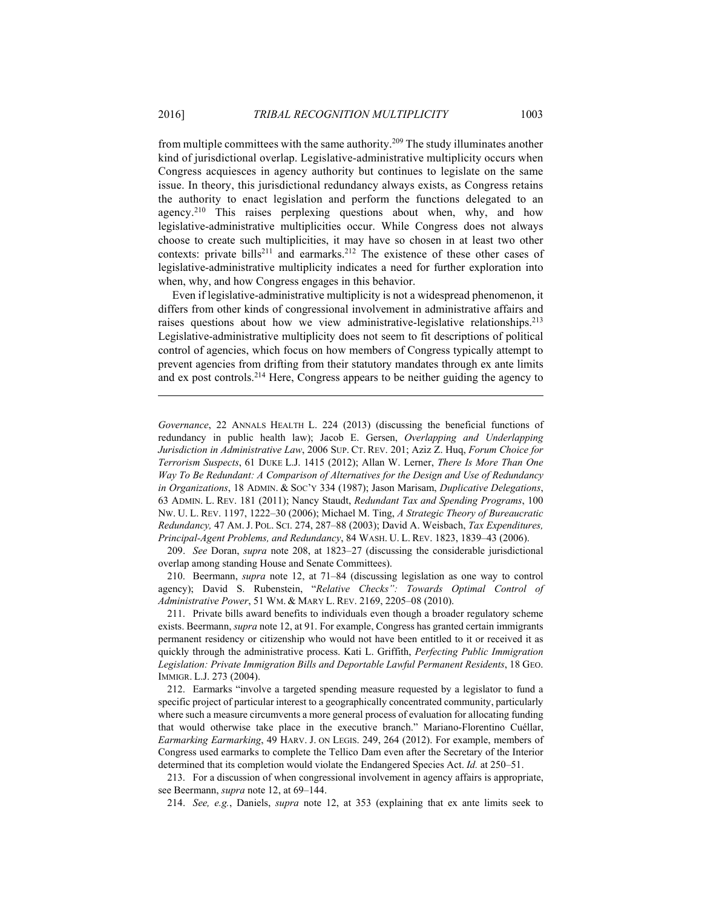from multiple committees with the same authority.209 The study illuminates another kind of jurisdictional overlap. Legislative-administrative multiplicity occurs when Congress acquiesces in agency authority but continues to legislate on the same issue. In theory, this jurisdictional redundancy always exists, as Congress retains the authority to enact legislation and perform the functions delegated to an agency.<sup>210</sup> This raises perplexing questions about when, why, and how legislative-administrative multiplicities occur. While Congress does not always choose to create such multiplicities, it may have so chosen in at least two other contexts: private bills<sup>211</sup> and earmarks.<sup>212</sup> The existence of these other cases of legislative-administrative multiplicity indicates a need for further exploration into when, why, and how Congress engages in this behavior.

Even if legislative-administrative multiplicity is not a widespread phenomenon, it differs from other kinds of congressional involvement in administrative affairs and raises questions about how we view administrative-legislative relationships.<sup>213</sup> Legislative-administrative multiplicity does not seem to fit descriptions of political control of agencies, which focus on how members of Congress typically attempt to prevent agencies from drifting from their statutory mandates through ex ante limits and ex post controls.214 Here, Congress appears to be neither guiding the agency to

1

*Governance*, 22 ANNALS HEALTH L. 224 (2013) (discussing the beneficial functions of redundancy in public health law); Jacob E. Gersen, *Overlapping and Underlapping Jurisdiction in Administrative Law*, 2006 SUP. CT. REV. 201; Aziz Z. Huq, *Forum Choice for Terrorism Suspects*, 61 DUKE L.J. 1415 (2012); Allan W. Lerner, *There Is More Than One Way To Be Redundant: A Comparison of Alternatives for the Design and Use of Redundancy in Organizations*, 18 ADMIN. & SOC'Y 334 (1987); Jason Marisam, *Duplicative Delegations*, 63 ADMIN. L. REV. 181 (2011); Nancy Staudt, *Redundant Tax and Spending Programs*, 100 NW. U. L. REV. 1197, 1222–30 (2006); Michael M. Ting, *A Strategic Theory of Bureaucratic Redundancy,* 47 AM. J. POL. SCI. 274, 287–88 (2003); David A. Weisbach, *Tax Expenditures, Principal-Agent Problems, and Redundancy*, 84 WASH. U. L. REV. 1823, 1839–43 (2006).

 209. *See* Doran, *supra* note 208, at 1823–27 (discussing the considerable jurisdictional overlap among standing House and Senate Committees).

 210. Beermann, *supra* note 12, at 71–84 (discussing legislation as one way to control agency); David S. Rubenstein, "*Relative Checks": Towards Optimal Control of Administrative Power*, 51 WM. & MARY L. REV. 2169, 2205–08 (2010).

 211. Private bills award benefits to individuals even though a broader regulatory scheme exists. Beermann, *supra* note 12, at 91. For example, Congress has granted certain immigrants permanent residency or citizenship who would not have been entitled to it or received it as quickly through the administrative process. Kati L. Griffith, *Perfecting Public Immigration Legislation: Private Immigration Bills and Deportable Lawful Permanent Residents*, 18 GEO. IMMIGR. L.J. 273 (2004).

 212. Earmarks "involve a targeted spending measure requested by a legislator to fund a specific project of particular interest to a geographically concentrated community, particularly where such a measure circumvents a more general process of evaluation for allocating funding that would otherwise take place in the executive branch." Mariano-Florentino Cuéllar, *Earmarking Earmarking*, 49 HARV. J. ON LEGIS. 249, 264 (2012). For example, members of Congress used earmarks to complete the Tellico Dam even after the Secretary of the Interior determined that its completion would violate the Endangered Species Act. *Id.* at 250–51.

 213. For a discussion of when congressional involvement in agency affairs is appropriate, see Beermann, *supra* note 12, at 69–144.

214. *See, e.g.*, Daniels, *supra* note 12, at 353 (explaining that ex ante limits seek to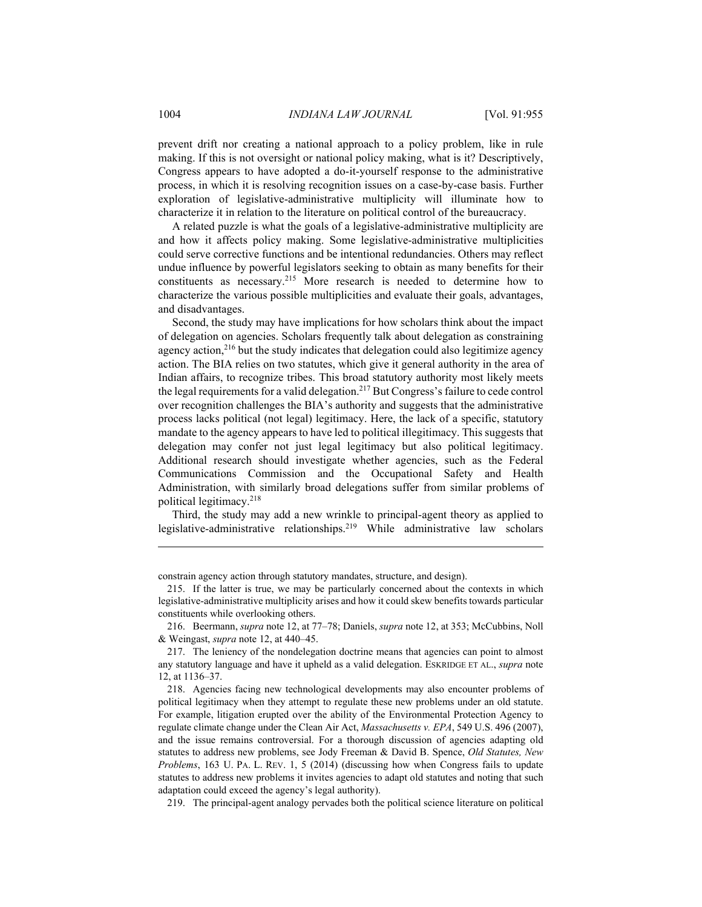prevent drift nor creating a national approach to a policy problem, like in rule making. If this is not oversight or national policy making, what is it? Descriptively, Congress appears to have adopted a do-it-yourself response to the administrative process, in which it is resolving recognition issues on a case-by-case basis. Further exploration of legislative-administrative multiplicity will illuminate how to characterize it in relation to the literature on political control of the bureaucracy.

A related puzzle is what the goals of a legislative-administrative multiplicity are and how it affects policy making. Some legislative-administrative multiplicities could serve corrective functions and be intentional redundancies. Others may reflect undue influence by powerful legislators seeking to obtain as many benefits for their constituents as necessary.215 More research is needed to determine how to characterize the various possible multiplicities and evaluate their goals, advantages, and disadvantages.

Second, the study may have implications for how scholars think about the impact of delegation on agencies. Scholars frequently talk about delegation as constraining agency action, $216$  but the study indicates that delegation could also legitimize agency action. The BIA relies on two statutes, which give it general authority in the area of Indian affairs, to recognize tribes. This broad statutory authority most likely meets the legal requirements for a valid delegation.217 But Congress's failure to cede control over recognition challenges the BIA's authority and suggests that the administrative process lacks political (not legal) legitimacy. Here, the lack of a specific, statutory mandate to the agency appears to have led to political illegitimacy. This suggests that delegation may confer not just legal legitimacy but also political legitimacy. Additional research should investigate whether agencies, such as the Federal Communications Commission and the Occupational Safety and Health Administration, with similarly broad delegations suffer from similar problems of political legitimacy.218

Third, the study may add a new wrinkle to principal-agent theory as applied to legislative-administrative relationships.219 While administrative law scholars

219. The principal-agent analogy pervades both the political science literature on political

constrain agency action through statutory mandates, structure, and design).

 <sup>215.</sup> If the latter is true, we may be particularly concerned about the contexts in which legislative-administrative multiplicity arises and how it could skew benefits towards particular constituents while overlooking others.

 <sup>216.</sup> Beermann, *supra* note 12, at 77–78; Daniels, *supra* note 12, at 353; McCubbins, Noll & Weingast, *supra* note 12, at 440–45.

 <sup>217.</sup> The leniency of the nondelegation doctrine means that agencies can point to almost any statutory language and have it upheld as a valid delegation. ESKRIDGE ET AL., *supra* note 12, at 1136–37.

 <sup>218.</sup> Agencies facing new technological developments may also encounter problems of political legitimacy when they attempt to regulate these new problems under an old statute. For example, litigation erupted over the ability of the Environmental Protection Agency to regulate climate change under the Clean Air Act, *Massachusetts v. EPA*, 549 U.S. 496 (2007), and the issue remains controversial. For a thorough discussion of agencies adapting old statutes to address new problems, see Jody Freeman & David B. Spence, *Old Statutes, New Problems*, 163 U. PA. L. REV. 1, 5 (2014) (discussing how when Congress fails to update statutes to address new problems it invites agencies to adapt old statutes and noting that such adaptation could exceed the agency's legal authority).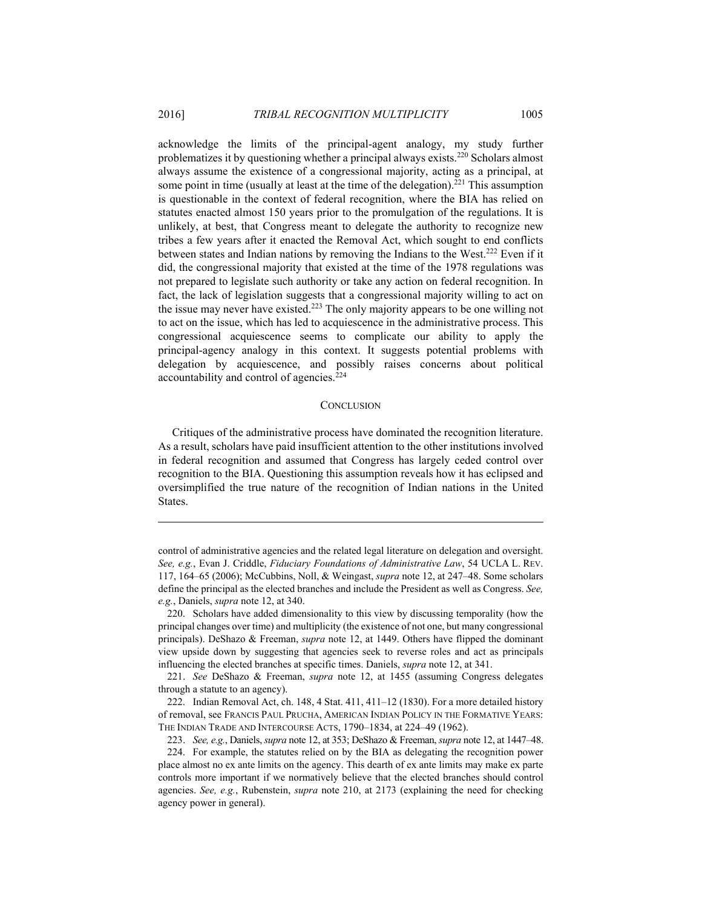acknowledge the limits of the principal-agent analogy, my study further problematizes it by questioning whether a principal always exists.220 Scholars almost always assume the existence of a congressional majority, acting as a principal, at some point in time (usually at least at the time of the delegation).<sup>221</sup> This assumption is questionable in the context of federal recognition, where the BIA has relied on statutes enacted almost 150 years prior to the promulgation of the regulations. It is unlikely, at best, that Congress meant to delegate the authority to recognize new tribes a few years after it enacted the Removal Act, which sought to end conflicts between states and Indian nations by removing the Indians to the West.222 Even if it did, the congressional majority that existed at the time of the 1978 regulations was not prepared to legislate such authority or take any action on federal recognition. In fact, the lack of legislation suggests that a congressional majority willing to act on the issue may never have existed.223 The only majority appears to be one willing not to act on the issue, which has led to acquiescence in the administrative process. This congressional acquiescence seems to complicate our ability to apply the principal-agency analogy in this context. It suggests potential problems with delegation by acquiescence, and possibly raises concerns about political accountability and control of agencies.224

#### **CONCLUSION**

Critiques of the administrative process have dominated the recognition literature. As a result, scholars have paid insufficient attention to the other institutions involved in federal recognition and assumed that Congress has largely ceded control over recognition to the BIA. Questioning this assumption reveals how it has eclipsed and oversimplified the true nature of the recognition of Indian nations in the United States.

<u>.</u>

 222. Indian Removal Act, ch. 148, 4 Stat. 411, 411–12 (1830). For a more detailed history of removal, see FRANCIS PAUL PRUCHA, AMERICAN INDIAN POLICY IN THE FORMATIVE YEARS: THE INDIAN TRADE AND INTERCOURSE ACTS, 1790–1834, at 224–49 (1962).

223. *See, e.g.*, Daniels, *supra* note 12, at 353; DeShazo & Freeman, *supra* note 12, at 1447–48.

control of administrative agencies and the related legal literature on delegation and oversight. *See, e.g.*, Evan J. Criddle, *Fiduciary Foundations of Administrative Law*, 54 UCLA L. REV. 117, 164–65 (2006); McCubbins, Noll, & Weingast, *supra* note 12, at 247–48. Some scholars define the principal as the elected branches and include the President as well as Congress. *See, e.g.*, Daniels, *supra* note 12, at 340.

 <sup>220.</sup> Scholars have added dimensionality to this view by discussing temporality (how the principal changes over time) and multiplicity (the existence of not one, but many congressional principals). DeShazo & Freeman, *supra* note 12, at 1449. Others have flipped the dominant view upside down by suggesting that agencies seek to reverse roles and act as principals influencing the elected branches at specific times. Daniels, *supra* note 12, at 341.

 <sup>221.</sup> *See* DeShazo & Freeman, *supra* note 12, at 1455 (assuming Congress delegates through a statute to an agency).

 <sup>224.</sup> For example, the statutes relied on by the BIA as delegating the recognition power place almost no ex ante limits on the agency. This dearth of ex ante limits may make ex parte controls more important if we normatively believe that the elected branches should control agencies. *See, e.g.*, Rubenstein, *supra* note 210, at 2173 (explaining the need for checking agency power in general).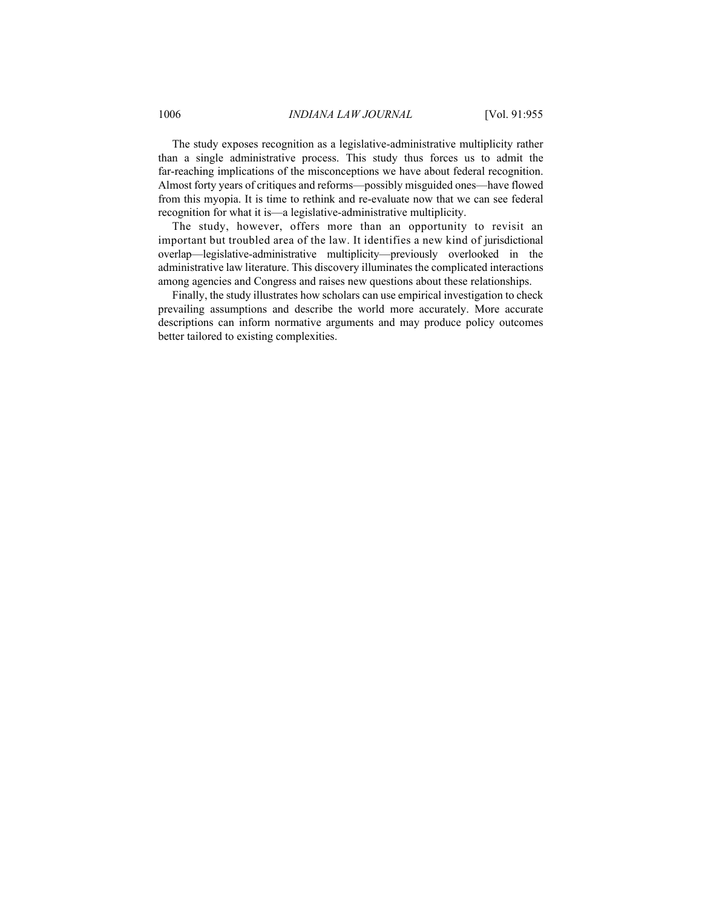The study exposes recognition as a legislative-administrative multiplicity rather than a single administrative process. This study thus forces us to admit the far-reaching implications of the misconceptions we have about federal recognition. Almost forty years of critiques and reforms—possibly misguided ones—have flowed from this myopia. It is time to rethink and re-evaluate now that we can see federal recognition for what it is—a legislative-administrative multiplicity.

The study, however, offers more than an opportunity to revisit an important but troubled area of the law. It identifies a new kind of jurisdictional overlap—legislative-administrative multiplicity—previously overlooked in the administrative law literature. This discovery illuminates the complicated interactions among agencies and Congress and raises new questions about these relationships.

Finally, the study illustrates how scholars can use empirical investigation to check prevailing assumptions and describe the world more accurately. More accurate descriptions can inform normative arguments and may produce policy outcomes better tailored to existing complexities.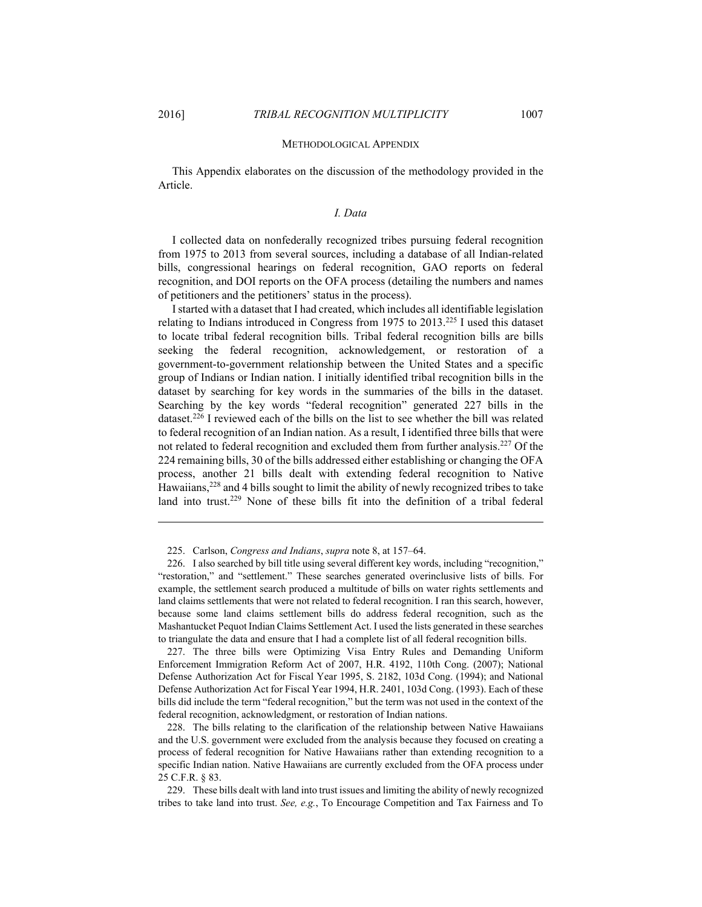<u>.</u>

#### METHODOLOGICAL APPENDIX

This Appendix elaborates on the discussion of the methodology provided in the Article.

#### *I. Data*

I collected data on nonfederally recognized tribes pursuing federal recognition from 1975 to 2013 from several sources, including a database of all Indian-related bills, congressional hearings on federal recognition, GAO reports on federal recognition, and DOI reports on the OFA process (detailing the numbers and names of petitioners and the petitioners' status in the process).

I started with a dataset that I had created, which includes all identifiable legislation relating to Indians introduced in Congress from 1975 to 2013.225 I used this dataset to locate tribal federal recognition bills. Tribal federal recognition bills are bills seeking the federal recognition, acknowledgement, or restoration of a government-to-government relationship between the United States and a specific group of Indians or Indian nation. I initially identified tribal recognition bills in the dataset by searching for key words in the summaries of the bills in the dataset. Searching by the key words "federal recognition" generated 227 bills in the dataset.<sup>226</sup> I reviewed each of the bills on the list to see whether the bill was related to federal recognition of an Indian nation. As a result, I identified three bills that were not related to federal recognition and excluded them from further analysis.227 Of the 224 remaining bills, 30 of the bills addressed either establishing or changing the OFA process, another 21 bills dealt with extending federal recognition to Native Hawaiians,<sup>228</sup> and 4 bills sought to limit the ability of newly recognized tribes to take land into trust.<sup>229</sup> None of these bills fit into the definition of a tribal federal

225. Carlson, *Congress and Indians*, *supra* note 8, at 157–64.

 226. I also searched by bill title using several different key words, including "recognition," "restoration," and "settlement." These searches generated overinclusive lists of bills. For example, the settlement search produced a multitude of bills on water rights settlements and land claims settlements that were not related to federal recognition. I ran this search, however, because some land claims settlement bills do address federal recognition, such as the Mashantucket Pequot Indian Claims Settlement Act. I used the lists generated in these searches to triangulate the data and ensure that I had a complete list of all federal recognition bills.

 227. The three bills were Optimizing Visa Entry Rules and Demanding Uniform Enforcement Immigration Reform Act of 2007, H.R. 4192, 110th Cong. (2007); National Defense Authorization Act for Fiscal Year 1995, S. 2182, 103d Cong. (1994); and National Defense Authorization Act for Fiscal Year 1994, H.R. 2401, 103d Cong. (1993). Each of these bills did include the term "federal recognition," but the term was not used in the context of the federal recognition, acknowledgment, or restoration of Indian nations.

 228. The bills relating to the clarification of the relationship between Native Hawaiians and the U.S. government were excluded from the analysis because they focused on creating a process of federal recognition for Native Hawaiians rather than extending recognition to a specific Indian nation. Native Hawaiians are currently excluded from the OFA process under 25 C.F.R. § 83.

 229. These bills dealt with land into trust issues and limiting the ability of newly recognized tribes to take land into trust. *See, e.g.*, To Encourage Competition and Tax Fairness and To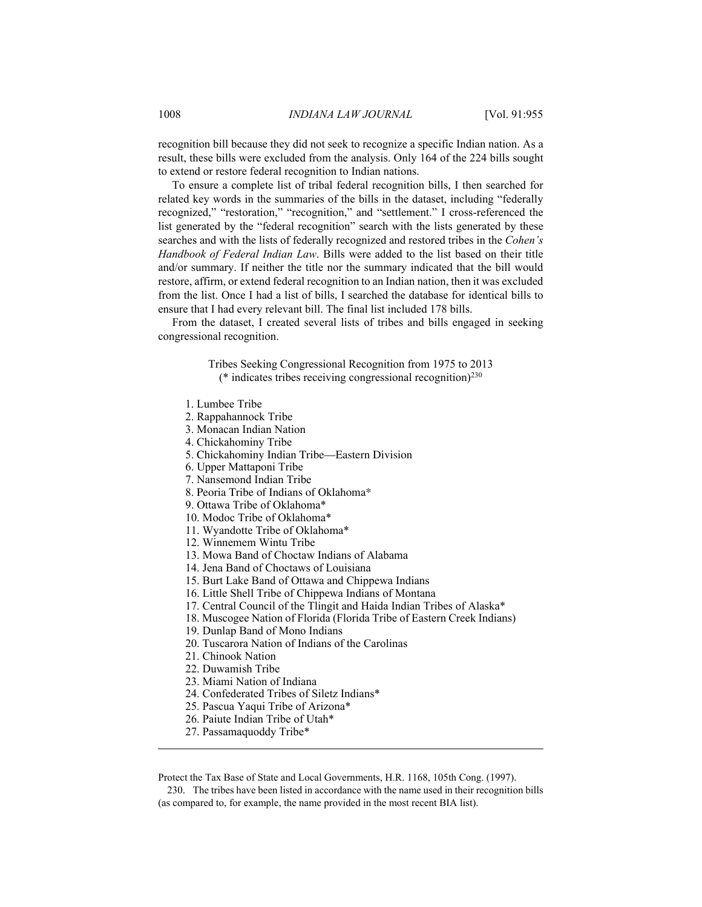recognition bill because they did not seek to recognize a specific Indian nation. As a result, these bills were excluded from the analysis. Only 164 of the 224 bills sought to extend or restore federal recognition to Indian nations.

To ensure a complete list of tribal federal recognition bills, I then searched for related key words in the summaries of the bills in the dataset, including "federally recognized," "restoration," "recognition," and "settlement." I cross-referenced the list generated by the "federal recognition" search with the lists generated by these searches and with the lists of federally recognized and restored tribes in the *Cohen's Handbook of Federal Indian Law*. Bills were added to the list based on their title and/or summary. If neither the title nor the summary indicated that the bill would restore, affirm, or extend federal recognition to an Indian nation, then it was excluded from the list. Once I had a list of bills, I searched the database for identical bills to ensure that I had every relevant bill. The final list included 178 bills.

From the dataset, I created several lists of tribes and bills engaged in seeking congressional recognition.

> Tribes Seeking Congressional Recognition from 1975 to 2013 ( $*$  indicates tribes receiving congressional recognition)<sup>230</sup>

- 1. Lumbee Tribe
- 2. Rappahannock Tribe
- 3. Monacan Indian Nation
- 4. Chickahominy Tribe
- 5. Chickahominy Indian Tribe—Eastern Division
- 6. Upper Mattaponi Tribe
- 7. Nansemond Indian Tribe
- 8. Peoria Tribe of Indians of Oklahoma\*
- 9. Ottawa Tribe of Oklahoma\*
- 10. Modoc Tribe of Oklahoma\*
- 11. Wyandotte Tribe of Oklahoma\*
- 12. Winnemem Wintu Tribe
- 13. Mowa Band of Choctaw Indians of Alabama
- 14. Jena Band of Choctaws of Louisiana
- 15. Burt Lake Band of Ottawa and Chippewa Indians
- 16. Little Shell Tribe of Chippewa Indians of Montana
- 17. Central Council of the Tlingit and Haida Indian Tribes of Alaska\*
- 18. Muscogee Nation of Florida (Florida Tribe of Eastern Creek Indians)
- 19. Dunlap Band of Mono Indians
- 20. Tuscarora Nation of Indians of the Carolinas
- 21. Chinook Nation
- 22. Duwamish Tribe

<u>.</u>

- 23. Miami Nation of Indiana
- 24. Confederated Tribes of Siletz Indians\*
- 25. Pascua Yaqui Tribe of Arizona\*
- 26. Paiute Indian Tribe of Utah\*
- 27. Passamaquoddy Tribe\*

Protect the Tax Base of State and Local Governments, H.R. 1168, 105th Cong. (1997).

 230. The tribes have been listed in accordance with the name used in their recognition bills (as compared to, for example, the name provided in the most recent BIA list).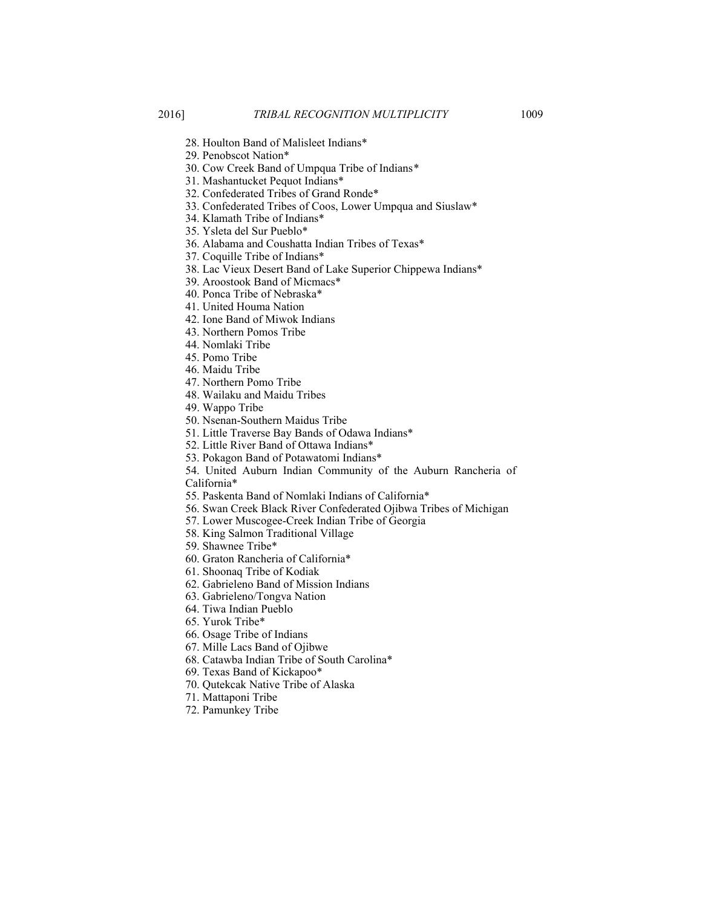- - 28. Houlton Band of Malisleet Indians\*
	- 29. Penobscot Nation\*
	- 30. Cow Creek Band of Umpqua Tribe of Indians*\**
	- 31. Mashantucket Pequot Indians\*
	- 32. Confederated Tribes of Grand Ronde\*
	- 33. Confederated Tribes of Coos, Lower Umpqua and Siuslaw\*
	- 34. Klamath Tribe of Indians\*
	- 35. Ysleta del Sur Pueblo\*
	- 36. Alabama and Coushatta Indian Tribes of Texas\*
	- 37. Coquille Tribe of Indians\*
	- 38. Lac Vieux Desert Band of Lake Superior Chippewa Indians\*
	- 39. Aroostook Band of Micmacs\*
	- 40. Ponca Tribe of Nebraska\*
	- 41. United Houma Nation
	- 42. Ione Band of Miwok Indians
	- 43. Northern Pomos Tribe
	- 44. Nomlaki Tribe
	- 45. Pomo Tribe
	- 46. Maidu Tribe
	- 47. Northern Pomo Tribe
	- 48. Wailaku and Maidu Tribes
	- 49. Wappo Tribe
	- 50. Nsenan-Southern Maidus Tribe
	- 51. Little Traverse Bay Bands of Odawa Indians\*
	- 52. Little River Band of Ottawa Indians\*
	- 53. Pokagon Band of Potawatomi Indians\*
	- 54. United Auburn Indian Community of the Auburn Rancheria of California\*
	- 55. Paskenta Band of Nomlaki Indians of California\*
	- 56. Swan Creek Black River Confederated Ojibwa Tribes of Michigan
	- 57. Lower Muscogee-Creek Indian Tribe of Georgia
	- 58. King Salmon Traditional Village
	- 59. Shawnee Tribe\*
	- 60. Graton Rancheria of California\*
	- 61. Shoonaq Tribe of Kodiak
	- 62. Gabrieleno Band of Mission Indians
	- 63. Gabrieleno/Tongva Nation
	- 64. Tiwa Indian Pueblo
	- 65. Yurok Tribe\*
	- 66. Osage Tribe of Indians
	- 67. Mille Lacs Band of Ojibwe
	- 68. Catawba Indian Tribe of South Carolina\*
	- 69. Texas Band of Kickapoo\*
	- 70. Qutekcak Native Tribe of Alaska
	- 71. Mattaponi Tribe
	- 72. Pamunkey Tribe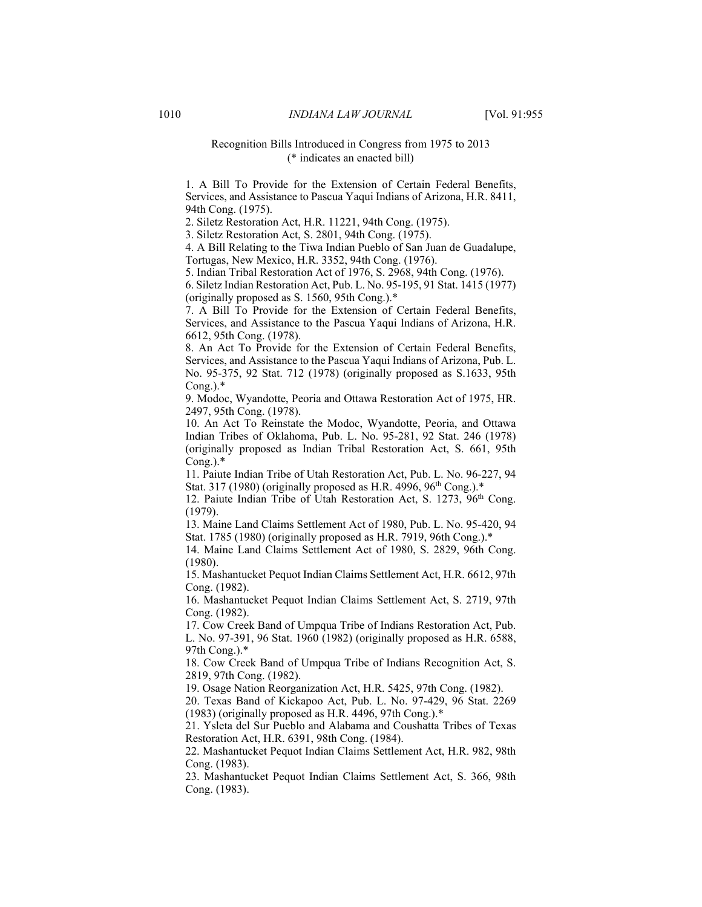#### Recognition Bills Introduced in Congress from 1975 to 2013 (\* indicates an enacted bill)

1. A Bill To Provide for the Extension of Certain Federal Benefits, Services, and Assistance to Pascua Yaqui Indians of Arizona, H.R. 8411, 94th Cong. (1975).

2. Siletz Restoration Act, H.R. 11221, 94th Cong. (1975).

3. Siletz Restoration Act, S. 2801, 94th Cong. (1975).

4. A Bill Relating to the Tiwa Indian Pueblo of San Juan de Guadalupe, Tortugas, New Mexico, H.R. 3352, 94th Cong. (1976).

5. Indian Tribal Restoration Act of 1976, S. 2968, 94th Cong. (1976).

6. Siletz Indian Restoration Act, Pub. L. No. 95-195, 91 Stat. 1415 (1977) (originally proposed as S. 1560, 95th Cong.).\*

7. A Bill To Provide for the Extension of Certain Federal Benefits, Services, and Assistance to the Pascua Yaqui Indians of Arizona, H.R. 6612, 95th Cong. (1978).

8. An Act To Provide for the Extension of Certain Federal Benefits, Services, and Assistance to the Pascua Yaqui Indians of Arizona, Pub. L. No. 95-375, 92 Stat. 712 (1978) (originally proposed as S.1633, 95th  $Cong.$ ). $*$ 

9. Modoc, Wyandotte, Peoria and Ottawa Restoration Act of 1975, HR. 2497, 95th Cong. (1978).

10. An Act To Reinstate the Modoc, Wyandotte, Peoria, and Ottawa Indian Tribes of Oklahoma, Pub. L. No. 95-281, 92 Stat. 246 (1978) (originally proposed as Indian Tribal Restoration Act, S. 661, 95th  $Cong.$ ). $*$ 

11. Paiute Indian Tribe of Utah Restoration Act, Pub. L. No. 96-227, 94 Stat. 317 (1980) (originally proposed as H.R. 4996,  $96<sup>th</sup> Cong.$ ).\*

12. Paiute Indian Tribe of Utah Restoration Act, S. 1273, 96<sup>th</sup> Cong. (1979).

13. Maine Land Claims Settlement Act of 1980, Pub. L. No. 95-420, 94 Stat. 1785 (1980) (originally proposed as H.R. 7919, 96th Cong.).\*

14. Maine Land Claims Settlement Act of 1980, S. 2829, 96th Cong. (1980).

15. Mashantucket Pequot Indian Claims Settlement Act, H.R. 6612, 97th Cong. (1982).

16. Mashantucket Pequot Indian Claims Settlement Act, S. 2719, 97th Cong. (1982).

17. Cow Creek Band of Umpqua Tribe of Indians Restoration Act, Pub. L. No. 97-391, 96 Stat. 1960 (1982) (originally proposed as H.R. 6588, 97th Cong.).\*

18. Cow Creek Band of Umpqua Tribe of Indians Recognition Act, S. 2819, 97th Cong. (1982).

19. Osage Nation Reorganization Act, H.R. 5425, 97th Cong. (1982).

20. Texas Band of Kickapoo Act, Pub. L. No. 97-429, 96 Stat. 2269 (1983) (originally proposed as H.R. 4496, 97th Cong.).\*

21. Ysleta del Sur Pueblo and Alabama and Coushatta Tribes of Texas Restoration Act, H.R. 6391, 98th Cong. (1984).

22. Mashantucket Pequot Indian Claims Settlement Act, H.R. 982, 98th Cong. (1983).

23. Mashantucket Pequot Indian Claims Settlement Act, S. 366, 98th Cong. (1983).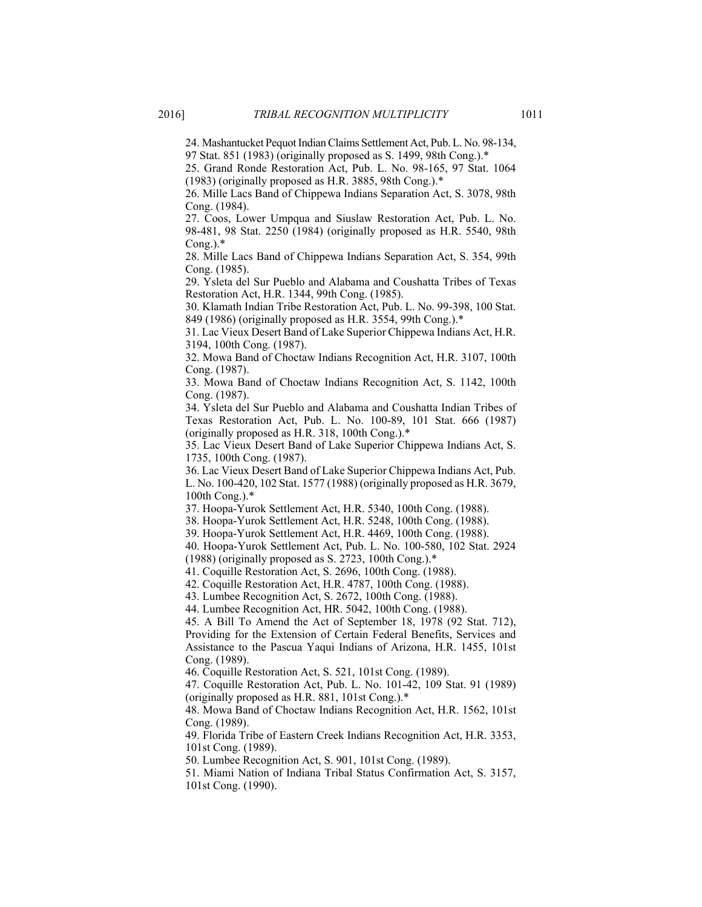24. Mashantucket Pequot Indian Claims Settlement Act, Pub. L. No. 98-134, 97 Stat. 851 (1983) (originally proposed as S. 1499, 98th Cong.).\*

25. Grand Ronde Restoration Act, Pub. L. No. 98-165, 97 Stat. 1064 (1983) (originally proposed as H.R. 3885, 98th Cong.).\*

26. Mille Lacs Band of Chippewa Indians Separation Act, S. 3078, 98th Cong. (1984).

27. Coos, Lower Umpqua and Siuslaw Restoration Act, Pub. L. No. 98-481, 98 Stat. 2250 (1984) (originally proposed as H.R. 5540, 98th  $Cong.$ ). $*$ 

28. Mille Lacs Band of Chippewa Indians Separation Act, S. 354, 99th Cong. (1985).

29. Ysleta del Sur Pueblo and Alabama and Coushatta Tribes of Texas Restoration Act, H.R. 1344, 99th Cong. (1985).

30. Klamath Indian Tribe Restoration Act, Pub. L. No. 99-398, 100 Stat. 849 (1986) (originally proposed as H.R. 3554, 99th Cong.).\*

31. Lac Vieux Desert Band of Lake Superior Chippewa Indians Act, H.R. 3194, 100th Cong. (1987).

32. Mowa Band of Choctaw Indians Recognition Act, H.R. 3107, 100th Cong. (1987).

33. Mowa Band of Choctaw Indians Recognition Act, S. 1142, 100th Cong. (1987).

34. Ysleta del Sur Pueblo and Alabama and Coushatta Indian Tribes of Texas Restoration Act, Pub. L. No. 100-89, 101 Stat. 666 (1987) (originally proposed as H.R. 318, 100th Cong.).\*

35. Lac Vieux Desert Band of Lake Superior Chippewa Indians Act, S. 1735, 100th Cong. (1987).

36. Lac Vieux Desert Band of Lake Superior Chippewa Indians Act, Pub. L. No. 100-420, 102 Stat. 1577 (1988) (originally proposed as H.R. 3679, 100th Cong.).\*

37. Hoopa-Yurok Settlement Act, H.R. 5340, 100th Cong. (1988).

38. Hoopa-Yurok Settlement Act, H.R. 5248, 100th Cong. (1988).

39. Hoopa-Yurok Settlement Act, H.R. 4469, 100th Cong. (1988).

40. Hoopa-Yurok Settlement Act, Pub. L. No. 100-580, 102 Stat. 2924

(1988) (originally proposed as S. 2723, 100th Cong.).\*

41. Coquille Restoration Act, S. 2696, 100th Cong. (1988).

42. Coquille Restoration Act, H.R. 4787, 100th Cong. (1988).

43. Lumbee Recognition Act, S. 2672, 100th Cong. (1988).

44. Lumbee Recognition Act, HR. 5042, 100th Cong. (1988).

45. A Bill To Amend the Act of September 18, 1978 (92 Stat. 712), Providing for the Extension of Certain Federal Benefits, Services and Assistance to the Pascua Yaqui Indians of Arizona, H.R. 1455, 101st Cong. (1989).

46. Coquille Restoration Act, S. 521, 101st Cong. (1989).

47. Coquille Restoration Act, Pub. L. No. 101-42, 109 Stat. 91 (1989) (originally proposed as H.R. 881, 101st Cong.).\*

48. Mowa Band of Choctaw Indians Recognition Act, H.R. 1562, 101st Cong. (1989).

49. Florida Tribe of Eastern Creek Indians Recognition Act, H.R. 3353, 101st Cong. (1989).

50. Lumbee Recognition Act, S. 901, 101st Cong. (1989).

51. Miami Nation of Indiana Tribal Status Confirmation Act, S. 3157, 101st Cong. (1990).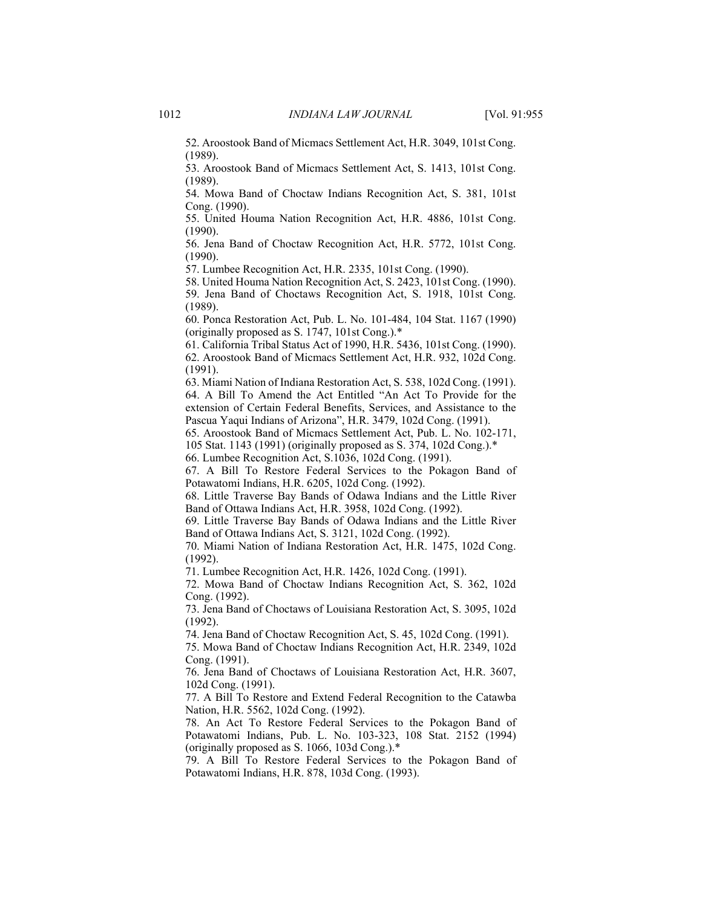52. Aroostook Band of Micmacs Settlement Act, H.R. 3049, 101st Cong. (1989).

53. Aroostook Band of Micmacs Settlement Act, S. 1413, 101st Cong. (1989).

54. Mowa Band of Choctaw Indians Recognition Act, S. 381, 101st Cong. (1990).

55. United Houma Nation Recognition Act, H.R. 4886, 101st Cong. (1990).

56. Jena Band of Choctaw Recognition Act, H.R. 5772, 101st Cong. (1990).

57. Lumbee Recognition Act, H.R. 2335, 101st Cong. (1990).

58. United Houma Nation Recognition Act, S. 2423, 101st Cong. (1990).

59. Jena Band of Choctaws Recognition Act, S. 1918, 101st Cong. (1989).

60. Ponca Restoration Act, Pub. L. No. 101-484, 104 Stat. 1167 (1990) (originally proposed as S. 1747, 101st Cong.).\*

61. California Tribal Status Act of 1990, H.R. 5436, 101st Cong. (1990). 62. Aroostook Band of Micmacs Settlement Act, H.R. 932, 102d Cong. (1991).

63. Miami Nation of Indiana Restoration Act, S. 538, 102d Cong. (1991). 64. A Bill To Amend the Act Entitled "An Act To Provide for the extension of Certain Federal Benefits, Services, and Assistance to the Pascua Yaqui Indians of Arizona", H.R. 3479, 102d Cong. (1991).

65. Aroostook Band of Micmacs Settlement Act, Pub. L. No. 102-171,

105 Stat. 1143 (1991) (originally proposed as S. 374, 102d Cong.).\*

66. Lumbee Recognition Act, S.1036, 102d Cong. (1991).

67. A Bill To Restore Federal Services to the Pokagon Band of Potawatomi Indians, H.R. 6205, 102d Cong. (1992).

68. Little Traverse Bay Bands of Odawa Indians and the Little River Band of Ottawa Indians Act, H.R. 3958, 102d Cong. (1992).

69. Little Traverse Bay Bands of Odawa Indians and the Little River Band of Ottawa Indians Act, S. 3121, 102d Cong. (1992).

70. Miami Nation of Indiana Restoration Act, H.R. 1475, 102d Cong. (1992).

71. Lumbee Recognition Act, H.R. 1426, 102d Cong. (1991).

72. Mowa Band of Choctaw Indians Recognition Act, S. 362, 102d Cong. (1992).

73. Jena Band of Choctaws of Louisiana Restoration Act, S. 3095, 102d (1992).

74. Jena Band of Choctaw Recognition Act, S. 45, 102d Cong. (1991).

75. Mowa Band of Choctaw Indians Recognition Act, H.R. 2349, 102d Cong. (1991).

76. Jena Band of Choctaws of Louisiana Restoration Act, H.R. 3607, 102d Cong. (1991).

77. A Bill To Restore and Extend Federal Recognition to the Catawba Nation, H.R. 5562, 102d Cong. (1992).

78. An Act To Restore Federal Services to the Pokagon Band of Potawatomi Indians, Pub. L. No. 103-323, 108 Stat. 2152 (1994) (originally proposed as S. 1066, 103d Cong.).\*

79. A Bill To Restore Federal Services to the Pokagon Band of Potawatomi Indians, H.R. 878, 103d Cong. (1993).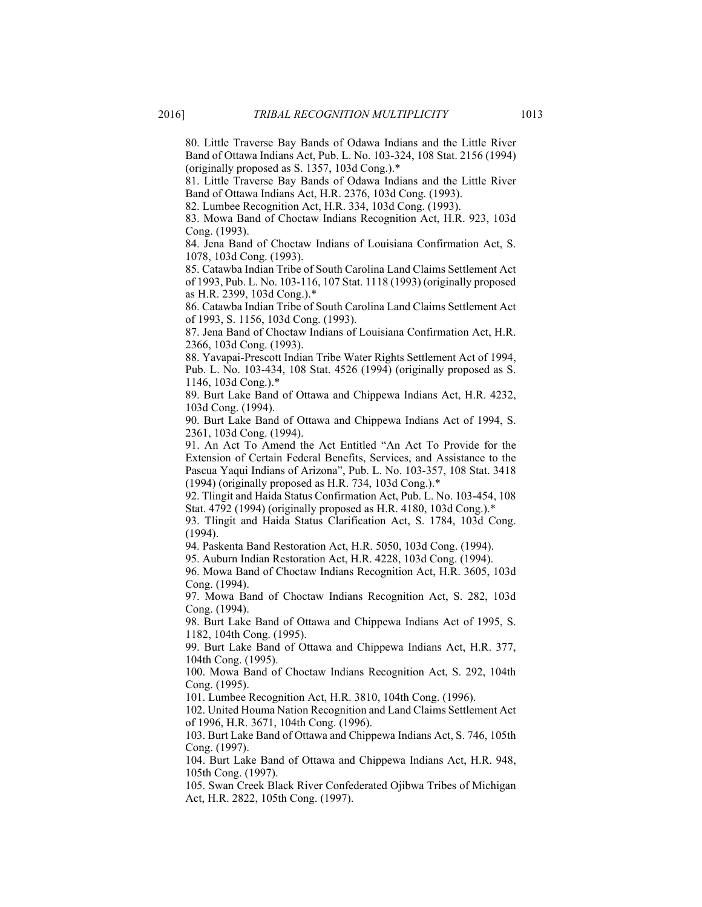80. Little Traverse Bay Bands of Odawa Indians and the Little River Band of Ottawa Indians Act, Pub. L. No. 103-324, 108 Stat. 2156 (1994) (originally proposed as S. 1357, 103d Cong.).\*

81. Little Traverse Bay Bands of Odawa Indians and the Little River Band of Ottawa Indians Act, H.R. 2376, 103d Cong. (1993).

82. Lumbee Recognition Act, H.R. 334, 103d Cong. (1993).

83. Mowa Band of Choctaw Indians Recognition Act, H.R. 923, 103d Cong. (1993).

84. Jena Band of Choctaw Indians of Louisiana Confirmation Act, S. 1078, 103d Cong. (1993).

85. Catawba Indian Tribe of South Carolina Land Claims Settlement Act of 1993, Pub. L. No. 103-116, 107 Stat. 1118 (1993) (originally proposed as H.R. 2399, 103d Cong.).\*

86. Catawba Indian Tribe of South Carolina Land Claims Settlement Act of 1993, S. 1156, 103d Cong. (1993).

87. Jena Band of Choctaw Indians of Louisiana Confirmation Act, H.R. 2366, 103d Cong. (1993).

88. Yavapai-Prescott Indian Tribe Water Rights Settlement Act of 1994, Pub. L. No. 103-434, 108 Stat. 4526 (1994) (originally proposed as S. 1146, 103d Cong.).\*

89. Burt Lake Band of Ottawa and Chippewa Indians Act, H.R. 4232, 103d Cong. (1994).

90. Burt Lake Band of Ottawa and Chippewa Indians Act of 1994, S. 2361, 103d Cong. (1994).

91. An Act To Amend the Act Entitled "An Act To Provide for the Extension of Certain Federal Benefits, Services, and Assistance to the Pascua Yaqui Indians of Arizona", Pub. L. No. 103-357, 108 Stat. 3418  $(1994)$  (originally proposed as H.R. 734, 103d Cong.).\*

92. Tlingit and Haida Status Confirmation Act, Pub. L. No. 103-454, 108 Stat. 4792 (1994) (originally proposed as H.R. 4180, 103d Cong.).\*

93. Tlingit and Haida Status Clarification Act, S. 1784, 103d Cong. (1994).

94. Paskenta Band Restoration Act, H.R. 5050, 103d Cong. (1994).

95. Auburn Indian Restoration Act, H.R. 4228, 103d Cong. (1994).

96. Mowa Band of Choctaw Indians Recognition Act, H.R. 3605, 103d Cong. (1994).

97. Mowa Band of Choctaw Indians Recognition Act, S. 282, 103d Cong. (1994).

98. Burt Lake Band of Ottawa and Chippewa Indians Act of 1995, S. 1182, 104th Cong. (1995).

99. Burt Lake Band of Ottawa and Chippewa Indians Act, H.R. 377, 104th Cong. (1995).

100. Mowa Band of Choctaw Indians Recognition Act, S. 292, 104th Cong. (1995).

101. Lumbee Recognition Act, H.R. 3810, 104th Cong. (1996).

102. United Houma Nation Recognition and Land Claims Settlement Act of 1996, H.R. 3671, 104th Cong. (1996).

103. Burt Lake Band of Ottawa and Chippewa Indians Act, S. 746, 105th Cong. (1997).

104. Burt Lake Band of Ottawa and Chippewa Indians Act, H.R. 948, 105th Cong. (1997).

105. Swan Creek Black River Confederated Ojibwa Tribes of Michigan Act, H.R. 2822, 105th Cong. (1997).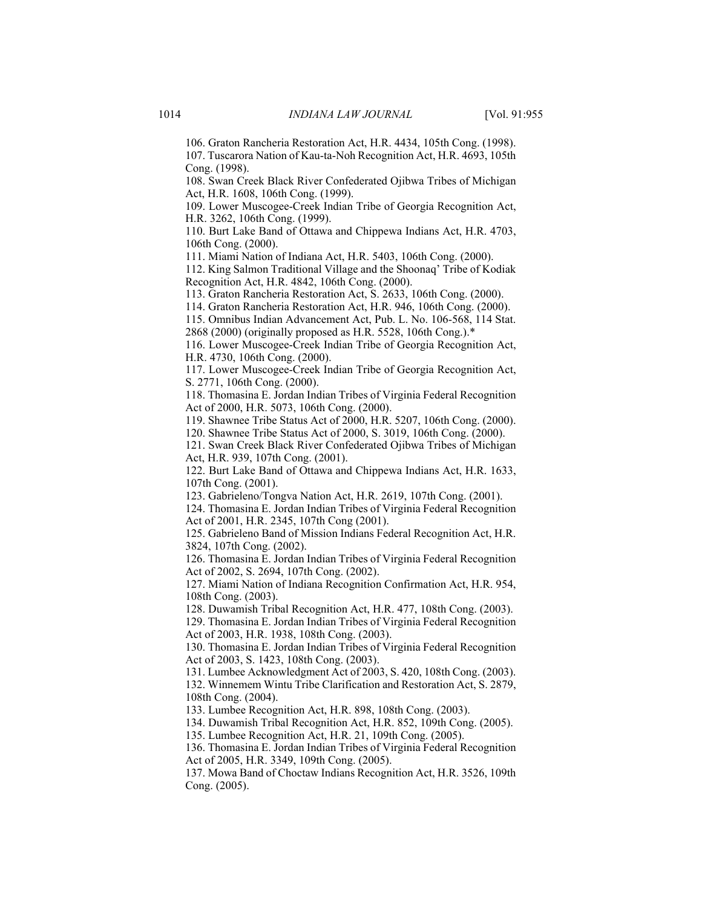106. Graton Rancheria Restoration Act, H.R. 4434, 105th Cong. (1998). 107. Tuscarora Nation of Kau-ta-Noh Recognition Act, H.R. 4693, 105th Cong. (1998).

108. Swan Creek Black River Confederated Ojibwa Tribes of Michigan Act, H.R. 1608, 106th Cong. (1999).

109. Lower Muscogee-Creek Indian Tribe of Georgia Recognition Act, H.R. 3262, 106th Cong. (1999).

110. Burt Lake Band of Ottawa and Chippewa Indians Act, H.R. 4703, 106th Cong. (2000).

111. Miami Nation of Indiana Act, H.R. 5403, 106th Cong. (2000).

112. King Salmon Traditional Village and the Shoonaq' Tribe of Kodiak Recognition Act, H.R. 4842, 106th Cong. (2000).

113. Graton Rancheria Restoration Act, S. 2633, 106th Cong. (2000).

114. Graton Rancheria Restoration Act, H.R. 946, 106th Cong. (2000).

115. Omnibus Indian Advancement Act, Pub. L. No. 106-568, 114 Stat. 2868 (2000) (originally proposed as H.R. 5528, 106th Cong.).\*

116. Lower Muscogee-Creek Indian Tribe of Georgia Recognition Act, H.R. 4730, 106th Cong. (2000).

117. Lower Muscogee-Creek Indian Tribe of Georgia Recognition Act, S. 2771, 106th Cong. (2000).

118. Thomasina E. Jordan Indian Tribes of Virginia Federal Recognition Act of 2000, H.R. 5073, 106th Cong. (2000).

119. Shawnee Tribe Status Act of 2000, H.R. 5207, 106th Cong. (2000).

120. Shawnee Tribe Status Act of 2000, S. 3019, 106th Cong. (2000).

121. Swan Creek Black River Confederated Ojibwa Tribes of Michigan Act, H.R. 939, 107th Cong. (2001).

122. Burt Lake Band of Ottawa and Chippewa Indians Act, H.R. 1633, 107th Cong. (2001).

123. Gabrieleno/Tongva Nation Act, H.R. 2619, 107th Cong. (2001).

124. Thomasina E. Jordan Indian Tribes of Virginia Federal Recognition Act of 2001, H.R. 2345, 107th Cong (2001).

125. Gabrieleno Band of Mission Indians Federal Recognition Act, H.R. 3824, 107th Cong. (2002).

126. Thomasina E. Jordan Indian Tribes of Virginia Federal Recognition Act of 2002, S. 2694, 107th Cong. (2002).

127. Miami Nation of Indiana Recognition Confirmation Act, H.R. 954, 108th Cong. (2003).

128. Duwamish Tribal Recognition Act, H.R. 477, 108th Cong. (2003).

129. Thomasina E. Jordan Indian Tribes of Virginia Federal Recognition Act of 2003, H.R. 1938, 108th Cong. (2003).

130. Thomasina E. Jordan Indian Tribes of Virginia Federal Recognition Act of 2003, S. 1423, 108th Cong. (2003).

131. Lumbee Acknowledgment Act of 2003, S. 420, 108th Cong. (2003). 132. Winnemem Wintu Tribe Clarification and Restoration Act, S. 2879, 108th Cong. (2004).

133. Lumbee Recognition Act, H.R. 898, 108th Cong. (2003).

134. Duwamish Tribal Recognition Act, H.R. 852, 109th Cong. (2005).

135. Lumbee Recognition Act, H.R. 21, 109th Cong. (2005).

136. Thomasina E. Jordan Indian Tribes of Virginia Federal Recognition Act of 2005, H.R. 3349, 109th Cong. (2005).

137. Mowa Band of Choctaw Indians Recognition Act, H.R. 3526, 109th Cong. (2005).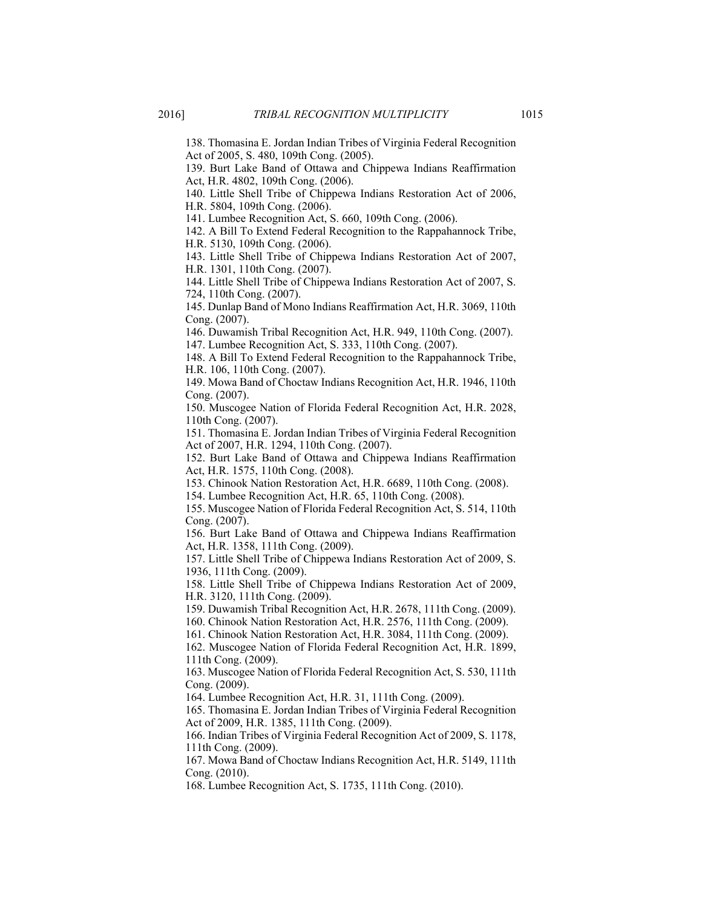138. Thomasina E. Jordan Indian Tribes of Virginia Federal Recognition Act of 2005, S. 480, 109th Cong. (2005).

139. Burt Lake Band of Ottawa and Chippewa Indians Reaffirmation Act, H.R. 4802, 109th Cong. (2006).

140. Little Shell Tribe of Chippewa Indians Restoration Act of 2006, H.R. 5804, 109th Cong. (2006).

141. Lumbee Recognition Act, S. 660, 109th Cong. (2006).

142. A Bill To Extend Federal Recognition to the Rappahannock Tribe, H.R. 5130, 109th Cong. (2006).

143. Little Shell Tribe of Chippewa Indians Restoration Act of 2007, H.R. 1301, 110th Cong. (2007).

144. Little Shell Tribe of Chippewa Indians Restoration Act of 2007, S. 724, 110th Cong. (2007).

145. Dunlap Band of Mono Indians Reaffirmation Act, H.R. 3069, 110th Cong. (2007).

146. Duwamish Tribal Recognition Act, H.R. 949, 110th Cong. (2007).

147. Lumbee Recognition Act, S. 333, 110th Cong. (2007).

148. A Bill To Extend Federal Recognition to the Rappahannock Tribe, H.R. 106, 110th Cong. (2007).

149. Mowa Band of Choctaw Indians Recognition Act, H.R. 1946, 110th Cong. (2007).

150. Muscogee Nation of Florida Federal Recognition Act, H.R. 2028, 110th Cong. (2007).

151. Thomasina E. Jordan Indian Tribes of Virginia Federal Recognition Act of 2007, H.R. 1294, 110th Cong. (2007).

152. Burt Lake Band of Ottawa and Chippewa Indians Reaffirmation Act, H.R. 1575, 110th Cong. (2008).

153. Chinook Nation Restoration Act, H.R. 6689, 110th Cong. (2008).

154. Lumbee Recognition Act, H.R. 65, 110th Cong. (2008).

155. Muscogee Nation of Florida Federal Recognition Act, S. 514, 110th Cong. (2007).

156. Burt Lake Band of Ottawa and Chippewa Indians Reaffirmation Act, H.R. 1358, 111th Cong. (2009).

157. Little Shell Tribe of Chippewa Indians Restoration Act of 2009, S. 1936, 111th Cong. (2009).

158. Little Shell Tribe of Chippewa Indians Restoration Act of 2009, H.R. 3120, 111th Cong. (2009).

159. Duwamish Tribal Recognition Act, H.R. 2678, 111th Cong. (2009).

160. Chinook Nation Restoration Act, H.R. 2576, 111th Cong. (2009).

161. Chinook Nation Restoration Act, H.R. 3084, 111th Cong. (2009).

162. Muscogee Nation of Florida Federal Recognition Act, H.R. 1899, 111th Cong. (2009).

163. Muscogee Nation of Florida Federal Recognition Act, S. 530, 111th Cong. (2009).

164. Lumbee Recognition Act, H.R. 31, 111th Cong. (2009).

165. Thomasina E. Jordan Indian Tribes of Virginia Federal Recognition Act of 2009, H.R. 1385, 111th Cong. (2009).

166. Indian Tribes of Virginia Federal Recognition Act of 2009, S. 1178, 111th Cong. (2009).

167. Mowa Band of Choctaw Indians Recognition Act, H.R. 5149, 111th Cong. (2010).

168. Lumbee Recognition Act, S. 1735, 111th Cong. (2010).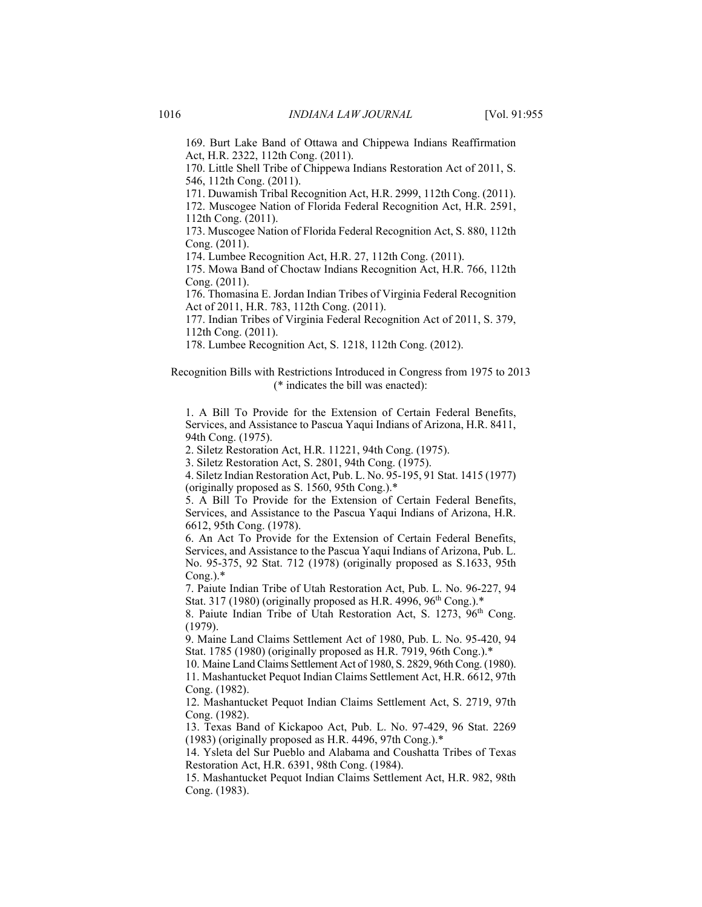169. Burt Lake Band of Ottawa and Chippewa Indians Reaffirmation Act, H.R. 2322, 112th Cong. (2011).

170. Little Shell Tribe of Chippewa Indians Restoration Act of 2011, S. 546, 112th Cong. (2011).

171. Duwamish Tribal Recognition Act, H.R. 2999, 112th Cong. (2011).

172. Muscogee Nation of Florida Federal Recognition Act, H.R. 2591, 112th Cong. (2011).

173. Muscogee Nation of Florida Federal Recognition Act, S. 880, 112th Cong. (2011).

174. Lumbee Recognition Act, H.R. 27, 112th Cong. (2011).

175. Mowa Band of Choctaw Indians Recognition Act, H.R. 766, 112th Cong. (2011).

176. Thomasina E. Jordan Indian Tribes of Virginia Federal Recognition Act of 2011, H.R. 783, 112th Cong. (2011).

177. Indian Tribes of Virginia Federal Recognition Act of 2011, S. 379, 112th Cong. (2011).

178. Lumbee Recognition Act, S. 1218, 112th Cong. (2012).

Recognition Bills with Restrictions Introduced in Congress from 1975 to 2013 (\* indicates the bill was enacted):

1. A Bill To Provide for the Extension of Certain Federal Benefits, Services, and Assistance to Pascua Yaqui Indians of Arizona, H.R. 8411, 94th Cong. (1975).

2. Siletz Restoration Act, H.R. 11221, 94th Cong. (1975).

3. Siletz Restoration Act, S. 2801, 94th Cong. (1975).

4. Siletz Indian Restoration Act, Pub. L. No. 95-195, 91 Stat. 1415 (1977) (originally proposed as S. 1560, 95th Cong.).\*

5. A Bill To Provide for the Extension of Certain Federal Benefits, Services, and Assistance to the Pascua Yaqui Indians of Arizona, H.R. 6612, 95th Cong. (1978).

6. An Act To Provide for the Extension of Certain Federal Benefits, Services, and Assistance to the Pascua Yaqui Indians of Arizona, Pub. L. No. 95-375, 92 Stat. 712 (1978) (originally proposed as S.1633, 95th  $Cong.$ ). $*$ 

7. Paiute Indian Tribe of Utah Restoration Act, Pub. L. No. 96-227, 94 Stat. 317 (1980) (originally proposed as H.R. 4996,  $96<sup>th</sup> Cong.$ ).\*

8. Paiute Indian Tribe of Utah Restoration Act, S. 1273, 96<sup>th</sup> Cong. (1979).

9. Maine Land Claims Settlement Act of 1980, Pub. L. No. 95-420, 94 Stat. 1785 (1980) (originally proposed as H.R. 7919, 96th Cong.).\*

10. Maine Land Claims Settlement Act of 1980, S. 2829, 96th Cong. (1980). 11. Mashantucket Pequot Indian Claims Settlement Act, H.R. 6612, 97th Cong. (1982).

12. Mashantucket Pequot Indian Claims Settlement Act, S. 2719, 97th Cong. (1982).

13. Texas Band of Kickapoo Act, Pub. L. No. 97-429, 96 Stat. 2269  $(1983)$  (originally proposed as H.R. 4496, 97th Cong.).\*

14. Ysleta del Sur Pueblo and Alabama and Coushatta Tribes of Texas Restoration Act, H.R. 6391, 98th Cong. (1984).

15. Mashantucket Pequot Indian Claims Settlement Act, H.R. 982, 98th Cong. (1983).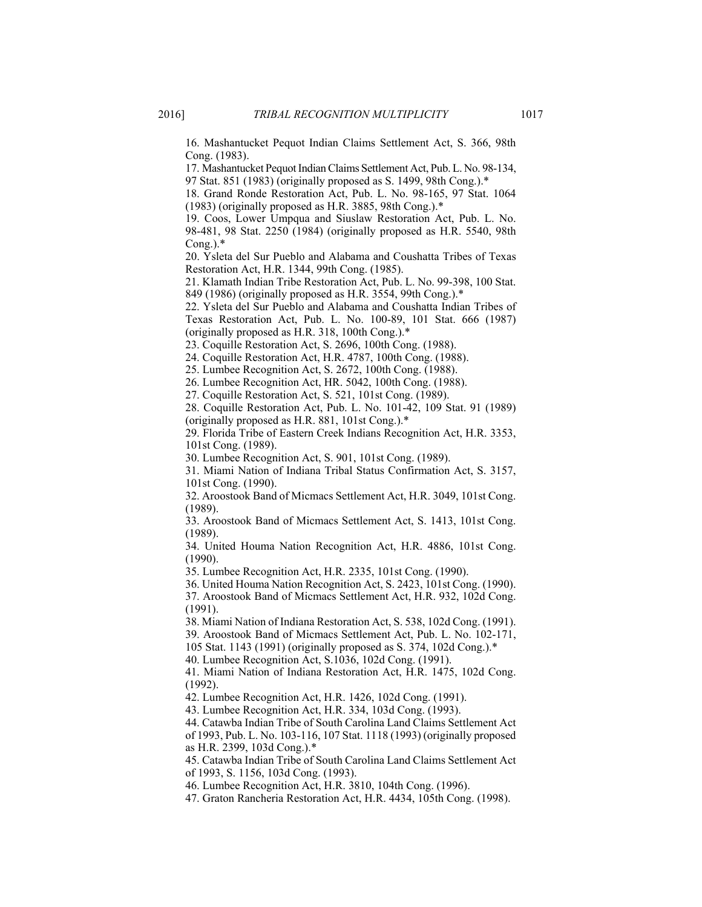16. Mashantucket Pequot Indian Claims Settlement Act, S. 366, 98th Cong. (1983).

17. Mashantucket Pequot Indian Claims Settlement Act, Pub. L. No. 98-134, 97 Stat. 851 (1983) (originally proposed as S. 1499, 98th Cong.).\*

18. Grand Ronde Restoration Act, Pub. L. No. 98-165, 97 Stat. 1064 (1983) (originally proposed as H.R. 3885, 98th Cong.).\*

19. Coos, Lower Umpqua and Siuslaw Restoration Act, Pub. L. No. 98-481, 98 Stat. 2250 (1984) (originally proposed as H.R. 5540, 98th  $Cong.$ ). $*$ 

20. Ysleta del Sur Pueblo and Alabama and Coushatta Tribes of Texas Restoration Act, H.R. 1344, 99th Cong. (1985).

21. Klamath Indian Tribe Restoration Act, Pub. L. No. 99-398, 100 Stat. 849 (1986) (originally proposed as H.R. 3554, 99th Cong.).\*

22. Ysleta del Sur Pueblo and Alabama and Coushatta Indian Tribes of Texas Restoration Act, Pub. L. No. 100-89, 101 Stat. 666 (1987) (originally proposed as H.R. 318, 100th Cong.).\*

23. Coquille Restoration Act, S. 2696, 100th Cong. (1988).

24. Coquille Restoration Act, H.R. 4787, 100th Cong. (1988).

25. Lumbee Recognition Act, S. 2672, 100th Cong. (1988).

26. Lumbee Recognition Act, HR. 5042, 100th Cong. (1988).

27. Coquille Restoration Act, S. 521, 101st Cong. (1989).

28. Coquille Restoration Act, Pub. L. No. 101-42, 109 Stat. 91 (1989) (originally proposed as H.R. 881, 101st Cong.).\*

29. Florida Tribe of Eastern Creek Indians Recognition Act, H.R. 3353, 101st Cong. (1989).

30. Lumbee Recognition Act, S. 901, 101st Cong. (1989).

31. Miami Nation of Indiana Tribal Status Confirmation Act, S. 3157, 101st Cong. (1990).

32. Aroostook Band of Micmacs Settlement Act, H.R. 3049, 101st Cong. (1989).

33. Aroostook Band of Micmacs Settlement Act, S. 1413, 101st Cong. (1989).

34. United Houma Nation Recognition Act, H.R. 4886, 101st Cong. (1990).

35. Lumbee Recognition Act, H.R. 2335, 101st Cong. (1990).

36. United Houma Nation Recognition Act, S. 2423, 101st Cong. (1990).

37. Aroostook Band of Micmacs Settlement Act, H.R. 932, 102d Cong. (1991).

38. Miami Nation of Indiana Restoration Act, S. 538, 102d Cong. (1991).

39. Aroostook Band of Micmacs Settlement Act, Pub. L. No. 102-171,

105 Stat. 1143 (1991) (originally proposed as S. 374, 102d Cong.).\*

40. Lumbee Recognition Act, S.1036, 102d Cong. (1991).

41. Miami Nation of Indiana Restoration Act, H.R. 1475, 102d Cong. (1992).

42. Lumbee Recognition Act, H.R. 1426, 102d Cong. (1991).

43. Lumbee Recognition Act, H.R. 334, 103d Cong. (1993).

44. Catawba Indian Tribe of South Carolina Land Claims Settlement Act of 1993, Pub. L. No. 103-116, 107 Stat. 1118 (1993) (originally proposed as H.R. 2399, 103d Cong.).\*

45. Catawba Indian Tribe of South Carolina Land Claims Settlement Act of 1993, S. 1156, 103d Cong. (1993).

46. Lumbee Recognition Act, H.R. 3810, 104th Cong. (1996).

47. Graton Rancheria Restoration Act, H.R. 4434, 105th Cong. (1998).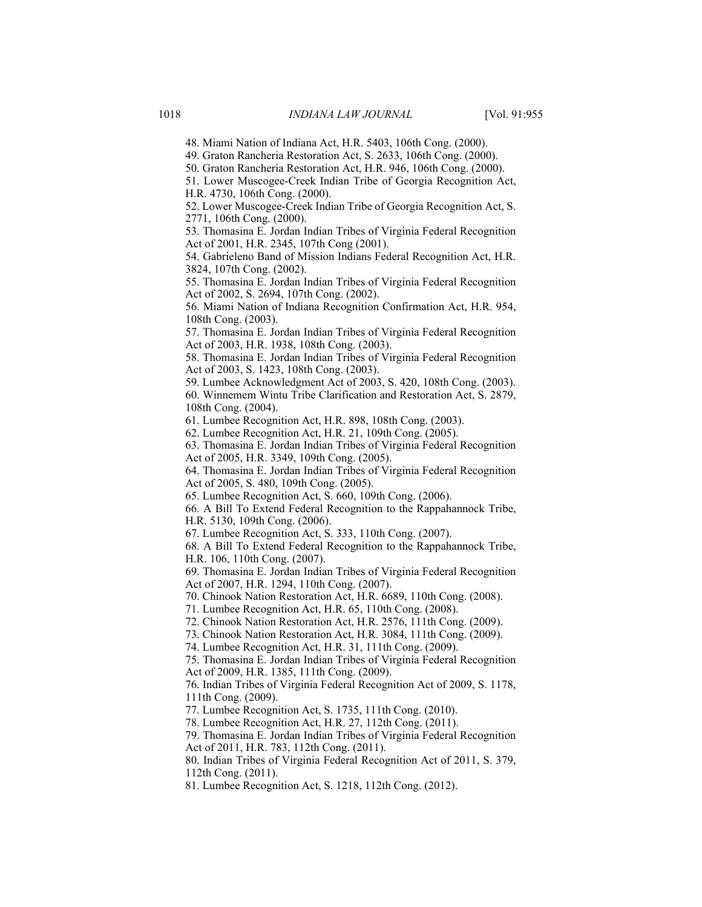48. Miami Nation of Indiana Act, H.R. 5403, 106th Cong. (2000).

49. Graton Rancheria Restoration Act, S. 2633, 106th Cong. (2000).

50. Graton Rancheria Restoration Act, H.R. 946, 106th Cong. (2000).

51. Lower Muscogee-Creek Indian Tribe of Georgia Recognition Act, H.R. 4730, 106th Cong. (2000).

52. Lower Muscogee-Creek Indian Tribe of Georgia Recognition Act, S. 2771, 106th Cong. (2000).

53. Thomasina E. Jordan Indian Tribes of Virginia Federal Recognition Act of 2001, H.R. 2345, 107th Cong (2001).

54. Gabrieleno Band of Mission Indians Federal Recognition Act, H.R. 3824, 107th Cong. (2002).

55. Thomasina E. Jordan Indian Tribes of Virginia Federal Recognition Act of 2002, S. 2694, 107th Cong. (2002).

56. Miami Nation of Indiana Recognition Confirmation Act, H.R. 954, 108th Cong. (2003).

57. Thomasina E. Jordan Indian Tribes of Virginia Federal Recognition Act of 2003, H.R. 1938, 108th Cong. (2003).

58. Thomasina E. Jordan Indian Tribes of Virginia Federal Recognition Act of 2003, S. 1423, 108th Cong. (2003).

59. Lumbee Acknowledgment Act of 2003, S. 420, 108th Cong. (2003).

60. Winnemem Wintu Tribe Clarification and Restoration Act, S. 2879, 108th Cong. (2004).

61. Lumbee Recognition Act, H.R. 898, 108th Cong. (2003).

62. Lumbee Recognition Act, H.R. 21, 109th Cong. (2005).

63. Thomasina E. Jordan Indian Tribes of Virginia Federal Recognition Act of 2005, H.R. 3349, 109th Cong. (2005).

64. Thomasina E. Jordan Indian Tribes of Virginia Federal Recognition Act of 2005, S. 480, 109th Cong. (2005).

65. Lumbee Recognition Act, S. 660, 109th Cong. (2006).

66. A Bill To Extend Federal Recognition to the Rappahannock Tribe, H.R. 5130, 109th Cong. (2006).

67. Lumbee Recognition Act, S. 333, 110th Cong. (2007).

68. A Bill To Extend Federal Recognition to the Rappahannock Tribe, H.R. 106, 110th Cong. (2007).

69. Thomasina E. Jordan Indian Tribes of Virginia Federal Recognition Act of 2007, H.R. 1294, 110th Cong. (2007).

70. Chinook Nation Restoration Act, H.R. 6689, 110th Cong. (2008).

71. Lumbee Recognition Act, H.R. 65, 110th Cong. (2008).

72. Chinook Nation Restoration Act, H.R. 2576, 111th Cong. (2009).

73. Chinook Nation Restoration Act, H.R. 3084, 111th Cong. (2009).

74. Lumbee Recognition Act, H.R. 31, 111th Cong. (2009).

75. Thomasina E. Jordan Indian Tribes of Virginia Federal Recognition Act of 2009, H.R. 1385, 111th Cong. (2009).

76. Indian Tribes of Virginia Federal Recognition Act of 2009, S. 1178, 111th Cong. (2009).

77. Lumbee Recognition Act, S. 1735, 111th Cong. (2010).

78. Lumbee Recognition Act, H.R. 27, 112th Cong. (2011).

79. Thomasina E. Jordan Indian Tribes of Virginia Federal Recognition Act of 2011, H.R. 783, 112th Cong. (2011).

80. Indian Tribes of Virginia Federal Recognition Act of 2011, S. 379, 112th Cong. (2011).

81. Lumbee Recognition Act, S. 1218, 112th Cong. (2012).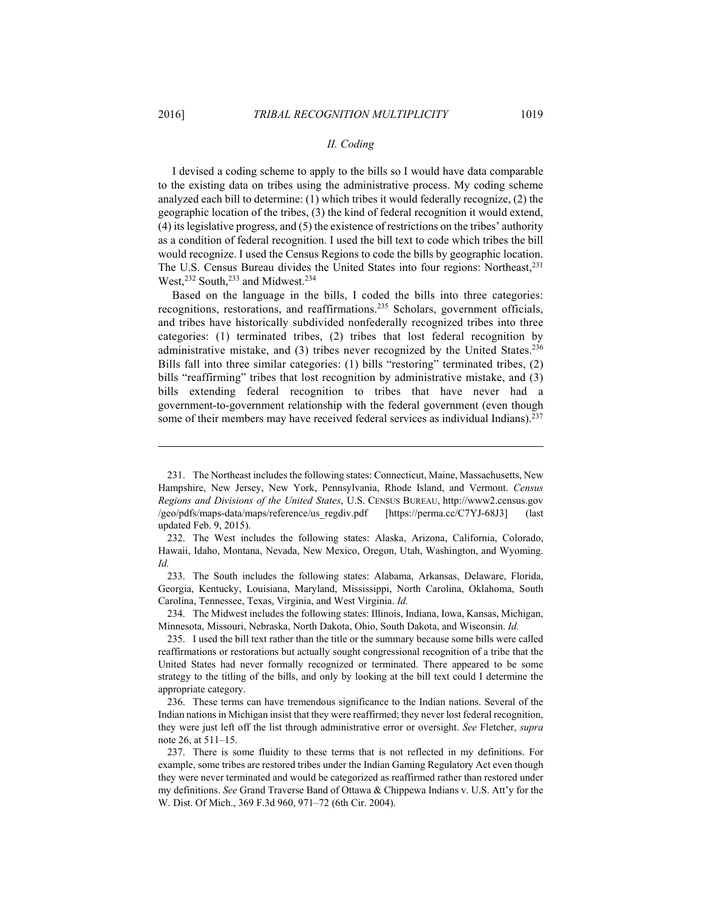<u>.</u>

#### *II. Coding*

I devised a coding scheme to apply to the bills so I would have data comparable to the existing data on tribes using the administrative process. My coding scheme analyzed each bill to determine: (1) which tribes it would federally recognize, (2) the geographic location of the tribes, (3) the kind of federal recognition it would extend, (4) its legislative progress, and (5) the existence of restrictions on the tribes' authority as a condition of federal recognition. I used the bill text to code which tribes the bill would recognize. I used the Census Regions to code the bills by geographic location. The U.S. Census Bureau divides the United States into four regions: Northeast,<sup>231</sup> West,<sup>232</sup> South,<sup>233</sup> and Midwest.<sup>234</sup>

Based on the language in the bills, I coded the bills into three categories: recognitions, restorations, and reaffirmations.235 Scholars, government officials, and tribes have historically subdivided nonfederally recognized tribes into three categories: (1) terminated tribes, (2) tribes that lost federal recognition by administrative mistake, and (3) tribes never recognized by the United States.<sup>236</sup> Bills fall into three similar categories: (1) bills "restoring" terminated tribes, (2) bills "reaffirming" tribes that lost recognition by administrative mistake, and (3) bills extending federal recognition to tribes that have never had a government-to-government relationship with the federal government (even though some of their members may have received federal services as individual Indians).<sup>237</sup>

 233. The South includes the following states: Alabama, Arkansas, Delaware, Florida, Georgia, Kentucky, Louisiana, Maryland, Mississippi, North Carolina, Oklahoma, South Carolina, Tennessee, Texas, Virginia, and West Virginia. *Id.*

 234. The Midwest includes the following states: Illinois, Indiana, Iowa, Kansas, Michigan, Minnesota, Missouri, Nebraska, North Dakota, Ohio, South Dakota, and Wisconsin. *Id.*

 235. I used the bill text rather than the title or the summary because some bills were called reaffirmations or restorations but actually sought congressional recognition of a tribe that the United States had never formally recognized or terminated. There appeared to be some strategy to the titling of the bills, and only by looking at the bill text could I determine the appropriate category.

 236. These terms can have tremendous significance to the Indian nations. Several of the Indian nations in Michigan insist that they were reaffirmed; they never lost federal recognition, they were just left off the list through administrative error or oversight. *See* Fletcher, *supra* note 26, at 511–15.

 237. There is some fluidity to these terms that is not reflected in my definitions. For example, some tribes are restored tribes under the Indian Gaming Regulatory Act even though they were never terminated and would be categorized as reaffirmed rather than restored under my definitions. *See* Grand Traverse Band of Ottawa & Chippewa Indians v. U.S. Att'y for the W. Dist. Of Mich., 369 F.3d 960, 971–72 (6th Cir. 2004).

 <sup>231.</sup> The Northeast includes the following states: Connecticut, Maine, Massachusetts, New Hampshire, New Jersey, New York, Pennsylvania, Rhode Island, and Vermont. *Census Regions and Divisions of the United States*, U.S. CENSUS BUREAU, http://www2.census.gov /geo/pdfs/maps-data/maps/reference/us\_regdiv.pdf [https://perma.cc/C7YJ-68J3] (last updated Feb. 9, 2015).

 <sup>232.</sup> The West includes the following states: Alaska, Arizona, California, Colorado, Hawaii, Idaho, Montana, Nevada, New Mexico, Oregon, Utah, Washington, and Wyoming. *Id.*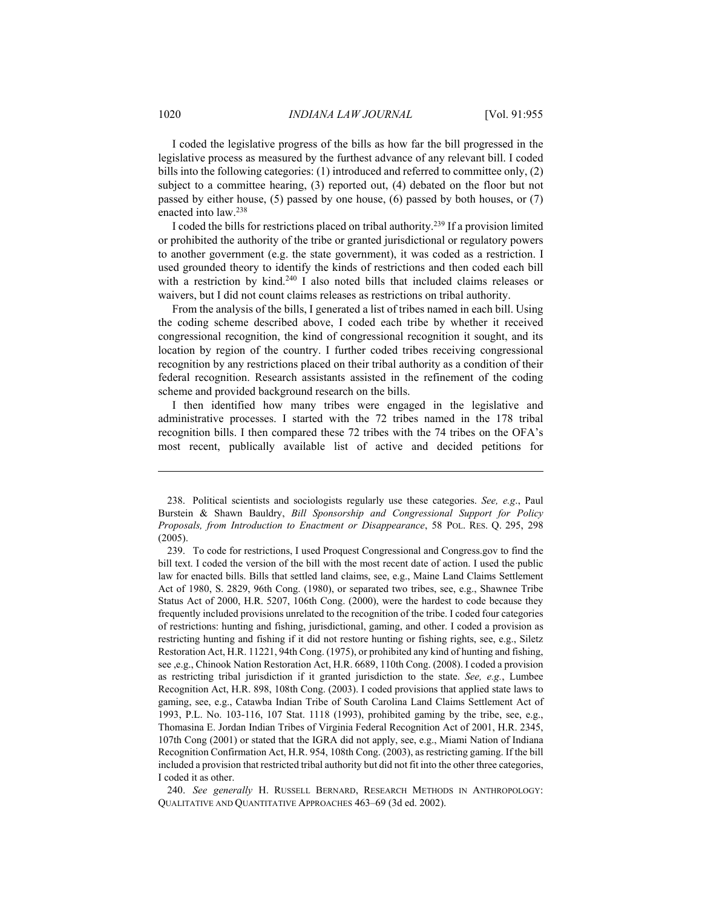I coded the legislative progress of the bills as how far the bill progressed in the legislative process as measured by the furthest advance of any relevant bill. I coded bills into the following categories: (1) introduced and referred to committee only, (2) subject to a committee hearing, (3) reported out, (4) debated on the floor but not passed by either house, (5) passed by one house, (6) passed by both houses, or (7) enacted into law.238

I coded the bills for restrictions placed on tribal authority.239 If a provision limited or prohibited the authority of the tribe or granted jurisdictional or regulatory powers to another government (e.g. the state government), it was coded as a restriction. I used grounded theory to identify the kinds of restrictions and then coded each bill with a restriction by kind.<sup>240</sup> I also noted bills that included claims releases or waivers, but I did not count claims releases as restrictions on tribal authority.

From the analysis of the bills, I generated a list of tribes named in each bill. Using the coding scheme described above, I coded each tribe by whether it received congressional recognition, the kind of congressional recognition it sought, and its location by region of the country. I further coded tribes receiving congressional recognition by any restrictions placed on their tribal authority as a condition of their federal recognition. Research assistants assisted in the refinement of the coding scheme and provided background research on the bills.

I then identified how many tribes were engaged in the legislative and administrative processes. I started with the 72 tribes named in the 178 tribal recognition bills. I then compared these 72 tribes with the 74 tribes on the OFA's most recent, publically available list of active and decided petitions for

 240. *See generally* H. RUSSELL BERNARD, RESEARCH METHODS IN ANTHROPOLOGY: QUALITATIVE AND QUANTITATIVE APPROACHES 463–69 (3d ed. 2002).

 <sup>238.</sup> Political scientists and sociologists regularly use these categories. *See, e.g*., Paul Burstein & Shawn Bauldry, *Bill Sponsorship and Congressional Support for Policy Proposals, from Introduction to Enactment or Disappearance*, 58 POL. RES. Q. 295, 298 (2005).

 <sup>239.</sup> To code for restrictions, I used Proquest Congressional and Congress.gov to find the bill text. I coded the version of the bill with the most recent date of action. I used the public law for enacted bills. Bills that settled land claims, see, e.g., Maine Land Claims Settlement Act of 1980, S. 2829, 96th Cong. (1980), or separated two tribes, see, e.g., Shawnee Tribe Status Act of 2000, H.R. 5207, 106th Cong. (2000), were the hardest to code because they frequently included provisions unrelated to the recognition of the tribe. I coded four categories of restrictions: hunting and fishing, jurisdictional, gaming, and other. I coded a provision as restricting hunting and fishing if it did not restore hunting or fishing rights, see, e.g., Siletz Restoration Act, H.R. 11221, 94th Cong. (1975), or prohibited any kind of hunting and fishing, see ,e.g., Chinook Nation Restoration Act, H.R. 6689, 110th Cong. (2008). I coded a provision as restricting tribal jurisdiction if it granted jurisdiction to the state. *See, e.g.*, Lumbee Recognition Act, H.R. 898, 108th Cong. (2003). I coded provisions that applied state laws to gaming, see, e.g., Catawba Indian Tribe of South Carolina Land Claims Settlement Act of 1993, P.L. No. 103-116, 107 Stat. 1118 (1993), prohibited gaming by the tribe, see, e.g., Thomasina E. Jordan Indian Tribes of Virginia Federal Recognition Act of 2001, H.R. 2345, 107th Cong (2001) or stated that the IGRA did not apply, see, e.g., Miami Nation of Indiana Recognition Confirmation Act, H.R. 954, 108th Cong. (2003), as restricting gaming. If the bill included a provision that restricted tribal authority but did not fit into the other three categories, I coded it as other.